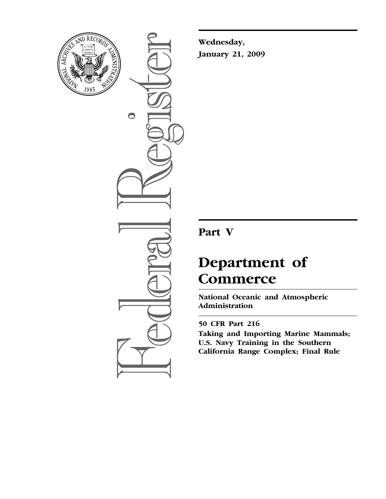

 $\bigcirc$ 

**Wednesday, January 21, 2009** 

# **Part V**

# **Department of Commerce**

**National Oceanic and Atmospheric Administration** 

# **50 CFR Part 216**

**Taking and Importing Marine Mammals; U.S. Navy Training in the Southern California Range Complex; Final Rule**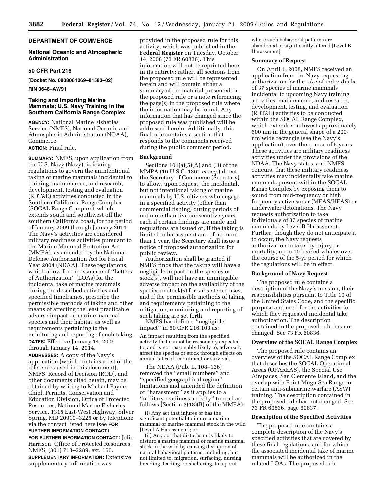# **DEPARTMENT OF COMMERCE**

# **National Oceanic and Atmospheric Administration**

# **50 CFR Part 216**

**[Docket No. 0808061069–81583–02]** 

#### **RIN 0648–AW91**

# **Taking and Importing Marine Mammals; U.S. Navy Training in the Southern California Range Complex**

**AGENCY:** National Marine Fisheries Service (NMFS), National Oceanic and Atmospheric Administration (NOAA), Commerce.

# **ACTION:** Final rule.

**SUMMARY:** NMFS, upon application from the U.S. Navy (Navy), is issuing regulations to govern the unintentional taking of marine mammals incidental to training, maintenance, and research, development, testing and evaluation (RDT&E) activities conducted in the Southern California Range Complex (SOCAL Range Complex), which extends south and southwest off the southern California coast, for the period of January 2009 through January 2014. The Navy's activities are considered military readiness activities pursuant to the Marine Mammal Protection Act (MMPA), as amended by the National Defense Authorization Act for Fiscal Year 2004 (NDAA). These regulations, which allow for the issuance of ''Letters of Authorization'' (LOAs) for the incidental take of marine mammals during the described activities and specified timeframes, prescribe the permissible methods of taking and other means of affecting the least practicable adverse impact on marine mammal species and their habitat, as well as requirements pertaining to the monitoring and reporting of such taking. **DATES:** Effective January 14, 2009 through January 14, 2014.

**ADDRESSES:** A copy of the Navy's application (which contains a list of the references used in this document), NMFS' Record of Decision (ROD), and other documents cited herein, may be obtained by writing to Michael Payne, Chief, Permits, Conservation and Education Division, Office of Protected Resources, National Marine Fisheries Service, 1315 East-West Highway, Silver Spring, MD 20910–3225 or by telephone via the contact listed here (see **FOR FURTHER INFORMATION CONTACT**).

**FOR FURTHER INFORMATION CONTACT:** Jolie Harrison, Office of Protected Resources, NMFS, (301) 713–2289, ext. 166. **SUPPLEMENTARY INFORMATION:** Extensive supplementary information was

provided in the proposed rule for this activity, which was published in the **Federal Register** on Tuesday, October 14, 2008 (73 FR 60836). This information will not be reprinted here in its entirety; rather, all sections from the proposed rule will be represented herein and will contain either a summary of the material presented in the proposed rule or a note referencing the page(s) in the proposed rule where the information may be found. Any information that has changed since the proposed rule was published will be addressed herein. Additionally, this final rule contains a section that responds to the comments received during the public comment period.

# **Background**

Sections 101(a)(5)(A) and (D) of the MMPA (16 U.S.C. 1361 *et seq.*) direct the Secretary of Commerce (Secretary) to allow, upon request, the incidental, but not intentional taking of marine mammals by U.S. citizens who engage in a specified activity (other than commercial fishing) during periods of not more than five consecutive years each if certain findings are made and regulations are issued or, if the taking is limited to harassment and of no more than 1 year, the Secretary shall issue a notice of proposed authorization for public review.

Authorization shall be granted if NMFS finds that the taking will have a negligible impact on the species or stock(s), will not have an unmitigable adverse impact on the availability of the species or stock(s) for subsistence uses, and if the permissible methods of taking and requirements pertaining to the mitigation, monitoring and reporting of such taking are set forth.

NMFS has defined ''negligible impact'' in 50 CFR 216.103 as:

An impact resulting from the specified activity that cannot be reasonably expected to, and is not reasonably likely to, adversely affect the species or stock through effects on annual rates of recruitment or survival.

The NDAA (Pub. L. 108–136) removed the ''small numbers'' and ''specified geographical region'' limitations and amended the definition of ''harassment'' as it applies to a ''military readiness activity'' to read as follows (Section 3(18)(B) of the MMPA):

(i) Any act that injures or has the significant potential to injure a marine mammal or marine mammal stock in the wild [Level A Harassment]; or

(ii) Any act that disturbs or is likely to disturb a marine mammal or marine mammal stock in the wild by causing disruption of natural behavioral patterns, including, but not limited to, migration, surfacing, nursing, breeding, feeding, or sheltering, to a point

where such behavioral patterns are abandoned or significantly altered [Level B Harassment].

#### **Summary of Request**

On April 1, 2008, NMFS received an application from the Navy requesting authorization for the take of individuals of 37 species of marine mammals incidental to upcoming Navy training activities, maintenance, and research, development, testing, and evaluation (RDT&E) activities to be conducted within the SOCAL Range Complex, which extends southwest approximately 600 nm in the general shape of a 200 nm wide rectangle (see the Navy's application), over the course of 5 years. These activities are military readiness activities under the provisions of the NDAA. The Navy states, and NMFS concurs, that these military readiness activities may incidentally take marine mammals present within the SOCAL Range Complex by exposing them to sound from mid-frequency or high frequency active sonar (MFAS/HFAS) or underwater detonations. The Navy requests authorization to take individuals of 37 species of marine mammals by Level B Harassment. Further, though they do not anticipate it to occur, the Navy requests authorization to take, by injury or mortality, up to 10 beaked whales over the course of the 5-yr period for which the regulations will be in effect.

# **Background of Navy Request**

The proposed rule contains a description of the Navy's mission, their responsibilities pursuant to Title 10 of the United States Code, and the specific purpose and need for the activities for which they requested incidental take authorization. The description contained in the proposed rule has not changed. See 73 FR 60836.

# **Overview of the SOCAL Range Complex**

The proposed rule contains an overview of the SOCAL Range Complex that describes the SOCAL Operational Areas (OPAREAS), the Special Use Airspaces, San Clemente Island, and the overlap with Point Mugu Sea Range for certain anti-submarine warfare (ASW) training. The description contained in the proposed rule has not changed. See 73 FR 60836, page 60837.

#### **Description of the Specified Activities**

The proposed rule contains a complete description of the Navy's specified activities that are covered by these final regulations, and for which the associated incidental take of marine mammals will be authorized in the related LOAs. The proposed rule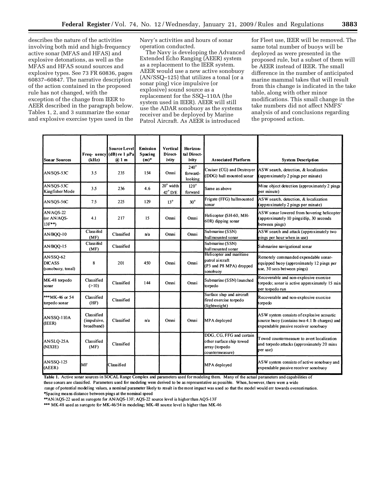describes the nature of the activities involving both mid and high-frequency active sonar (MFAS and HFAS) and explosive detonations, as well as the MFAS and HFAS sound sources and explosive types. See 73 FR 60836, pages 60837–60847. The narrative description of the action contained in the proposed rule has not changed, with the exception of the change from IEER to AEER described in the paragraph below. Tables 1, 2, and 3 summarize the sonar and explosive exercise types used in the Navy's activities and hours of sonar operation conducted.

The Navy is developing the Advanced Extended Echo Ranging (AEER) system as a replacement to the IEER system. AEER would use a new active sonobuoy (AN/SSQ–125) that utilizes a tonal (or a sonar ping) vice impulsive (or explosive) sound source as a replacement for the SSQ–110A (the system used in IEER). AEER will still use the ADAR sonobuoy as the systems receiver and be deployed by Marine Patrol Aircraft. As AEER is introduced

for Fleet use, IEER will be removed. The same total number of buoys will be deployed as were presented in the proposed rule, but a subset of them will be AEER instead of IEER. The small difference in the number of anticipated marine mammal takes that will result from this change is indicated in the take table, along with other minor modifications. This small change in the take numbers did not affect NMFS' analysis of and conclusions regarding the proposed action.

| <b>Son ar Sources</b>                           | Freq- uency<br>(kHz)                    | <b>Source Level</b><br>$(dB)$ re $1 \mu Pa$<br>$(2)$ 1 m | <b>Emission</b><br><b>Spacing</b><br>$(m)^*$ | Vertical<br>Direct-<br>ivity           | Horizon-<br>tal Direct-<br>ivity   | <b>Associated Platform</b>                                                                | <b>System Description</b>                                                                                                          |
|-------------------------------------------------|-----------------------------------------|----------------------------------------------------------|----------------------------------------------|----------------------------------------|------------------------------------|-------------------------------------------------------------------------------------------|------------------------------------------------------------------------------------------------------------------------------------|
| AN/SQS-53C                                      | 3.5                                     | 235                                                      | 154                                          | Omni                                   | $240^\circ$<br>forward-<br>looking | Cruiser (CG) and Destroyer<br>(DDG) hull mounted sonar                                    | ASW search, detection, & localization<br>(approximately 2 pings per minute)                                                        |
| AN/SQS-53C<br>Kingfisher Mode                   | 3.5                                     | 236                                                      | 4.6                                          | $20^{\circ}$ width<br>$42^{\circ}$ D/E | $120^\circ$<br>forward             | Same as above                                                                             | Mine object detection (approximately 2 pings<br>per minute)                                                                        |
| AN/SQS-56C                                      | 7.5                                     | 225                                                      | 129                                          | $13^{\circ}$                           | $30^\circ$                         | Frigate (FFG) hullmounted<br>sonar                                                        | ASW search, detection, & localization<br>(approximately 2 pings per minute)                                                        |
| AN/AQS-22<br>(or AN/AOS-<br>$13F^{**}$          | 4.1                                     | 217                                                      | 15                                           | Omni                                   | Omni                               | Helicopter (SH-60, MH-<br>60R) dipping sonar                                              | ASW sonar lowered from hovering helicopter<br>(approximately 10 pings/dip, 30 seconds<br>between pings)                            |
| AN/BQQ-10                                       | Classifed<br>(MF)                       | Classified                                               | n/a                                          | Omni                                   | Omni                               | Submarine (SSN)<br>hull mounted sonar                                                     | ASW search and attack (approximately two<br>pings per hour when in use)                                                            |
| AN/BQQ-15                                       | Classifed<br>(MF)                       | Classified                                               |                                              |                                        |                                    | Submarine (SSN)<br>hull mounted sonar                                                     | Submarine navigational sonar                                                                                                       |
| AN/SSQ-62<br><b>DICASS</b><br>(sonobuoy, tonal) | 8                                       | 201                                                      | 450                                          | Omni                                   | Omni                               | Helicopter and maritime<br>patrol aircraft<br>(P3 and P8 MPA) dropped<br>sonobuov         | Remotely commanded expendable sonar-<br>equipped buoy (approximately 12 pings per<br>use, 30 secs between pings)                   |
| MK-48 torpedo<br>sonar                          | Classified<br>(>10)                     | Classified                                               | 144                                          | Omni                                   | Omni                               | Submarine (SSN) launched<br>torpedo                                                       | Recoverable and non-explosive exercise<br>torpedo; sonar is active approximately 15 min<br>per tomedo run                          |
| ***MK-46 or 54<br>torpedo sonar                 | Classified<br>(HF)                      | Classified                                               |                                              |                                        |                                    | Surface ship and aircraft<br>fired exercise torpedo<br>(lightweight)                      | Recoverable and non-explosive exercise<br>torpedo                                                                                  |
| AN/SSQ-110A<br>(IEER)                           | Classified<br>(impulsive,<br>broadband) | Classified                                               | n/a                                          | Omni                                   | Omni                               | MPA deployed                                                                              | ASW system consists of explosive acoustic<br>source buoy (contains two 4.1 lb charges) and<br>expendable passive receiver sonobuoy |
| AN/SLO-25A<br>(NIXIE)                           | Classified<br>(MF)                      | Classified                                               |                                              |                                        |                                    | DDG, CG, FFG and certain<br>other surface ship towed<br>array (torpedo<br>countermeasure) | Towed countermeasure to avert localization<br>and torpedo attacks (approximately 20 mins<br>per use)                               |
| <b>AN/SSQ-125</b><br>(AEER)                     | МF                                      | Classified                                               |                                              |                                        |                                    | MPA deployed                                                                              | ASW system consists of active sonobuoy and<br>expendable passive receiver sonobuoy                                                 |

Table 1. Active sonar sources in SOCAL Range Complex and parameters used for modeling them. Many of the actual parameters and capabilities of

these sonars are classified. Parameters used for modeling were derived to be as representative as possible. When, however, there were a wide

range of potential modeling values, a nominal parameter likely to result in the most impact was used so that the model would err towards overestimation. \*Spacing means distance between pings at the nominal speed

\*\* AN/AQS-22 used as surogote for AN/AQS-13F; AQS-22 source level is higher than AQS-13F

\*\*\* MK-48 used as surogote for MK-46/54 in modeling; MK-48 source level is higher than MK-46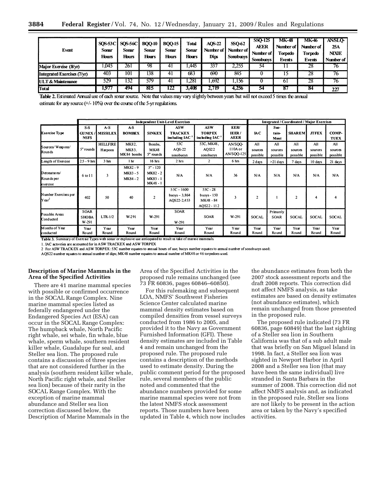| Event                         | <b>SOS-53C</b><br>Sonar<br><b>Hours</b> | <b>SOS-56C</b><br>Sonar<br>Hours | <b>BQQ-10</b><br><b>Sonar</b><br><b>Hours</b> | <b>BOO-15</b><br>Sonar<br>Hours | Total<br><b>Sonar</b><br><b>Hours</b> | AOS-22<br>Number of<br>Dips | <b>SSO-62</b><br>Number of<br>. Sonobuoys ' | SSO-125<br><b>AEER</b><br>Number of<br>Sonobuoys! | MK-48<br>Number of<br><b>Torpedo</b><br>Events | MK-46<br>Number of<br>Torpedo<br><b>Events</b> | <b>ANSLO-</b><br>25A<br><b>NIXIE</b><br>Number of |
|-------------------------------|-----------------------------------------|----------------------------------|-----------------------------------------------|---------------------------------|---------------------------------------|-----------------------------|---------------------------------------------|---------------------------------------------------|------------------------------------------------|------------------------------------------------|---------------------------------------------------|
| Major Exercise (8/yr)         | .045                                    | 26.                              | -98                                           |                                 | .445                                  | 337                         | 2.255                                       | 54                                                |                                                | 28                                             | 76                                                |
| Integrated Exercises (7/yr)   | 403                                     | 101                              | 138                                           |                                 | 683                                   | 690                         | 845                                         |                                                   | כו                                             | 28                                             | 76                                                |
| <b>IULT &amp; Maintenance</b> | 529                                     | 32                               | 579                                           |                                 | .281                                  | .692                        | .156                                        |                                                   | ωI                                             | 28                                             | 76                                                |
| Total                         | 1977                                    | 494                              | 815                                           | 122                             | 3.408                                 | <i>L</i> .719               | 4.256                                       | 54                                                | 87                                             | 84                                             | 227                                               |

Table 2. Estimated Annual use of each sonar source. Note that values may vary slightly between years but will not exceed 5 times the annual estimate for any source  $(+/-10\%)$  over the course of the 5-yr regulations.

|                                                                                      |                                      |                                                                                                                         |                              |                                              | <b>Independent Unit-Level Exercises</b>       |                                                           |                                    |                            | Integrated / Coordinated / Major Exercises |                            |                            |                            |  |  |  |
|--------------------------------------------------------------------------------------|--------------------------------------|-------------------------------------------------------------------------------------------------------------------------|------------------------------|----------------------------------------------|-----------------------------------------------|-----------------------------------------------------------|------------------------------------|----------------------------|--------------------------------------------|----------------------------|----------------------------|----------------------------|--|--|--|
| <b>Exercise Type</b>                                                                 | S-S<br><b>GUNEX</b><br><b>NSFS</b>   | $A-S$<br><b>MISSILEX</b>                                                                                                | A-S<br><b>BOMBEX</b>         | <b>SINKEX</b>                                | <b>ASW</b><br><b>TRACKEX</b><br>including IAC | <b>ASW</b><br><b>TORPEX</b><br>including IAC <sup>1</sup> | <b>EER</b><br>IEER/<br><b>AEER</b> | IАC                        | Sus-<br>tain-<br>Ment                      | <b>SHAREM</b>              | <b>JTFEX</b>               | COMP-<br><b>TUEX</b>       |  |  |  |
| Sources/Weapons/<br>Rounds                                                           | 5" rounds                            | <b>HELLFIRE</b><br>Harpoon                                                                                              | MK82.<br>MK83,<br>MK84 bombs | Bombs,<br><b>MK48</b><br>5" rounds           | 53C<br>AQS-22<br>sonobuoys                    | 53C, MK48,<br>AQS22<br>sonobuoys                          | AN/SOO-<br>110A or<br>AN/SQQ-125   | All<br>sources<br>possible | All<br>sources<br>possible                 | All<br>sources<br>possible | All<br>sources<br>possible | All<br>sources<br>possible |  |  |  |
| Length of Exercise                                                                   | $2.5 - 9$ hrs                        | 3 <sub>hrs</sub>                                                                                                        | 1 hr                         | 16 hrs                                       | 2 hrs                                         | 2                                                         | 6 hrs                              | 2 days                     | $>21$ days                                 | 7 days                     | 10 days                    | 21 days                    |  |  |  |
| Detonations/<br>Rounds per<br>exercise                                               | 6 to 11                              | $\overline{\mathbf{3}}$                                                                                                 | MK82-9<br>MK83-5<br>MK84 - 2 | $5" - 120$<br>MK82 - 2<br>MK83-1<br>MK48 - 1 | N/A                                           | N/A                                                       | 36                                 | N/A                        | N/A                                        | N/A                        | N/A                        | N/A                        |  |  |  |
| Number Exercises per<br>lYear <sup>2</sup>                                           | 402                                  | 50                                                                                                                      | 40                           | $\overline{c}$                               | $53C - 1600$<br>buoys $-3,864$<br>AOS22-2,453 | $53C - 28$<br>$buoys - 150$<br>MK48 - 84<br>AOS22 - 112   | 3                                  | $\overline{2}$             |                                            |                            | 4                          |                            |  |  |  |
| Possible Areas<br>Conducted                                                          | <b>SOAR</b><br><b>SHOBA</b><br>W-291 | $LTR-1/2$                                                                                                               | W-291                        | W-291                                        | <b>SOAR</b><br>W-291                          | <b>SOAR</b>                                               | W-291                              | <b>SOCAL</b>               | Primanly<br><b>SOAR</b>                    | <b>SOCAL</b>               | <b>SOCAL</b>               | <b>SOCAL</b>               |  |  |  |
| Months of Year<br>conducted<br>$\sim$ $\sim$ $\sim$<br>$\overline{c}$ $\overline{c}$ | Year<br>Ro und                       | Year<br>Round<br>$\mathbf{T}$ and $\mathbf{A}$ are the set of $\mathbf{A}$ and $\mathbf{A}$ are the set of $\mathbf{A}$ | Year<br>Round                | Year<br>Round                                | Year<br>Round                                 | Year<br>Round                                             | Year<br>Round                      | Year<br>Round              | Year<br>Round                              | Year<br>Round              | Year<br>Round              | Year<br>Round              |  |  |  |

Table 3. Summary of Exercise Types with sonar or explosive use anticipated to result in take of marme mammals

1. IAC activities are accounted for in ASW TRACKEX and ASW TORPEX

2 For ASW TRACKEX and ASW TORPEX: 53C number equates to annual hours of use; buoys number equates to annual number of sonobuoys used;

AQS22 number equates to annual number of dips; MK48 number equates to annual number of MK48 or 46 torpedoes used.

# **Description of Marine Mammals in the Area of the Specified Activities**

There are 41 marine mammal species with possible or confirmed occurrence in the SOCAL Range Complex. Nine marine mammal species listed as federally endangered under the Endangered Species Act (ESA) can occur in the SOCAL Range Complex: The humpback whale, North Pacific right whale, sei whale, fin whale, blue whale, sperm whale, southern resident killer whale, Guadalupe fur seal, and Steller sea lion. The proposed rule contains a discussion of three species that are not considered further in the analysis (southern resident killer whale, North Pacific right whale, and Steller sea lion) because of their rarity in the SOCAL Range Complex. With the exception of marine mammal abundance and Steller sea lion correction discussed below, the Description of Marine Mammals in the

Area of the Specified Activities in the proposed rule remains unchanged (see 73 FR 60836, pages 60846–60850).

For this rulemaking and subsequent LOA, NMFS' Southwest Fisheries Science Center calculated marine mammal density estimates based on compiled densities from vessel surveys conducted from 1986 to 2005, and provided it to the Navy as Government Furnished Information (GFI). These density estimates are included in Table 4 and remain unchanged from the proposed rule. The proposed rule contains a description of the methods used to estimate density. During the public comment period for the proposed rule, several members of the public noted and commented that the abundance numbers provided for some marine mammal species were not from the latest NMFS stock assessment reports. Those numbers have been updated in Table 4, which now includes

the abundance estimates from both the 2007 stock assessment reports and the draft 2008 reports. This correction did not affect NMFS analysis, as take estimates are based on density estimates (not abundance estimates), which remain unchanged from those presented in the proposed rule.

The proposed rule indicated (73 FR 60836, page 60849) that the last sighting of a Steller sea lion in Southern California was that of a sub adult male that was briefly on San Miguel Island in 1998. In fact, a Steller sea lion was sighted in Newport Harbor in April 2008 and a Steller sea lion (that may have been the same individual) live stranded in Santa Barbara in the summer of 2008. This correction did not affect NMFS analysis and, as indicated in the proposed rule, Steller sea lions are not likely to be present in the action area or taken by the Navy's specified activities.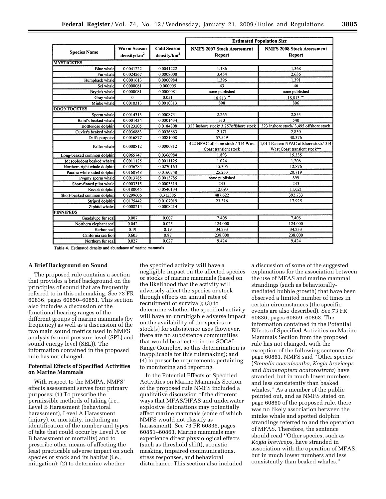|                              |                         |                         | <b>Estimated Population Size</b>       |                                         |  |  |  |  |  |
|------------------------------|-------------------------|-------------------------|----------------------------------------|-----------------------------------------|--|--|--|--|--|
|                              | <b>Warm Season</b>      | <b>Cold Season</b>      | <b>NMFS 2007 Stock Assessment</b>      | <b>NMFS 2008 Stock Assessment</b>       |  |  |  |  |  |
| <b>Species Name</b>          | density/km <sup>2</sup> | density/km <sup>2</sup> | <b>Report</b>                          | Report                                  |  |  |  |  |  |
| <b>MYSTICETES</b>            |                         |                         |                                        |                                         |  |  |  |  |  |
| <b>Blue</b> whale            | 0.0041222               | 0.0041222               | 1,186                                  | 1,368                                   |  |  |  |  |  |
| Fin whale                    | 0.0024267               | 0.0008008               | 3,454                                  | 2.636                                   |  |  |  |  |  |
| Humpback whale               | 0.0001613               | 0.0000984               | 1,396                                  | 1,391                                   |  |  |  |  |  |
| Sei whale                    | 0.0000081               | 0.000005                | 43                                     | 46                                      |  |  |  |  |  |
| Bryde's whale                | 0.0000081               | 0.0000081               | none published                         | none published                          |  |  |  |  |  |
| Gray whale                   | $\bf{0}$                | 0.051                   | $18.813$ <sup>o</sup>                  | $18,813^{00}$                           |  |  |  |  |  |
| Minke whale                  | 0.0010313               | 0.0010313               | 898                                    | 806                                     |  |  |  |  |  |
| <b>ODONTOCETES</b>           |                         |                         |                                        |                                         |  |  |  |  |  |
| Sperm whale                  | 0.0014313               | 0.0008731               | 2,265                                  | 2,853                                   |  |  |  |  |  |
| Baird's beaked whale         | 0.0001434               | 0.0001434               | 313                                    | 540                                     |  |  |  |  |  |
| Bottlenose dolphin           | 0.0123205               | 0.0184808               | 323 inshore stock/ 3.257offshore stock | 323 inshore stock/ 3,495 offshore stock |  |  |  |  |  |
| Cuvier's beaked whale        | 0.0036883               | 0.0036883               | 2.171                                  | 2.830                                   |  |  |  |  |  |
| Dall's porpoise              | 0.0016877               | 0.0081008               | 57.549                                 | 48,376                                  |  |  |  |  |  |
| Killer whale                 | 0.0000812               |                         | 422 NPAC offshore stock / 314 West     | 1.014 Eastern NPAC offshore stock/314   |  |  |  |  |  |
|                              |                         | 0.0000812               | Coast transient stock                  | West Coast transient stock**            |  |  |  |  |  |
| Long-beaked common dolphin   | 0.0965747               | 0.0366984               | 1.893                                  | 15,335                                  |  |  |  |  |  |
| Mesoplodont beaked whales    | 0.0011125               | 0.0011125               | 1.024                                  | 1.206                                   |  |  |  |  |  |
| Northern right whale dolphin | 0.0056284               | 0.0270163               | 15.305                                 | 12.876                                  |  |  |  |  |  |
| Pacific white-sided dolphin  | 0.0160748               | 0.0160748               | 25,233                                 | 20,719                                  |  |  |  |  |  |
| Pygmy sperm whale            | 0.0013785               | 0.0013785               | none published                         | 899                                     |  |  |  |  |  |
| Short-finned pilot whale     | 0.0003315               | 0.0003315               | 245                                    | 245                                     |  |  |  |  |  |
| Risso's dolphin              | 0.0180045               | 0.0540134               | 12.093                                 | 11,621                                  |  |  |  |  |  |
| Short-beaked common dolphin  | 0.8299606               | 0.315385                | 487,622                                | 392,733                                 |  |  |  |  |  |
| Striped dolphin              | 0.0175442               | 0.0107019               | 23,316                                 | 17,925                                  |  |  |  |  |  |
| Ziphiid whales               | 0.0008214               | 0.0008214               |                                        |                                         |  |  |  |  |  |
| <b>PINNIPEDS</b>             |                         |                         |                                        |                                         |  |  |  |  |  |
| Guadalupe fur seal           | 0.007                   | 0.007                   | 7,408                                  | 7.408                                   |  |  |  |  |  |
| Northern elephant seal       | 0.042                   | 0.025                   | 124,000                                | 124,000                                 |  |  |  |  |  |
| Harbor seal                  | 0.19                    | 0.19                    | 34,233                                 | 34,233                                  |  |  |  |  |  |
| California sea lion          | 0.605                   | 0.87                    | 238,000                                | 238,000                                 |  |  |  |  |  |
| Northern fur seal            | 0.027                   | 0.027                   | 9.424                                  | 9,424                                   |  |  |  |  |  |

Table 4. Estimated density and abundance of marine mammals

#### **A Brief Background on Sound**

The proposed rule contains a section that provides a brief background on the principles of sound that are frequently referred to in this rulemaking. See 73 FR 60836, pages 60850–60851. This section also includes a discussion of the functional hearing ranges of the different groups of marine mammals (by frequency) as well as a discussion of the two main sound metrics used in NMFS analysis (sound pressure level (SPL) and sound energy level (SEL)). The information contained in the proposed rule has not changed.

# **Potential Effects of Specified Activities on Marine Mammals**

With respect to the MMPA, NMFS' effects assessment serves four primary purposes: (1) To prescribe the permissible methods of taking (i.e., Level B Harassment (behavioral harassment), Level A Harassment (injury), or mortality, including an identification of the number and types of take that could occur by Level A or B harassment or mortality) and to prescribe other means of affecting the least practicable adverse impact on such species or stock and its habitat (i.e., mitigation); (2) to determine whether

the specified activity will have a negligible impact on the affected species or stocks of marine mammals (based on the likelihood that the activity will adversely affect the species or stock through effects on annual rates of recruitment or survival); (3) to determine whether the specified activity will have an unmitigable adverse impact on the availability of the species or stock(s) for subsistence uses (however, there are no subsistence communities that would be affected in the SOCAL Range Complex, so this determination is inapplicable for this rulemaking); and (4) to prescribe requirements pertaining to monitoring and reporting.

In the Potential Effects of Specified Activities on Marine Mammals Section of the proposed rule NMFS included a qualitative discussion of the different ways that MFAS/HFAS and underwater explosive detonations may potentially affect marine mammals (some of which NMFS would not classify as harassment). See 73 FR 60836, pages 60851–60863. Marine mammals may experience direct physiological effects (such as threshold shift), acoustic masking, impaired communications, stress responses, and behavioral disturbance. This section also included

a discussion of some of the suggested explanations for the association between the use of MFAS and marine mammal strandings (such as behaviorallymediated bubble growth) that have been observed a limited number of times in certain circumstances (the specific events are also described). See 73 FR 60836, pages 60859–60863. The information contained in the Potential Effects of Specified Activities on Marine Mammals Section from the proposed rule has not changed, with the exception of the following sentence. On page 60861, NMFS said ''Other species (*Stenella coeruleoalba, Kogia breviceps*  and *Balaenoptera acutorostrata*) have stranded, but in much lower numbers and less consistently than beaked whales.'' As a member of the public pointed out, and as NMFS stated on page 60860 of the proposed rule, there was no likely association between the minke whale and spotted dolphin strandings referred to and the operation of MFAS. Therefore, the sentence should read ''Other species, such as *Kogia breviceps,* have stranded in association with the operation of MFAS, but in much lower numbers and less consistently than beaked whales.''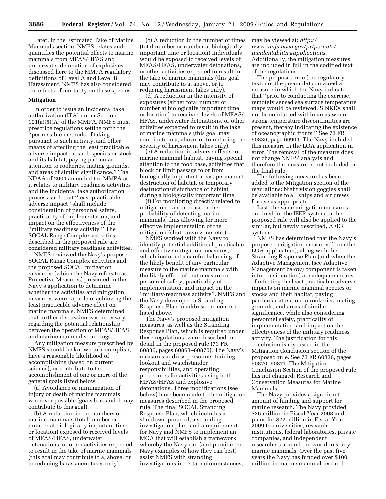Later, in the Estimated Take of Marine Mammals section, NMFS relates and quantifies the potential effects to marine mammals from MFAS/HFAS and underwater detonation of explosives discussed here to the MMPA regulatory definitions of Level A and Level B Harassment. NMFS has also considered the effects of mortality on these species.

#### **Mitigation**

In order to issue an incidental take authorization (ITA) under Section 101(a)(5)(A) of the MMPA, NMFS must prescribe regulations setting forth the ''permissible methods of taking pursuant to such activity, and other means of affecting the least practicable adverse impact on such species or stock and its habitat, paying particular attention to rookeries, mating grounds, and areas of similar significance.'' The NDAA of 2004 amended the MMPA as it relates to military readiness activities and the incidental take authorization process such that ''least practicable adverse impact'' shall include consideration of personnel safety, practicality of implementation, and impact on the effectiveness of the ''military readiness activity.'' The SOCAL Range Complex activities described in the proposed rule are considered military readiness activities.

NMFS reviewed the Navy's proposed SOCAL Range Complex activities and the proposed SOCAL mitigation measures (which the Navy refers to as Protective Measures) presented in the Navy's application to determine whether the activities and mitigation measures were capable of achieving the least practicable adverse effect on marine mammals. NMFS determined that further discussion was necessary regarding the potential relationship between the operation of MFAS/HFAS and marine mammal strandings.

Any mitigation measure prescribed by NMFS should be known to accomplish, have a reasonable likelihood of accomplishing (based on current science), or contribute to the accomplishment of one or more of the general goals listed below:

(a) Avoidance or minimization of injury or death of marine mammals wherever possible (goals b, c, and d may contribute to this goal).

(b) A reduction in the numbers of marine mammals (total number or number at biologically important time or location) exposed to received levels of MFAS/HFAS, underwater detonations, or other activities expected to result in the take of marine mammals (this goal may contribute to a, above, or to reducing harassment takes only).

(c) A reduction in the number of times (total number or number at biologically important time or location) individuals would be exposed to received levels of MFAS/HFAS, underwater detonations, or other activities expected to result in the take of marine mammals (this goal may contribute to a, above, or to reducing harassment takes only).

(d) A reduction in the intensity of exposures (either total number or number at biologically important time or location) to received levels of MFAS/ HFAS, underwater detonations, or other activities expected to result in the take of marine mammals (this goal may contribute to a, above, or to reducing the severity of harassment takes only).

(e) A reduction in adverse effects to marine mammal habitat, paying special attention to the food base, activities that block or limit passage to or from biologically important areas, permanent destruction of habitat, or temporary destruction/disturbance of habitat during a biologically important time.

(f) For monitoring directly related to mitigation—an increase in the probability of detecting marine mammals, thus allowing for more effective implementation of the mitigation (shut-down zone, etc.).

NMFS worked with the Navy to identify potential additional practicable and effective mitigation measures, which included a careful balancing of the likely benefit of any particular measure to the marine mammals with the likely effect of that measure on personnel safety, practicality of implementation, and impact on the ''military-readiness activity''. NMFS and the Navy developed a Stranding Response Plan to address the concern listed above.

The Navy's proposed mitigation measures, as well as the Stranding Response Plan, which is required under these regulations, were described in detail in the proposed rule (73 FR 60836, pages 60863–60870). The Navy's measures address personnel training, lookout and watchstander responsibilities, and operating procedures for activities using both MFAS/HFAS and explosive detonations. Three modifications (see below) have been made to the mitigation measures described in the proposed rule. The final SOCAL Stranding Response Plan, which includes a shutdown protocol, a stranding investigation plan, and a requirement for Navy and NMFS to implement an MOA that will establish a framework whereby the Navy can (and provide the Navy examples of how they can best) assist NMFS with stranding investigations in certain circumstances,

may be viewed at: *http:// www.nmfs.noaa.gov/pr/permits/ incidental.htm#applications.*  Additionally, the mitigation measures are included in full in the codified text of the regulations.

The proposed rule (the regulatory text, not the preamble) contained a measure in which the Navy indicated that ''prior to conducting the exercise, remotely sensed sea surface temperature maps would be reviewed. SINKEX shall not be conducted within areas where strong temperature discontinuities are present, thereby indicating the existence of oceanographic fronts.'' See 73 FR 60836, page 60904. The Navy included this measure in the LOA application in error. The removal of the measure does not change NMFS' analysis and therefore the measure is not included in the final rule.

The following measure has been added to the Mitigation section of the regulations: Night vision goggles shall be available to all ships and air crews for use as appropriate.

Last, the same mitigation measures outlined for the IEER system in the proposed rule will also be applied to the similar, but newly described, AEER system.

NMFS has determined that the Navy's proposed mitigation measures (from the LOA application), along with the Stranding Response Plan (and when the Adaptive Management (see Adaptive Management below) component is taken into consideration) are adequate means of effecting the least practicable adverse impacts on marine mammal species or stocks and their habitat, paying particular attention to rookeries, mating grounds, and areas of similar significance, while also considering personnel safety, practicality of implementation, and impact on the effectiveness of the military readiness activity. The justification for this conclusion is discussed in the Mitigation Conclusion section of the proposed rule. See 73 FR 60836, pages 60870–60871. The Mitigation Conclusion Section of the proposed rule has not changed. Research and Conservation Measures for Marine Mammals.

The Navy provides a significant amount of funding and support for marine research. The Navy provided \$26 million in Fiscal Year 2008 and plans for \$22 million in Fiscal Year 2009 to universities, research institutions, federal laboratories, private companies, and independent researchers around the world to study marine mammals. Over the past five years the Navy has funded over \$100 million in marine mammal research.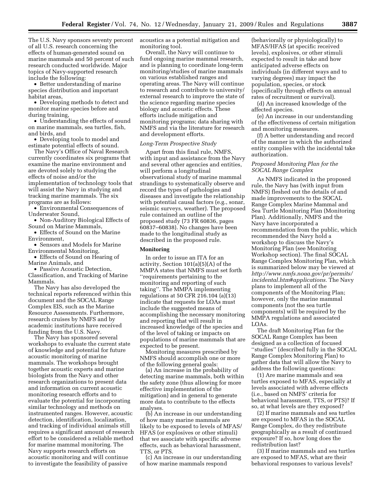The U.S. Navy sponsors seventy percent of all U.S. research concerning the effects of human-generated sound on marine mammals and 50 percent of such research conducted worldwide. Major topics of Navy-supported research include the following:

• Better understanding of marine species distribution and important habitat areas,

• Developing methods to detect and monitor marine species before and during training,

• Understanding the effects of sound on marine mammals, sea turtles, fish, and birds, and

• Developing tools to model and estimate potential effects of sound.

The Navy's Office of Naval Research currently coordinates six programs that examine the marine environment and are devoted solely to studying the effects of noise and/or the implementation of technology tools that will assist the Navy in studying and tracking marine mammals. The six programs are as follows:

• Environmental Consequences of Underwater Sound,

• Non-Auditory Biological Effects of Sound on Marine Mammals,

• Effects of Sound on the Marine Environment,

• Sensors and Models for Marine Environmental Monitoring,

• Effects of Sound on Hearing of Marine Animals, and

• Passive Acoustic Detection,

Classification, and Tracking of Marine Mammals.

The Navy has also developed the technical reports referenced within this document and the SOCAL Range Complex EIS, such as the Marine Resource Assessments. Furthermore, research cruises by NMFS and by academic institutions have received funding from the U.S. Navy.

The Navy has sponsored several workshops to evaluate the current state of knowledge and potential for future acoustic monitoring of marine mammals. The workshops brought together acoustic experts and marine biologists from the Navy and other research organizations to present data and information on current acoustic monitoring research efforts and to evaluate the potential for incorporating similar technology and methods on instrumented ranges. However, acoustic detection, identification, localization, and tracking of individual animals still requires a significant amount of research effort to be considered a reliable method for marine mammal monitoring. The Navy supports research efforts on acoustic monitoring and will continue to investigate the feasibility of passive

acoustics as a potential mitigation and monitoring tool.

Overall, the Navy will continue to fund ongoing marine mammal research, and is planning to coordinate long-term monitoring/studies of marine mammals on various established ranges and operating areas. The Navy will continue to research and contribute to university/ external research to improve the state of the science regarding marine species biology and acoustic effects. These efforts include mitigation and monitoring programs; data sharing with NMFS and via the literature for research and development efforts.

#### *Long-Term Prospective Study*

Apart from this final rule, NMFS, with input and assistance from the Navy and several other agencies and entities, will perform a longitudinal observational study of marine mammal strandings to systematically observe and record the types of pathologies and diseases and investigate the relationship with potential causal factors (e.g., sonar, seismic surveys, weather). The proposed rule contained an outline of the proposed study (73 FR 60836, pages 60837–60838). No changes have been made to the longitudinal study as described in the proposed rule.

# **Monitoring**

In order to issue an ITA for an activity, Section 101(a)(5)(A) of the MMPA states that NMFS must set forth ''requirements pertaining to the monitoring and reporting of such taking''. The MMPA implementing regulations at 50 CFR 216.104 (a)(13) indicate that requests for LOAs must include the suggested means of accomplishing the necessary monitoring and reporting that will result in increased knowledge of the species and of the level of taking or impacts on populations of marine mammals that are expected to be present.

Monitoring measures prescribed by NMFS should accomplish one or more of the following general goals:

(a) An increase in the probability of detecting marine mammals, both within the safety zone (thus allowing for more effective implementation of the mitigation) and in general to generate more data to contribute to the effects analyses.

(b) An increase in our understanding of how many marine mammals are likely to be exposed to levels of MFAS/ HFAS (or explosives or other stimuli) that we associate with specific adverse effects, such as behavioral harassment, TTS, or PTS.

(c) An increase in our understanding of how marine mammals respond

(behaviorally or physiologically) to MFAS/HFAS (at specific received levels), explosives, or other stimuli expected to result in take and how anticipated adverse effects on individuals (in different ways and to varying degrees) may impact the population, species, or stock (specifically through effects on annual rates of recruitment or survival).

(d) An increased knowledge of the affected species.

(e) An increase in our understanding of the effectiveness of certain mitigation and monitoring measures.

(f) A better understanding and record of the manner in which the authorized entity complies with the incidental take authorization.

#### *Proposed Monitoring Plan for the SOCAL Range Complex*

As NMFS indicated in the proposed rule, the Navy has (with input from NMFS) fleshed out the details of and made improvements to the SOCAL Range Complex Marine Mammal and Sea Turtle Monitoring Plan (Monitoring Plan). Additionally, NMFS and the Navy have incorporated a recommendation from the public, which recommended the Navy hold a workshop to discuss the Navy's Monitoring Plan (see Monitoring Workshop section). The final SOCAL Range Complex Monitoring Plan, which is summarized below may be viewed at *http://www.nmfs.noaa.gov/pr/permits/ incidental.htm#applications.* The Navy plans to implement all of the components of the Monitoring Plan; however, only the marine mammal components (not the sea turtle components) will be required by the MMPA regulations and associated LOAs.

The draft Monitoring Plan for the SOCAL Range Complex has been designed as a collection of focused ''studies'' (described fully in the SOCAL Range Complex Monitoring Plan) to gather data that will allow the Navy to address the following questions:

(1) Are marine mammals and sea turtles exposed to MFAS, especially at levels associated with adverse effects (i.e., based on NMFS' criteria for behavioral harassment, TTS, or PTS)? If so, at what levels are they exposed?

(2) If marine mammals and sea turtles are exposed to MFAS in the SOCAL Range Complex, do they redistribute geographically as a result of continued exposure? If so, how long does the redistribution last?

(3) If marine mammals and sea turtles are exposed to MFAS, what are their behavioral responses to various levels?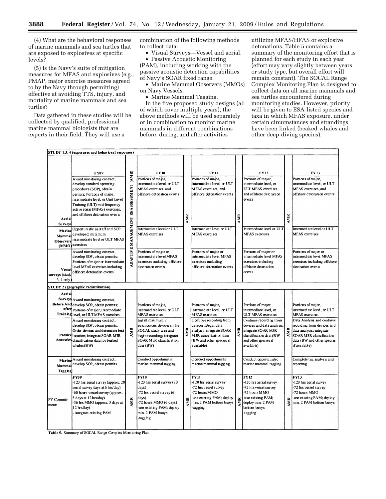(4) What are the behavioral responses of marine mammals and sea turtles that are exposed to explosives at specific levels?

(5) Is the Navy's suite of mitigation measures for MFAS and explosives (e.g., PMAP, major exercise measures agreed to by the Navy through permitting) effective at avoiding TTS, injury, and mortality of marine mammals and sea turtles?

Data gathered in these studies will be collected by qualified, professional marine mammal biologists that are experts in their field. They will use a

combination of the following methods to collect data:

• Visual Surveys—Vessel and aerial.

• Passive Acoustic Monitoring (PAM), including working with the passive acoustic detection capabilities of Navy's SOAR fixed range.

• Marine Mammal Observers (MMOs) on Navy Vessels.

• Marine Mammal Tagging.

In the five proposed study designs (all of which cover multiple years), the above methods will be used separately or in combination to monitor marine mammals in different combinations before, during, and after activities

utilizing MFAS/HFAS or explosive detonations. Table 5 contains a summary of the monitoring effort that is planned for each study in each year (effort may vary slightly between years or study type, but overall effort will remain constant). The SOCAL Range Complex Monitoring Plan is designed to collect data on all marine mammals and sea turtles encountered during monitoring studies. However, priority will be given to ESA-listed species and taxa in which MFAS exposure, under certain circumstances and strandings have been linked (beaked whales and other deep-diving species).

|                                                                   | STUDY 1,3,4 (exposures and behavioral responses)                                                                                                                                                                                                                                                                                                                                                                                                                                                       |                                              |                                                                                                                                                                                                                                                       |     |                                                                                                                                                                                                                                                                              |     |                                                                                                                                                                                                                                                  |            |                                                                                                                                                                                                                                                                                         |
|-------------------------------------------------------------------|--------------------------------------------------------------------------------------------------------------------------------------------------------------------------------------------------------------------------------------------------------------------------------------------------------------------------------------------------------------------------------------------------------------------------------------------------------------------------------------------------------|----------------------------------------------|-------------------------------------------------------------------------------------------------------------------------------------------------------------------------------------------------------------------------------------------------------|-----|------------------------------------------------------------------------------------------------------------------------------------------------------------------------------------------------------------------------------------------------------------------------------|-----|--------------------------------------------------------------------------------------------------------------------------------------------------------------------------------------------------------------------------------------------------|------------|-----------------------------------------------------------------------------------------------------------------------------------------------------------------------------------------------------------------------------------------------------------------------------------------|
| Aerial<br><b>Surveys</b><br>Marine<br><b>Mammal</b><br>Obse rvers | <b>FY09</b><br>Award monitoring contract,<br>develop standard operating<br>procedures (SOP), obtain<br>permits; Portions of major,<br>intermediate level, or Unit Level<br>Training (ULT) mid-frequency<br>active sonar (MFAS) exercises,<br>and offshore detonation events<br>Opportunistic as staff and SOP<br>developed; minimum<br>intermediate level or ULT MFAS<br>(MMO) <sup>exercises</sup><br>Award monitoring contract,<br>develop SOP, obtain permits;<br>Portions of major or intermediate | (AMR)<br>REASSESSMENT<br>ADAPTIVE MANAGEMENT | <b>FY10</b><br>Portions of major,<br>ntermediate level, or ULT<br>MFAS exercises, and<br>offshore detonation events<br>Intermediate level or ULT<br>MFAS exercises<br>Portions of major or<br>intermediate level MFAS<br>exercises including offshore | AMR | FY11<br>Portions of major,<br>intermediate level, or ULT<br>MFAS exercises, and<br>offshore detonation events<br>Intermediate level or ULT<br>MFAS exercises<br>Portions of major or<br>intermediate level MFAS<br>exercises including                                       | AMR | <b>FY12</b><br>Portions of major,<br>intermediate level, or<br>ULT MFAS exercises.<br>and offshore detonation<br>events<br>Intermediate level or ULT<br>MFAS exercises<br>Portions of major or<br>intermediate level MFAS<br>exercises including | <b>MIR</b> | <b>FY13</b><br>Portions of major,<br>intermediate level, or ULT<br>MFAS exercises, and<br>offshore detonation events<br>Intermediate level or ULT<br>MFAS exercises<br>Portions of major or<br>intermediate level MFAS<br>exercises including offshore                                  |
| Vessel<br>surveys (study<br>$3, 4$ only                           | level MFAS exercises including<br>offshore detonation events                                                                                                                                                                                                                                                                                                                                                                                                                                           |                                              | detonation events                                                                                                                                                                                                                                     |     | offshore detonation events                                                                                                                                                                                                                                                   |     | offshore detonation<br>events                                                                                                                                                                                                                    |            | detonation events                                                                                                                                                                                                                                                                       |
|                                                                   | STUDY 2 (geographic redistribution)                                                                                                                                                                                                                                                                                                                                                                                                                                                                    |                                              |                                                                                                                                                                                                                                                       |     |                                                                                                                                                                                                                                                                              |     |                                                                                                                                                                                                                                                  |            |                                                                                                                                                                                                                                                                                         |
| Aerial                                                            | Surveys Award monitormg contract,<br>Before And develop SOP, obtain permits;<br>After Portions of major, intermediate<br>Training level, or ULT MFAS exercises<br>Award monitormg contract,<br>develop SOP, obtain permits;<br>Order devices and determine best<br>Passive location; integrate SOAR M3R<br>Acoustics classification data for beaked<br>whales (BW)                                                                                                                                     | <b>AMR</b>                                   | Portions of major,<br>intermediate level. or ULT<br>MFAS exercises<br>Install minimum 2<br>autonomous devices in the<br>SOCAL study area and<br>begin recording; integrate<br>SOAR M3R classification<br>data (BW)<br>Conduct opportunistic           |     | Portions of major,<br>intermediate level, or ULT<br>MFAS exercises<br>Continue recording from<br>devices; Begin data<br>analysis; integrate SOAR<br>M3R classification data<br>analysis; integrate SOAR<br>(BW and other species if<br>a vai lable)<br>Conduct opportunistic | AMR | Portions of major,<br>intermediate level, or<br>ULT MFAS exercises<br>Continue recording from<br>devices and data analysis;<br>integrate SOAR M3R<br>classification data (BW<br>and other species if<br>available)<br>Conduct opportunistic      |            | Portions of major,<br>intermediate level, or ULT<br>MFAS exercises<br>Data Analysis and continue<br>recording from devices and<br>$\sum_{n=1}^{\infty}$ data analysis; integrate<br>SOAR M3R classification<br>data (BW and other species<br>if available)<br>Complete tag analysis and |
| Mammal<br>Tagging                                                 | Marine Award monitoring contract,<br>develop SOP, obtain permits                                                                                                                                                                                                                                                                                                                                                                                                                                       |                                              | marine mammal tagging                                                                                                                                                                                                                                 |     | marine mammal tagging                                                                                                                                                                                                                                                        |     | marme mammal tagging                                                                                                                                                                                                                             |            | reporting                                                                                                                                                                                                                                                                               |
| FY Commit-<br>ment:                                               | <b>FY09</b><br>120 hrs aerial survey (approx. 20<br>aerial survey days at 6 hrs/day)<br>-60 hours vessel survey (approx.<br>5 days at 12 hrs/day)<br>-36 hrs MMO (approx. 3 days at<br>12 hrs/day)<br>mtegrate existing PAM                                                                                                                                                                                                                                                                            | ×<br>ξ                                       | <b>FY10</b><br>-120 hrs aerial survey (20<br>days)<br>-72 hrs vessel survey (6<br>days)<br>-72 hours MMO (6 days)<br>-use existing PAM; deploy<br>min. 2 PAM buoys<br>tagging                                                                         | AMR | <b>FY11</b><br>-120 hrs aerial survey<br>-72 hrs vessel survey<br>-72 hours MMO<br>-use existing PAM; deploy<br>mm. 2 PAM bottom buoys<br>tagging                                                                                                                            | AMR | FY12<br>-120 hrs aerial survey<br>-72 hrs vessel survey<br>-72 hours MMO<br>use existing PAM;<br>deploy min. 2 PAM<br>bottom buoys<br>+agging                                                                                                    | ĸ<br>ξ.    | <b>FY13</b><br>-120 hrs aerial survey<br>-72 hrs vessel survey<br>-72 hours MMO<br>-use existing PAM; deploy<br>min. 2 PAM bottom buoys                                                                                                                                                 |

Table 5. Summary of SOCAL Range Complex Monitoring Plan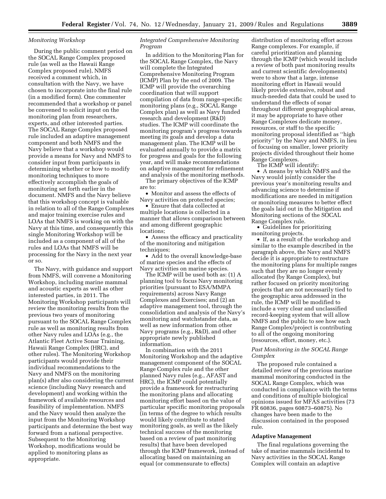#### *Monitoring Workshop*

During the public comment period on the SOCAL Range Complex proposed rule (as well as the Hawaii Range Complex proposed rule), NMFS received a comment which, in consultation with the Navy, we have chosen to incorporate into the final rule (in a modified form). One commenter recommended that a workshop or panel be convened to solicit input on the monitoring plan from researchers, experts, and other interested parties. The SOCAL Range Complex proposed rule included an adaptive management component and both NMFS and the Navy believe that a workshop would provide a means for Navy and NMFS to consider input from participants in determining whether or how to modify monitoring techniques to more effectively accomplish the goals of monitoring set forth earlier in the document. NMFS and the Navy believe that this workshop concept is valuable in relation to all of the Range Complexes and major training exercise rules and LOAs that NMFS is working on with the Navy at this time, and consequently this single Monitoring Workshop will be included as a component of all of the rules and LOAs that NMFS will be processing for the Navy in the next year or so.

The Navy, with guidance and support from NMFS, will convene a Monitoring Workshop, including marine mammal and acoustic experts as well as other interested parties, in 2011. The Monitoring Workshop participants will review the monitoring results from the previous two years of monitoring pursuant to the SOCAL Range Complex rule as well as monitoring results from other Navy rules and LOAs (e.g., the Atlantic Fleet Active Sonar Training, Hawaii Range Complex (HRC), and other rules). The Monitoring Workshop participants would provide their individual recommendations to the Navy and NMFS on the monitoring plan(s) after also considering the current science (including Navy research and development) and working within the framework of available resources and feasibility of implementation. NMFS and the Navy would then analyze the input from the Monitoring Workshop participants and determine the best way forward from a national perspective. Subsequent to the Monitoring Workshop, modifications would be applied to monitoring plans as appropriate.

# *Integrated Comprehensive Monitoring Program*

In addition to the Monitoring Plan for the SOCAL Range Complex, the Navy will complete the Integrated Comprehensive Monitoring Program (ICMP) Plan by the end of 2009. The ICMP will provide the overarching coordination that will support compilation of data from range-specific monitoring plans (e.g., SOCAL Range Complex plan) as well as Navy funded research and development (R&D) studies. The ICMP will coordinate the monitoring program's progress towards meeting its goals and develop a data management plan. The ICMP will be evaluated annually to provide a matrix for progress and goals for the following year, and will make recommendations on adaptive management for refinement and analysis of the monitoring methods.

The primary objectives of the ICMP are to:

• Monitor and assess the effects of Navy activities on protected species;

• Ensure that data collected at multiple locations is collected in a manner that allows comparison between and among different geographic locations;

• Assess the efficacy and practicality of the monitoring and mitigation techniques;

• Add to the overall knowledge-base of marine species and the effects of Navy activities on marine species.

The ICMP will be used both as: (1) A planning tool to focus Navy monitoring priorities (pursuant to ESA/MMPA requirements) across Navy Range Complexes and Exercises; and (2) an adaptive management tool, through the consolidation and analysis of the Navy's monitoring and watchstander data, as well as new information from other Navy programs (e.g., R&D), and other appropriate newly published information.

In combination with the 2011 Monitoring Workshop and the adaptive management component of the SOCAL Range Complex rule and the other planned Navy rules (e.g., AFAST and HRC), the ICMP could potentially provide a framework for restructuring the monitoring plans and allocating monitoring effort based on the value of particular specific monitoring proposals (in terms of the degree to which results would likely contribute to stated monitoring goals, as well as the likely technical success of the monitoring based on a review of past monitoring results) that have been developed through the ICMP framework, instead of allocating based on maintaining an equal (or commensurate to effects)

distribution of monitoring effort across Range complexes. For example, if careful prioritization and planning through the ICMP (which would include a review of both past monitoring results and current scientific developments) were to show that a large, intense monitoring effort in Hawaii would likely provide extensive, robust and much-needed data that could be used to understand the effects of sonar throughout different geographical areas, it may be appropriate to have other Range Complexes dedicate money, resources, or staff to the specific monitoring proposal identified as ''high priority'' by the Navy and NMFS, in lieu of focusing on smaller, lower priority projects divided throughout their home Range Complexes.

The ICMP will identify:

• A means by which NMFS and the Navy would jointly consider the previous year's monitoring results and advancing science to determine if modifications are needed in mitigation or monitoring measures to better effect the goals laid out in the Mitigation and Monitoring sections of the SOCAL Range Complex rule.

• Guidelines for prioritizing monitoring projects.

• If, as a result of the workshop and similar to the example described in the paragraph above, the Navy and NMFS decide it is appropriate to restructure the monitoring plans for multiple ranges such that they are no longer evenly allocated (by Range Complex), but rather focused on priority monitoring projects that are not necessarily tied to the geographic area addressed in the rule, the ICMP will be modified to include a very clear and unclassified record-keeping system that will allow NMFS and the public to see how each Range Complex/project is contributing to all of the ongoing monitoring (resources, effort, money, etc.).

# *Past Monitoring in the SOCAL Range Complex*

The proposed rule contained a detailed review of the previous marine mammal monitoring conducted in the SOCAL Range Complex, which was conducted in compliance with the terms and conditions of multiple biological opinions issued for MFAS activities (73 FR 60836, pages 60873–60875). No changes have been made to the discussion contained in the proposed rule.

#### **Adaptive Management**

The final regulations governing the take of marine mammals incidental to Navy activities in the SOCAL Range Complex will contain an adaptive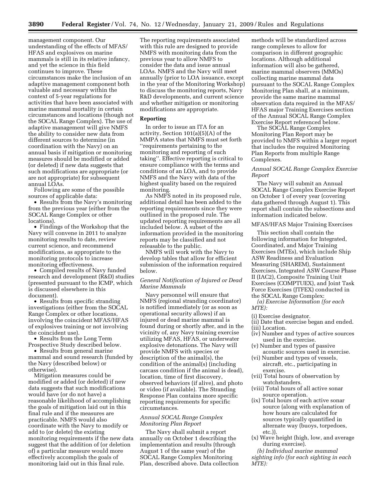management component. Our understanding of the effects of MFAS/ HFAS and explosives on marine mammals is still in its relative infancy, and yet the science in this field continues to improve. These circumstances make the inclusion of an adaptive management component both valuable and necessary within the context of 5-year regulations for activities that have been associated with marine mammal mortality in certain circumstances and locations (though not the SOCAL Range Complex). The use of adaptive management will give NMFS the ability to consider new data from different sources to determine (in coordination with the Navy) on an annual basis if mitigation or monitoring measures should be modified or added (or deleted) if new data suggests that such modifications are appropriate (or are not appropriate) for subsequent annual LOAs.

Following are some of the possible sources of applicable data:

• Results from the Navy's monitoring from the previous year (either from the SOCAL Range Complex or other locations).

• Findings of the Workshop that the Navy will convene in 2011 to analyze monitoring results to date, review current science, and recommend modifications, as appropriate to the monitoring protocols to increase monitoring effectiveness.

• Compiled results of Navy funded research and development (R&D) studies (presented pursuant to the ICMP, which is discussed elsewhere in this document).

• Results from specific stranding investigations (either from the SOCAL Range Complex or other locations, involving the coincident MFAS/HFAS of explosives training or not involving the coincident use).

• Results from the Long Term Prospective Study described below.

• Results from general marine mammal and sound research (funded by the Navy (described below) or otherwise).

Mitigation measures could be modified or added (or deleted) if new data suggests that such modifications would have (or do not have) a reasonable likelihood of accomplishing the goals of mitigation laid out in this final rule and if the measures are practicable. NMFS would also coordinate with the Navy to modify or add to (or delete) the existing monitoring requirements if the new data suggest that the addition of (or deletion of) a particular measure would more effectively accomplish the goals of monitoring laid out in this final rule.

The reporting requirements associated with this rule are designed to provide NMFS with monitoring data from the previous year to allow NMFS to consider the data and issue annual LOAs. NMFS and the Navy will meet annually (prior to LOA issuance, except in the year of the Monitoring Workshop) to discuss the monitoring reports, Navy R&D developments, and current science and whether mitigation or monitoring modifications are appropriate.

# **Reporting**

In order to issue an ITA for an activity, Section 101(a)(5)(A) of the MMPA states that NMFS must set forth ''requirements pertaining to the monitoring and reporting of such taking''. Effective reporting is critical to ensure compliance with the terms and conditions of an LOA, and to provide NMFS and the Navy with data of the highest quality based on the required monitoring.

As NMFS noted in its proposed rule, additional detail has been added to the reporting requirements since they were outlined in the proposed rule. The updated reporting requirements are all included below. A subset of the information provided in the monitoring reports may be classified and not releasable to the public.

NMFS will work with the Navy to develop tables that allow for efficient submission of the information required below.

# *General Notification of Injured or Dead Marine Mammals*

Navy personnel will ensure that NMFS (regional stranding coordinator) is notified immediately (or as soon as operational security allows) if an injured or dead marine mammal is found during or shortly after, and in the vicinity of, any Navy training exercise utilizing MFAS, HFAS, or underwater explosive detonations. The Navy will provide NMFS with species or description of the animal(s), the condition of the animal(s) (including carcass condition if the animal is dead), location, time of first discovery, observed behaviors (if alive), and photo or video (if available). The Stranding Response Plan contains more specific reporting requirements for specific circumstances.

# *Annual SOCAL Range Complex Monitoring Plan Report*

The Navy shall submit a report annually on October 1 describing the implementation and results (through August 1 of the same year) of the SOCAL Range Complex Monitoring Plan, described above. Data collection methods will be standardized across range complexes to allow for comparison in different geographic locations. Although additional information will also be gathered, marine mammal observers (MMOs) collecting marine mammal data pursuant to the SOCAL Range Complex Monitoring Plan shall, at a minimum, provide the same marine mammal observation data required in the MFAS/ HFAS major Training Exercises section of the Annual SOCAL Range Complex Exercise Report referenced below.

The SOCAL Range Complex Monitoring Plan Report may be provided to NMFS within a larger report that includes the required Monitoring Plan Reports from multiple Range Complexes.

# *Annual SOCAL Range Complex Exercise Report*

The Navy will submit an Annual SOCAL Range Complex Exercise Report on October 1 of every year (covering data gathered through August 1). This report shall contain the subsections and information indicated below.

#### MFAS/HFAS Major Training Exercises

This section shall contain the following information for Integrated, Coordinated, and Major Training Exercises (MTEs), which include Ship ASW Readiness and Evaluation Measuring (SHAREM), Sustainment Exercises, Integrated ASW Course Phase II (IAC2), Composite Training Unit Exercises (COMPTUEX), and Joint Task Force Exercises (JTFEX) conducted in the SOCAL Range Complex:

*(a) Exercise Information (for each MTE):* 

- (i) Exercise designator.
- (ii) Date that exercise began and ended.
- (iii) Location.
- (iv) Number and types of active sources used in the exercise.
- (v) Number and types of passive acoustic sources used in exercise.
- (vi) Number and types of vessels, aircraft, etc., participating in exercise.
- (vii) Total hours of observation by watchstanders.
- (viii) Total hours of all active sonar source operation.
- (ix) Total hours of each active sonar source (along with explanation of how hours are calculated for sources typically quantified in alternate way (buoys, torpedoes, etc.)).
- (x) Wave height (high, low, and average during exercise).

*(b) Individual marine mammal sighting info (for each sighting in each MTE):*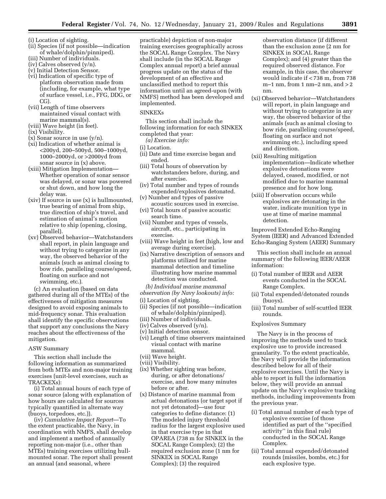- (i) Location of sighting.
- (ii) Species (if not possible—indication of whale/dolphin/pinniped).
- (iii) Number of individuals.
- (iv) Calves observed (y/n).
- (v) Initial Detection Sensor. (vi) Indication of specific type of platform observation made from (including, for example, what type of surface vessel, i.e., FFG, DDG, or CG).
- (vii) Length of time observers maintained visual contact with marine mammal(s).
- (viii) Wave height (in feet). (ix) Visibility.
- $(x)$  Sonar source in use  $(y/n)$ .
- (xi) Indication of whether animal is <200yd, 200–500yd, 500–1000yd, 1000–2000yd, or >2000yd from sonar source in (x) above.
- (xiii) Mitigation Implementation— Whether operation of sonar sensor was delayed, or sonar was powered or shut down, and how long the delay was.
- (xiv) If source in use (x) is hullmounted, true bearing of animal from ship, true direction of ship's travel, and estimation of animal's motion relative to ship (opening, closing, parallel).
- (xv) Observed behavior—Watchstanders shall report, in plain language and without trying to categorize in any way, the observed behavior of the animals (such as animal closing to bow ride, paralleling course/speed, floating on surface and not swimming, etc.).

(c) An evaluation (based on data gathered during all of the MTEs) of the effectiveness of mitigation measures designed to avoid exposing animals to mid-frequency sonar. This evaluation shall identify the specific observations that support any conclusions the Navy reaches about the effectiveness of the mitigation.

# ASW Summary

This section shall include the following information as summarized from both MTEs and non-major training exercises (unit-level exercises, such as TRACKEXs):

(i) Total annual hours of each type of sonar source (along with explanation of how hours are calculated for sources typically quantified in alternate way (buoys, torpedoes, etc.)).

(iv) *Cumulative Impact Report*—To the extent practicable, the Navy, in coordination with NMFS, shall develop and implement a method of annually reporting non-major (i.e., other than MTEs) training exercises utilizing hullmounted sonar. The report shall present an annual (and seasonal, where

practicable) depiction of non-major training exercises geographically across the SOCAL Range Complex. The Navy shall include (in the SOCAL Range Complex annual report) a brief annual progress update on the status of the development of an effective and unclassified method to report this information until an agreed-upon (with NMFS) method has been developed and implemented.

# SINKEXs

This section shall include the following information for each SINKEX completed that year:

- (ii) Date and time exercise began and ended.
- (iii) Total hours of observation by watchstanders before, during, and after exercise.
- (iv) Total number and types of rounds expended/explosives detonated.
- (v) Number and types of passive acoustic sources used in exercise.
- (vi) Total hours of passive acoustic search time.
- (vii) Number and types of vessels, aircraft, etc., participating in exercise.
- (viii) Wave height in feet (high, low and average during exercise).
- (ix) Narrative description of sensors and platforms utilized for marine mammal detection and timeline illustrating how marine mammal detection was conducted.
- *(b) Individual marine mammal*

*observation (by Navy lookouts) info:* 

- (i) Location of sighting.
- (ii) Species (if not possible—indication of whale/dolphin/pinniped).
- (iii) Number of individuals.
- (iv) Calves observed (y/n).
- (v) Initial detection sensor.
- (vi) Length of time observers maintained visual contact with marine mammal.
- (vii) Wave height.
- (viii) Visibility.
- (ix) Whether sighting was before, during, or after detonations/ exercise, and how many minutes before or after.
- (x) Distance of marine mammal from actual detonations (or target spot if not yet detonated)—use four categories to define distance: (1) The modeled injury threshold radius for the largest explosive used in that exercise type in that OPAREA (738 m for SINKEX in the SOCAL Range Complex); (2) the required exclusion zone (1 nm for SINKEX in SOCAL Range Complex); (3) the required

observation distance (if different than the exclusion zone (2 nm for SINKEX in SOCAL Range Complex); and (4) greater than the required observed distance. For example, in this case, the observer would indicate if < 738 m, from 738 m–1 nm, from 1 nm–2 nm, and  $>2$ nm.

- (xi) Observed behavior—Watchstanders will report, in plain language and without trying to categorize in any way, the observed behavior of the animals (such as animal closing to bow ride, paralleling course/speed, floating on surface and not swimming etc.), including speed and direction.
- (xii) Resulting mitigation implementation—Indicate whether explosive detonations were delayed, ceased, modified, or not modified due to marine mammal presence and for how long.
- (xiii) If observation occurs while explosives are detonating in the water, indicate munition type in use at time of marine mammal detection.

Improved Extended Echo-Ranging System (IEER) and Advanced Extended Echo-Ranging System (AEER) Summary

This section shall include an annual summary of the following IEER/AEER information:

- (i) Total number of IEER and AEER events conducted in the SOCAL Range Complex.
- (ii) Total expended/detonated rounds (buoys).
- (iii) Total number of self-scuttled IEER rounds.

#### Explosives Summary

The Navy is in the process of improving the methods used to track explosive use to provide increased granularity. To the extent practicable, the Navy will provide the information described below for all of their explosive exercises. Until the Navy is able to report in full the information below, they will provide an annual update on the Navy's explosive tracking methods, including improvements from the previous year.

- (i) Total annual number of each type of explosive exercise (of those identified as part of the ''specified activity'' in this final rule) conducted in the SOCAL Range Complex.
- (ii) Total annual expended/detonated rounds (missiles, bombs, etc.) for each explosive type.

*<sup>(</sup>a) Exercise info:* 

<sup>(</sup>i) Location.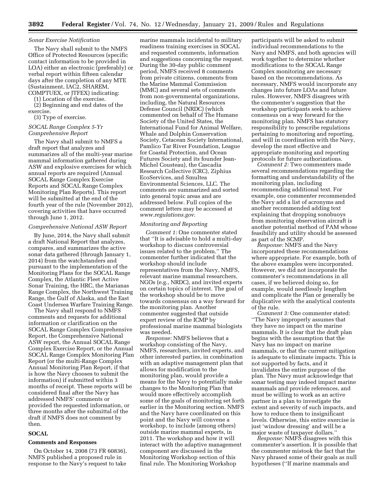#### *Sonar Exercise Notification*

The Navy shall submit to the NMFS Office of Protected Resources (specific contact information to be provided in LOA) either an electronic (preferably) or verbal report within fifteen calendar days after the completion of any MTE (Sustainment, IAC2, SHAREM, COMPTUEX, or JTFEX) indicating:

(1) Location of the exercise.

(2) Beginning and end dates of the exercise.

(3) Type of exercise.

# *SOCAL Range Complex 5-Yr Comprehensive Report*

The Navy shall submit to NMFS a draft report that analyzes and summarizes all of the multi-year marine mammal information gathered during ASW and explosive exercises for which annual reports are required (Annual SOCAL Range Complex Exercise Reports and SOCAL Range Complex Monitoring Plan Reports). This report will be submitted at the end of the fourth year of the rule (November 2012), covering activities that have occurred through June 1, 2012.

#### *Comprehensive National ASW Report*

By June, 2014, the Navy shall submit a draft National Report that analyzes, compares, and summarizes the active sonar data gathered (through January 1, 2014) from the watchstanders and pursuant to the implementation of the Monitoring Plans for the SOCAL Range Complex, the Atlantic Fleet Active Sonar Training, the HRC, the Marianas Range Complex, the Northwest Training Range, the Gulf of Alaska, and the East Coast Undersea Warfare Training Range.

The Navy shall respond to NMFS comments and requests for additional information or clarification on the SOCAL Range Complex Comprehensive Report, the Comprehensive National ASW report, the Annual SOCAL Range Complex Exercise Report, or the Annual SOCAL Range Complex Monitoring Plan Report (or the multi-Range Complex Annual Monitoring Plan Report, if that is how the Navy chooses to submit the information) if submitted within 3 months of receipt. These reports will be considered final after the Navy has addressed NMFS' comments or provided the requested information, or three months after the submittal of the draft if NMFS does not comment by then.

# **SOCAL**

# **Comments and Responses**

On October 14, 2008 (73 FR 60836), NMFS published a proposed rule in response to the Navy's request to take marine mammals incidental to military readiness training exercises in SOCAL and requested comments, information and suggestions concerning the request. During the 30-day public comment period, NMFS received 8 comments from private citizens, comments from the Marine Mammal Commission (MMC) and several sets of comments from non-governmental organizations, including, the Natural Resources Defense Council (NRDC) (which commented on behalf of The Humane Society of the United States, the International Fund for Animal Welfare, Whale and Dolphin Conservation Society, Cetacean Society International, Pamlico Tar River Foundation, League for Coastal Protection, and Ocean Futures Society and its founder Jean-Michel Cousteau), the Cascadia Research Collective (CRC), Ziphius EcoServices, and Smultea Environmental Sciences, LLC. The comments are summarized and sorted into general topic areas and are addressed below. Full copies of the comment letters may be accessed at *www.regulations.gov*.

#### *Monitoring and Reporting*

*Comment 1:* One commenter stated that ''It is advisable to hold a multi-day workshop to discuss controversial issues related to the problem.'' The commenter further indicated that the workshop should include representatives from the Navy, NMFS, relevant marine mammal researchers, NGOs (e.g., NRDC), and invited experts on certain topics of interest. The goal of the workshop should be to move towards consensus on a way forward for the monitoring plan. Another commenter suggested that outside expert review of the ICMP by professional marine mammal biologists was needed.

*Response:* NMFS believes that a workshop consisting of the Navy, NMFS, researchers, invited experts, and other interested parties, in combination with an adaptive management plan that allows for modification to the monitoring plan, would provide a means for the Navy to potentially make changes to the Monitoring Plan that would more effectively accomplish some of the goals of monitoring set forth earlier in the Monitoring section. NMFS and the Navy have coordinated on this point and the Navy will convene a workshop, to include (among others) outside marine mammal experts, in 2011. The workshop and how it will interact with the adaptive management component are discussed in the Monitoring Workshop section of this final rule. The Monitoring Workshop

participants will be asked to submit individual recommendations to the Navy and NMFS, and both agencies will work together to determine whether modifications to the SOCAL Range Complex monitoring are necessary based on the recommendations. As necessary, NMFS would incorporate any changes into future LOAs and future rules. However, NMFS disagrees with the commenter's suggestion that the workshop participants seek to achieve consensus on a way forward for the monitoring plan. NMFS has statutory responsibility to prescribe regulations pertaining to monitoring and reporting, and will in coordination with the Navy, develop the most effective and appropriate monitoring and reporting protocols for future authorizations.

*Comment 2:* Two commenters made several recommendations regarding the formatting and understandability of the monitoring plan, including recommending additional text. For example, one commenter recommended the Navy add a list of acronyms and another recommended adding text explaining that dropping sonobuoys from monitoring observation aircraft is another potential method of PAM whose feasibility and utility should be assessed as part of the SCMP.

*Response:* NMFS and the Navy incorporated these recommendations where appropriate. For example, both of the above examples were incorporated. However, we did not incorporate the commenter's recommendations in all cases, if we believed doing so, for example, would needlessly lengthen and complicate the Plan or generally be duplicative with the analytical contents of the rule.

*Comment 3:* One commenter stated: ''The Navy improperly assumes that they have no impact on the marine mammals. It is clear that the draft plan begins with the assumption that the Navy has no impact on marine mammals, or that the current mitigation is adequate to eliminate impacts. This is not supported by facts, and it invalidates the entire purpose of the plan. The Navy must acknowledge that sonar testing may indeed impact marine mammals and provide references, and must be willing to work as an active partner in a plan to investigate the extent and severity of such impacts, and how to reduce them to insignificant levels. Otherwise, this entire exercise is just 'window dressing' and will be a major waste of taxpayer dollars.''

*Response:* NMFS disagrees with this commenter's assertion. It is possible that the commenter mistook the fact that the Navy phrased some of their goals as null hypotheses (''If marine mammals and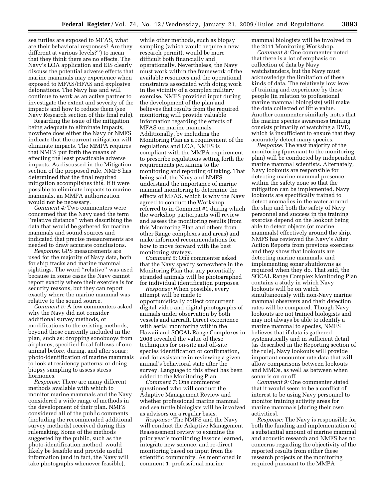sea turtles are exposed to MFAS, what are their behavioral responses? Are they different at various levels?'') to mean that they think there are no effects. The Navy's LOA application and EIS clearly discuss the potential adverse effects that marine mammals may experience when exposed to MFAS/HFAS and explosive detonations. The Navy has and will continue to work as an active partner to investigate the extent and severity of the impacts and how to reduce them (see Navy Research section of this final rule).

Regarding the issue of the mitigation being adequate to eliminate impacts, nowhere does either the Navy or NMFS indicate that the current mitigation will eliminate impacts. The MMPA requires that NMFS put forth the means of effecting the least practicable adverse impacts. As discussed in the Mitigation section of the proposed rule, NMFS has determined that the final required mitigation accomplishes this. If it were possible to eliminate impacts to marine mammals, an MMPA authorization would not be necessary.

*Comment 4:* Two commenters were concerned that the Navy used the term ''relative distance'' when describing the data that would be gathered for marine mammals and sound sources and indicated that precise measurements are needed to draw accurate conclusions.

*Response:* GPS measurements are used for the majority of Navy data, both for ship tracks and marine mammal sightings. The word ''relative'' was used because in some cases the Navy cannot report exactly where their exercise is for security reasons, but they can report exactly where the marine mammal was relative to the sound source.

*Comment 5:* A few commenters asked why the Navy did not consider additional survey methods, or modifications to the existing methods, beyond those currently included in the plan, such as: dropping sonobuoys from airplanes, specified focal follows of one animal before, during, and after sonar; photo-identification of marine mammals to look at residency patterns; or doing biopsy sampling to assess stress hormones.

*Response:* There are many different methods available with which to monitor marine mammals and the Navy considered a wide range of methods in the development of their plan. NMFS considered all of the public comments (including the recommended additional survey methods) received during this rulemaking. Some of the methods suggested by the public, such as the photo-identification method, would likely be feasible and provide useful information (and in fact, the Navy will take photographs whenever feasible),

while other methods, such as biopsy sampling (which would require a new research permit), would be more difficult both financially and operationally. Nevertheless, the Navy must work within the framework of the available resources and the operational constraints associated with doing work in the vicinity of a complex military exercise. NMFS provided input during the development of the plan and believes that results from the required monitoring will provide valuable information regarding the effects of MFAS on marine mammals. Additionally, by including the Monitoring Plan as a requirement of the regulations and LOA, NMFS is compliant with the MMPA requirement to prescribe regulations setting forth the requirements pertaining to the monitoring and reporting of taking. That being said, the Navy and NMFS understand the importance of marine mammal monitoring to determine the effects of MFAS, which is why the Navy agreed to conduct the Workshop referred to in Comment #1 during which the workshop participants will review and assess the monitoring results (from this Monitoring Plan and others from other Range complexes and areas) and make informed recommendations for how to move forward with the best monitoring strategy.

*Comment 6:* One commenter asked that the Navy specify somewhere in the Monitoring Plan that any potentially stranded animals will be photographed for individual identification purposes.

*Response:* When possible, every attempt will be made to opportunistically collect concurrent digital video and digital photographs of animals under observation by both vessels and aircraft. Direct experience with aerial monitoring within the Hawaii and SOCAL Range Complexes in 2008 revealed the value of these techniques for on-site and off-site species identification or confirmation, and for assistance in reviewing a given animal's behavioral state after the survey. Language to this effect has been added to the Monitoring Plan.

*Comment 7:* One commenter questioned who will conduct the Adaptive Management Review and whether professional marine mammal and sea turtle biologists will be involved as advisors on a regular basis.

*Response:* The NMFS and the Navy will conduct the Adaptive Management Reassessment review to examine the prior year's monitoring lessons learned, integrate new science, and re-direct monitoring based on input from the scientific community. As mentioned in comment 1, professional marine

mammal biologists will be involved in the 2011 Monitoring Workshop.

*Comment 8:* One commenter noted that there is a lot of emphasis on collection of data by Navy watchstanders, but the Navy must acknowledge the limitation of these kinds of data. The relatively low level of training and experience by these people (in relation to professional marine mammal biologists) will make the data collected of little value. Another commenter similarly notes that the marine species awareness training consists primarily of watching a DVD, which is insufficient to ensure that they accurately detect many species.

*Response:* The vast majority of the monitoring (pursuant to the monitoring plan) will be conducted by independent marine mammal scientists. Alternately, Navy lookouts are responsible for detecting marine mammal presence within the safety zone so that the mitigation can be implemented. Navy lookouts are specifically trained to detect anomalies in the water around the ship and both the safety of Navy personnel and success in the training exercise depend on the lookout being able to detect objects (or marine mammals) effectively around the ship. NMFS has reviewed the Navy's After Action Reports from previous exercises and they show that lookouts are detecting marine mammals, and implementing sonar shutdowns as required when they do. That said, the SOCAL Range Complex Monitoring Plan contains a study in which Navy lookouts will be on watch simultaneously with non-Navy marine mammal observers and their detection rates will be compared. Though Navy lookouts are not trained biologists and may not always be able to identify a marine mammal to species, NMFS believes that if data is gathered systematically and in sufficient detail (as described in the Reporting section of the rule), Navy lookouts will provide important encounter rate data that will allow comparisons between lookouts and MMOs, as well as between when sonar is on or off.

*Comment 9:* One commenter stated that it would seem to be a conflict of interest to be using Navy personnel to monitor training activity areas for marine mammals [during their own activities].

*Response:* The Navy is responsible for both the funding and implementation of a substantial amount of marine mammal and acoustic research and NMFS has no concerns regarding the objectivity of the reported results from either these research projects or the monitoring required pursuant to the MMPA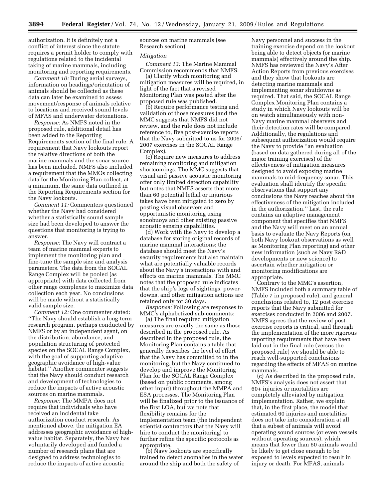authorization. It is definitely not a conflict of interest since the statute requires a permit holder to comply with regulations related to the incidental taking of marine mammals, including monitoring and reporting requirements.

*Comment 10:* During aerial surveys, information on headings/orientation of animals should be collected as these data can later be examined to assess movement/response of animals relative to locations and received sound levels of MFAS and underwater detonations.

*Response:* As NMFS noted in the proposed rule, additional detail has been added to the Reporting Requirements section of the final rule. A requirement that Navy lookouts report the relative directions of both the marine mammals and the sonar source has been included. NMFS also included a requirement that the MMOs collecting data for the Monitoring Plan collect, at a minimum, the same data outlined in the Reporting Requirements section for the Navy lookouts.

*Comment 11:* Commenters questioned whether the Navy had considered whether a statistically sound sample size had been developed to answer the questions that monitoring is trying to answer.

*Response:* The Navy will contract a team of marine mammal experts to implement the monitoring plan and fine-tune the sample size and analysis parameters. The data from the SOCAL Range Complex will be pooled (as appropriate) with data collected from other range complexes to maximize data collection each year. No conclusions will be made without a statistically valid sample size.

*Comment 12:* One commenter stated: ''The Navy should establish a long-term research program, perhaps conducted by NMFS or by an independent agent, on the distribution, abundance, and population structuring of protected species on the SOCAL Range Complex, with the goal of supporting adaptive geographic avoidance of high-value habitat.'' Another commenter suggests that the Navy should conduct research and development of technologies to reduce the impacts of active acoustic sources on marine mammals.

*Response:* The MMPA does not require that individuals who have received an incidental take authorization conduct research. As mentioned above, the mitigation EA addresses geographic avoidance of highvalue habitat. Separately, the Navy has voluntarily developed and funded a number of research plans that are designed to address technologies to reduce the impacts of active acoustic

sources on marine mammals (see Research section).

#### *Mitigation*

*Comment 13:* The Marine Mammal Commission recommends that NMFS:

(a) Clarify which monitoring and mitigation measures will be required, in light of the fact that a revised Monitoring Plan was posted after the proposed rule was published.

(b) Require performance testing and validation of those measures (and the MMC suggests that NMFS did not review, and the rule does not include reference to, five post-exercise reports that the Navy submitted to us for 2006/ 2007 exercises in the SOCAL Range Complex).

(c) Require new measures to address remaining monitoring and mitigation shortcomings. The MMC suggests that visual and passive acoustic monitoring offer only limited detection capability but notes that NMFS asserts that more than 60 potential lethal or injurious takes have been mitigated to zero by posting visual observers and opportunistic monitoring using sonobuoys and other existing passive acoustic sensing capabilities.

(d) Work with the Navy to develop a database for storing original records of marine mammal interactions; the database should meet the Navy's security requirements but also maintain what are potentially valuable records about the Navy's interactions with and effects on marine mammals. The MMC notes that the proposed rule indicates that the ship's logs of sightings, powerdowns, and other mitigation actions are retained only for 30 days.

*Response:* Following are responses to MMC's alphabetized sub-comments:

(a) The final required mitigation measures are exactly the same as those described in the proposed rule. As described in the proposed rule, the Monitoring Plan contains a table that generally describes the level of effort that the Navy has committed to in the monitoring, but the Navy continued to develop and improve the Monitoring Plan for the SOCAL Range Complex (based on public comments, among other input) throughout the MMPA and ESA processes. The Monitoring Plan will be finalized prior to the issuance of the first LOA, but we note that flexibility remains for the implementation team (the independent scientist contractors that the Navy will hire to conduct the monitoring) to further refine the specific protocols as appropriate.

(b) Navy lookouts are specifically trained to detect anomalies in the water around the ship and both the safety of

Navy personnel and success in the training exercise depend on the lookout being able to detect objects (or marine mammals) effectively around the ship. NMFS has reviewed the Navy's After Action Reports from previous exercises and they show that lookouts are detecting marine mammals and implementing sonar shutdowns as required. That said, the SOCAL Range Complex Monitoring Plan contains a study in which Navy lookouts will be on watch simultaneously with non-Navy marine mammal observers and their detection rates will be compared. Additionally, the regulations and subsequent authorization would require the Navy to provide ''an evaluation (based on data gathered during all of the major training exercises) of the effectiveness of mitigation measures designed to avoid exposing marine mammals to mid-frequency sonar. This evaluation shall identify the specific observations that support any conclusions the Navy reaches about the effectiveness of the mitigation included in the authorization.'' Last, the rule contains an adaptive management component that specifies that NMFS and the Navy will meet on an annual basis to evaluate the Navy Reports (on both Navy lookout observations as well as Monitoring Plan reporting) and other new information (such as Navy R&D developments or new science) to ascertain whether mitigation or monitoring modifications are appropriate.

Contrary to the MMC's assertion, NMFS included both a summary table of (Table 7 in proposed rule), and general conclusions related to, 12 post exercise reports that the Navy submitted for exercises conducted in 2006 and 2007. NMFS agrees that the review of postexercise reports is critical, and through the implementation of the more rigorous reporting requirements that have been laid out in the final rule (versus the proposed rule) we should be able to reach well-supported conclusions regarding the effects of MFAS on marine mammals.

(c) As described in the proposed rule, NMFS's analysis does not assert that 60+ injuries or mortalities are completely alleviated by mitigation implementation. Rather, we explain that, in the first place, the model that estimated 60 injuries and mortalities does not take into consideration at all that a subset of animals will avoid operating sound sources (or even vessels without operating sources), which means that fewer than 60 animals would be likely to get close enough to be exposed to levels expected to result in injury or death. For MFAS, animals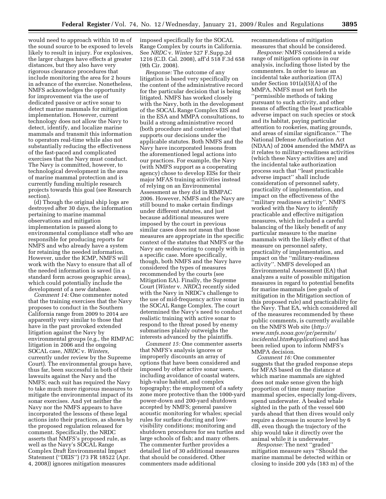would need to approach within 10 m of the sound source to be exposed to levels likely to result in injury. For explosives, the larger charges have effects at greater distances, but they also have very rigorous clearance procedures that include monitoring the area for 2 hours in advance of the exercise. Nonetheless, NMFS acknowledges the opportunity for improvement via the use of dedicated passive or active sonar to detect marine mammals for mitigation implementation. However, current technology does not allow the Navy to detect, identify, and localize marine mammals and transmit this information to operators real-time while also not substantially reducing the effectiveness of the fast-paced and complicated exercises that the Navy must conduct. The Navy is committed, however, to technological development in the area of marine mammal protection and is currently funding multiple research projects towards this goal (see Research section).

(d) Though the original ship logs are destroyed after 30 days, the information pertaining to marine mammal observations and mitigation implementation is passed along to environmental compliance staff who are responsible for producing reports for NMFS and who already have a system for retaining the needed information. However, under the ICMP, NMFS will work with the Navy to ensure that all of the needed information is saved (in a standard form across geographic areas), which could potentially include the development of a new database.

*Comment 14:* One commenter noted that the training exercises that the Navy proposes to conduct in the Southern California range from 2009 to 2014 are apparently very similar to those that have in the past provoked extended litigation against the Navy by environmental groups (e.g., the RIMPAC litigation in 2006 and the ongoing SOCAL case, *NRDC* v. *Winters,*  currently under review by the Supreme Court). The environmental groups have, thus far, been successful in both of their lawsuits against the Navy and the NMFS; each suit has required the Navy to take much more rigorous measures to mitigate the environmental impact of its sonar exercises. And yet neither the Navy nor the NMFS appears to have incorporated the lessons of these legal actions into their practices, as shown by the proposed regulation released for comment. Specifically, the NRDC asserts that NMFS's proposed rule, as well as the Navy's SOCAL Range Complex Draft Environmental Impact Statement (''DEIS'') (73 FR 18522 (Apr. 4, 2008)) ignores mitigation measures

imposed specifically for the SOCAL Range Complex by courts in California. See *NRDC* v. *Winter* 527 F.Supp.2d 1216 (C.D. Cal. 2008), aff'd 518 F.3d 658 (9th Cir. 2008).

*Response:* The outcome of any litigation is based very specifically on the content of the administrative record for the particular decision that is being litigated. NMFS has worked closely with the Navy, both in the development of the SOCAL Range Complex EIS and in the ESA and MMPA consultations, to build a strong administrative record (both procedure and content-wise) that supports our decisions under the applicable statutes. Both NMFS and the Navy have incorporated lessons from the aforementioned legal actions into our practices. For example, the Navy (with NMFS support as a cooperating agency) chose to develop EISs for their major MFAS training activities instead of relying on an Environmental Assessment as they did in RIMPAC 2006. However, NMFS and the Navy are still bound to make certain findings under different statutes, and just because additional measures were imposed by the court in previous similar cases does not mean that those measures are appropriate in the specific context of the statutes that NMFS or the Navy are endeavoring to comply with in a specific case. More specifically, though, both NMFS and the Navy have considered the types of measures recommended by the courts (see Mitigation EA). Finally, the Supreme Court (*Winter* v. *NRDC*) recently sided with the Navy in NRDC's challenge to the use of mid-frequency active sonar in the SOCAL Range Complex. The court determined the Navy's need to conduct realistic training with active sonar to respond to the threat posed by enemy submarines plainly outweighs the interests advanced by the plaintiffs.

*Comment 15:* One commenter asserts that NMFS's analysis ignores or improperly discounts an array of options that have been considered and imposed by other active sonar users, including avoidance of coastal waters, high-value habitat, and complex topography; the employment of a safety zone more protective than the 1000-yard power-down and 200-yard shutdown accepted by NMFS; general passive acoustic monitoring for whales; special rules for surface ducting and lowvisibility conditions; monitoring and shutdown procedures for sea turtles and large schools of fish; and many others. The commenter further provides a detailed list of 30 additional measures that should be considered. Other commenters made additional

recommendations of mitigation measures that should be considered.

*Response:* NMFS considered a wide range of mitigation options in our analysis, including those listed by the commenters. In order to issue an incidental take authorization (ITA) under Section 101(a)(5)(A) of the MMPA, NMFS must set forth the ''permissible methods of taking pursuant to such activity, and other means of affecting the least practicable adverse impact on such species or stock and its habitat, paying particular attention to rookeries, mating grounds, and areas of similar significance.'' The National Defense Authorization Act (NDAA) of 2004 amended the MMPA as it relates to military-readiness activities (which these Navy activities are) and the incidental take authorization process such that ''least practicable adverse impact'' shall include consideration of personnel safety, practicality of implementation, and impact on the effectiveness of the ''military readiness activity''. NMFS worked with the Navy to identify practicable and effective mitigation measures, which included a careful balancing of the likely benefit of any particular measure to the marine mammals with the likely effect of that measure on personnel safety, practicality of implementation, and impact on the ''military-readiness activity''. NMFS developed an Environmental Assessment (EA) that analyzes a suite of possible mitigation measures in regard to potential benefits for marine mammals (see goals of mitigation in the Mitigation section of this proposed rule) and practicability for the Navy. That EA, which considered all of the measures recommended by these public comments, is currently available on the NMFS Web site (*http:// www.nmfs.noaa.gov/pr/permits/ incidental.htm#applications*) and has been relied upon to inform NMFS's MMPA decision.

*Comment 16:* One commenter suggests that the graded response steps for MFAS based on the distance at which marine mammals are sighted does not make sense given the high proportion of time many marine mammal species, especially long-divers, spend underwater. A beaked whale sighted in the path of the vessel 600 yards ahead that then dives would only require a decrease in source level by 6 dB, even though the trajectory of the ship would take it directly over the animal while it is underwater.

*Response:* The next ''graded'' mitigation measure says ''Should the marine mammal be detected within or closing to inside 200 yds (183 m) of the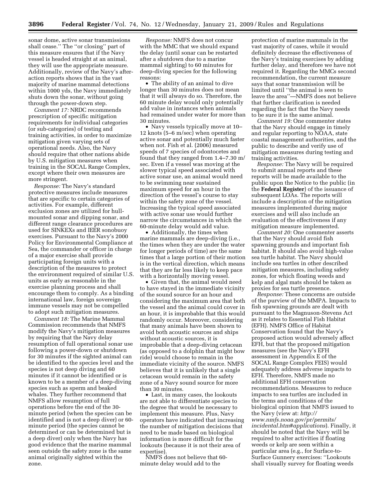sonar dome, active sonar transmissions shall cease.'' The ''or closing'' part of this measure ensures that if the Navy vessel is headed straight at an animal, they will use the appropriate measure. Additionally, review of the Navy's afteraction reports shows that in the vast majority of marine mammal detections within 1000 yds, the Navy immediately shuts down the sonar, without going through the power-down step.

*Comment 17:* NRDC recommends prescription of specific mitigation requirements for individual categories (or sub-categories) of testing and training activities, in order to maximize mitigation given varying sets of operational needs. Also, the Navy should require that other nations abide by U.S. mitigation measures when training in the SOCAL Range Complex, except where their own measures are more stringent.

*Response:* The Navy's standard protective measures include measures that are specific to certain categories of activities. For example, different exclusion zones are utilized for hullmounted sonar and dipping sonar, and different range clearance procedures are used for SINKEXs and IEER sonobuoy exercises. Pursuant to the Navy's 2000 Policy for Environmental Compliance at Sea, the commander or officer in charge of a major exercise shall provide participating foreign units with a description of the measures to protect the environment required of similar U.S. units as early as reasonable in the exercise planning process and shall encourage them to comply. As a binding international law, foreign sovereign immune vessels may not be compelled to adopt such mitigation measures.

*Comment 18:* The Marine Mammal Commission recommends that NMFS modify the Navy's mitigation measures by requiring that the Navy delay resumption of full operational sonar use following a power-down or shutdown for 30 minutes if the sighted animal can be identified to the species level and the species is not deep diving and 60 minutes if it cannot be identified or is known to be a member of a deep-diving species such as sperm and beaked whales. They further recommend that NMFS allow resumption of full operations before the end of the 30 minute period (when the species can be identified and is not a deep diver) or 60 minute period (the species cannot be determined or can be determined but is a deep diver) only when the Navy has good evidence that the marine mammal seen outside the safety zone is the same animal originally sighted within the zone.

*Response:* NMFS does not concur with the MMC that we should expand the delay (until sonar can be restarted after a shutdown due to a marine mammal sighting) to 60 minutes for deep-diving species for the following reasons:

• The ability of an animal to dive longer than 30 minutes does not mean that it will always do so. Therefore, the 60 minute delay would only potentially add value in instances when animals had remained under water for more than 30 minutes.

• Navy vessels typically move at 10– 12 knots (5–6 m/sec) when operating active sonar and potentially much faster when not. Fish et al. (2006) measured speeds of 7 species of odontocetes and found that they ranged from 1.4–7.30 m/ sec. Even if a vessel was moving at the slower typical speed associated with active sonar use, an animal would need to be swimming near sustained maximum speed for an hour in the direction of the vessel's course to stay within the safety zone of the vessel. Increasing the typical speed associated with active sonar use would further narrow the circumstances in which the 60-minute delay would add value.

• Additionally, the times when marine mammals are deep-diving (i.e., the times when they are under the water for longer periods of time) are the same times that a large portion of their motion is in the vertical direction, which means that they are far less likely to keep pace with a horizontally moving vessel.

• Given that, the animal would need to have stayed in the immediate vicinity of the sound source for an hour and considering the maximum area that both the vessel and the animal could cover in an hour, it is improbable that this would randomly occur. Moreover, considering that many animals have been shown to avoid both acoustic sources and ships without acoustic sources, it is improbable that a deep-diving cetacean (as opposed to a dolphin that might bow ride) would choose to remain in the immediate vicinity of the source. NMFS believes that it is unlikely that a single cetacean would remain in the safety zone of a Navy sound source for more than 30 minutes.

• Last, in many cases, the lookouts are not able to differentiate species to the degree that would be necessary to implement this measure. Plus, Navy operators have indicated that increasing the number of mitigation decisions that need to be made based on biological information is more difficult for the lookouts (because it is not their area of expertise).

NMFS does not believe that 60 minute delay would add to the

protection of marine mammals in the vast majority of cases, while it would definitely decrease the effectiveness of the Navy's training exercises by adding further delay, and therefore we have not required it. Regarding the MMCs second recommendation, the current measure says that sonar transmission will be limited until ''the animal is seen to leave the area''—NMFS does not believe that further clarification is needed regarding the fact that the Navy needs to be sure it is the same animal.

*Comment 19:* One commenter states that the Navy should engage in timely and regular reporting to NOAA, state coastal management authorities, and the public to describe and verify use of mitigation measures during testing and training activities.

*Response:* The Navy will be required to submit annual reports and these reports will be made available to the public upon the Notice to the public (in the **Federal Register**) of the issuance of subsequent LOAs. The reports will include a description of the mitigation measures implemented during major exercises and will also include an evaluation of the effectiveness if any mitigation measure implemented.

*Comment 20:* One commenter asserts that the Navy should avoid fish spawning grounds and important fish habitat. It should also avoid high-value sea turtle habitat. The Navy should include sea turtles in other described mitigation measures, including safety zones, for which floating weeds and kelp and algal mats should be taken as proxies for sea turtle presence.

*Response:* These concerns are outside of the purview of the MMPA. Impacts to fish spawning grounds are dealt with pursuant to the Magnuson-Stevens Act as it relates to Essential Fish Habitat (EFH). NMFS Office of Habitat Conservation found that the Navy's proposed action would adversely affect EFH, but that the proposed mitigation measures (see the Navy's EFH assessment in Appendix E of the SOCAL Range Complex FEIS) would adequately address adverse impacts to EFH. Therefore, NMFS made no additional EFH conservation recommendations. Measures to reduce impacts to sea turtles are included in the terms and conditions of the biological opinion that NMFS issued to the Navy (view at: *http:// www.nmfs.noaa.gov/pr/permits/ incidental.htm#applications*). Finally, it should be noted that the Navy will be required to alter activities if floating weeds or kelp are seen within a particular area (e.g., for Surface-to-Surface Gunnery exercises: ''Lookouts shall visually survey for floating weeds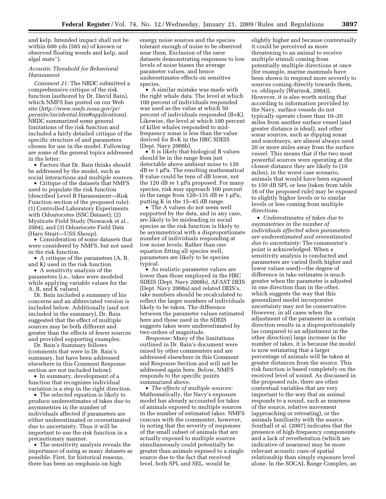and kelp. Intended impact shall not be within 600 yds (585 m) of known or observed floating weeds and kelp, and algal mats'').

# *Acoustic Threshold for Behavioral Harassment*

*Comment 21:* The NRDC submitted a comprehensive critique of the risk function (authored by Dr. David Bain), which NMFS has posted on our Web site (*http://www.nmfs.noaa.gov/pr/ permits/incidental.htm#applications*). NRDC summarized some general limitations of the risk function and included a fairly detailed critique of the specific structure of and parameters chosen for use in the model. Following are some of the general topics addressed in the letter:

• Factors that Dr. Bain thinks should be addressed by the model, such as social interactions and multiple sources.

• Critique of the datasets that NMFS used to populate the risk function (described Level B Harasssment—Risk Function section of the proposed rule): (1) Controlled Laboratory Experiments with Odontocetes (SSC Dataset); (2) Mysticete Field Study (Nowacek et al., 2004), and (3) Odontocete Field Data (Haro Strait—USS Shoup).

• Consideration of some datasets that were considered by NMFS, but not used in the risk function.

• A critique of the parameters (A, B, and K) used in the risk function.

• A sensitivity analysis of the parameters (i.e., takes were modeled while applying variable values for the A, B, and K values).

Dr. Bain included a summary of his concerns and an abbreviated version is included below. Additionally (and not included in the summary), Dr. Bain suggested that the effect of multiple sources may be both different and greater than the effects of fewer sources and provided supporting examples.

Dr. Bain's Summary follows (comments that were in Dr. Bain's summary, but have been addressed elsewhere in this Comment Response section are not included below):

• In summary, development of a function that recognizes individual variation is a step in the right direction.

• The selected equation is likely to produce underestimates of takes due to asymmetries in the number of individuals affected if parameters are either underestimated or overestimated due to uncertainty. Thus it will be important to use the risk function in a precautionary manner.

• The sensitivity analysis reveals the importance of using as many datasets as possible. First, for historical reasons, there has been an emphasis on high

energy noise sources and the species tolerant enough of noise to be observed near them. Exclusion of the rarer datasets demonstrating responses to low levels of noise biases the average parameter values, and hence underestimates effects on sensitive species.

• A similar mistake was made with the right whale data. The level at which 100 percent of individuals responded was used as the value at which 50 percent of individuals responded (B+K). Likewise, the level at which 100 percent of killer whales responded to midfrequency sonar is less than the value derived for B+K in the HRC SDEIS (Dept. Navy 2008b).

• It is likely that biological B values should be in the range from just detectable above ambient noise to 120 dB re 1 μPa. The resulting mathematical B value could be tens of dB lower, not the 120 dB re 1 μPa proposed. For many species, risk may approach 100 percent in the range from 120–135 dB re 1 μPa, putting K in the 15–45 dB range.

• The A values do not seem well supported by the data, and in any case, are likely to be misleading in social species as the risk function is likely to be asymmetrical with a disproportionate number of individuals responding at low noise levels. Rather than one equation fitting all species well, parameters are likely to be species typical.

• As realistic parameter values are lower than those employed in the HRC SDEIS (Dept. Navy 2008b), AFAST DEIS (Dept. Navy 2008a) and related DEIS's, take numbers should be recalculated to reflect the larger numbers of individuals likely to be taken. The difference between the parameter values estimated here and those used in the SDEIS suggests takes were underestimated by two orders of magnitude.

*Response:* Many of the limitations outlined in Dr. Bain's document were raised by other commenters and are addressed elsewhere in this Comment and Response Section and will not be addressed again here. Below, NMFS responds to the specific points summarized above.

• *The effects of multiple sources:*  Mathematically, the Navy's exposure model has already accounted for takes of animals exposed to multiple sources in the number of estimated takes. NMFS concurs with the commenter, however, in noting that the severity of responses of the small subset of animals that are actually exposed to multiple sources simultaneously could potentially be greater than animals exposed to a single source due to the fact that received level, both SPL and SEL, would be

slightly higher and because contextually it could be perceived as more threatening to an animal to receive multiple stimuli coming from potentially multiple directions at once (for example, marine mammals have been shown to respond more severely to sources coming directly towards them, vs. obliquely (Wartzok, 2004)). However, it is also worth noting that according to information provided by the Navy, surface vessels do not typically operate closer than 10–20 miles from another surface vessel (and greater distance is ideal), and other sonar sources, such as dipping sonar and sonobuoys, are almost always used 20 or more miles away from the surface vessel. This means that if the two most powerful sources were operating at the closest distance they are likely to (10 miles), in the worst case scenario, animals that would have been exposed to 150 dB SPL or less (taken from table 16 of the proposed rule) may be exposed to slightly higher levels or to similar levels or less coming from multiple directions.

• *Underestimates of takes due to asymmetries in the number of individuals affected when parameters are underestimated and overestimated due to uncertainty:* The commenter's point is acknowledged. When a sensitivity analysis is conducted and parameters are varied (both higher and lower values used)—the degree of difference in take estimates is much greater when the parameter is adjusted in one direction than in the other, which suggests the way that this generalized model incorporates uncertainty may not be conservative. However, in all cases when the adjustment of the parameter in a certain direction results in a disproportionately (as compared to an adjustment in the other direction) large increase in the number of takes, it is because the model is now estimating that a larger percentage of animals will be taken at greater distances from the source. This risk function is based completely on the received level of sound. As discussed in the proposed rule, there are other contextual variables that are very important to the way that an animal responds to a sound, such as nearness of the source, relative movement (approaching or retreating), or the animals familiarity with the source. Southall et al. (2007) indicates that the presence of high-frequency components and a lack of reverberation (which are indicative of nearness) may be more relevant acoustic cues of spatial relationship than simply exposure level alone. In the SOCAL Range Complex, an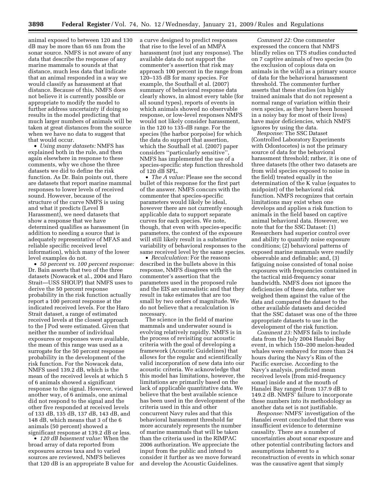animal exposed to between 120 and 130 dB may be more than 65 nm from the sonar source. NMFS is not aware of any data that describe the response of any marine mammals to sounds at that distance, much less data that indicate that an animal responded in a way we would classify as harassment at that distance. Because of this, NMFS does not believe it is currently possible or appropriate to modify the model to further address uncertainty if doing so results in the model predicting that much larger numbers of animals will be taken at great distances from the source when we have no data to suggest that that would occur.

• *Using many datasets:* NMFS has explained both in the rule, and then again elsewhere in response to these comments, why we chose the three datasets we did to define the risk function. As Dr. Bain points out, there are datasets that report marine mammal responses to lower levels of received sound. However, because of the structure of the curve NMFS is using and what it predicts (Level B Harassment), we need datasets that show a response that we have determined qualifies as harassment (in addition to needing a source that is adequately representative of MFAS and reliable specific received level information), which many of the lower level examples do not.

• *50 percent vs. 100 percent response:*  Dr. Bain asserts that two of the three datasets (Nowacek et al., 2004 and Haro Strait—USS SHOUP) that NMFS uses to derive the 50 percent response probability in the risk function actually report a 100 percent response at the indicated received levels. For the Haro Strait dataset, a range of estimated received levels at the closest approach to the J Pod were estimated. Given that neither the number of individual exposures or responses were available, the mean of this range was used as a surrogate for the 50 percent response probability in the development of the risk function. For the Nowacek data, NMFS used 139.2 dB, which is the mean of the received levels at which 5 of 6 animals showed a significant response to the signal. However, viewed another way, of 6 animals, one animal did not respond to the signal and the other five responded at received levels of 133 dB, 135 dB, 137 dB, 143 dB, and 148 dB, which means that 3 of the 6 animals (50 percent) showed a significant response at 139.2 dB or less.

• *120 dB basement value:* When the broad array of data reported from exposures across taxa and to varied sources are reviewed, NMFS believes that 120 dB is an appropriate B value for a curve designed to predict responses that rise to the level of an MMPA harassment (not just any response). The available data do not support the commenter's assertion that risk may approach 100 percent in the range from 120–135 dB for many species. For example, the Southall et al. (2007) summary of behavioral response data clearly shows, in almost every table (for all sound types), reports of events in which animals showed no observable response, or low-level responses NMFS would not likely consider harassment, in the 120 to 135-dB range. For the species (the harbor porpoise) for which the data do support that assertion, which the Southall et al. (2007) paper considers "particularly sensitive" NMFS has implemented the use of a species-specific step function threshold of 120 dB SPL.

• *The A value:* Please see the second bullet of this response for the first part of the answer. NMFS concurs with the commenter that species-specific parameters would likely be ideal, however there are not currently enough applicable data to support separate curves for each species. We note, though, that even with species-specific parameters, the context of the exposure will still likely result in a substantive variability of behavioral responses to the same received level by the same species.

• *Recalculation:* For the reasons described in the bullets above in this response, NMFS disagrees with the commenter's assertion that the parameters used in the proposed rule and the EIS are unrealistic and that they result in take estimates that are too small by two orders of magnitude. We do not believe that a recalculation is necessary.

The science in the field of marine mammals and underwater sound is evolving relatively rapidly. NMFS is in the process of revisiting our acoustic criteria with the goal of developing a framework (Acoustic Guidelines) that allows for the regular and scientifically valid incorporation of new data into our acoustic criteria. We acknowledge that this model has limitations, however, the limitations are primarily based on the lack of applicable quantitative data. We believe that the best available science has been used in the development of the criteria used in this and other concurrent Navy rules and that this behavioral harassment threshold far more accurately represents the number of marine mammals that will be taken than the criteria used in the RIMPAC 2006 authorization. We appreciate the input from the public and intend to consider it further as we move forward and develop the Acoustic Guidelines.

*Comment 22:* One commenter expressed the concern that NMFS blindly relies on TTS studies conducted on 7 captive animals of two species (to the exclusion of copious data on animals in the wild) as a primary source of data for the behavioral harassment threshold. The commenter further asserts that these studies (on highly trained animals that do not represent a normal range of variation within their own species, as they have been housed in a noisy bay for most of their lives) have major deficiencies, which NMFS ignores by using the data.

*Response:* The SSC Dataset (Controlled Laboratory Experiments with Odontocetes) is not the primary source of data for the behavioral harassment threshold; rather, it is one of three datasets (the other two datasets are from wild species exposed to noise in the field) treated equally in the determination of the K value (equates to midpoint) of the behavioral risk function. NMFS recognizes that certain limitations may exist when one develops and applies a risk function to animals in the field based on captive animal behavioral data. However, we note that for the SSC Dataset: (1) Researchers had superior control over and ability to quantify noise exposure conditions; (2) behavioral patterns of exposed marine mammals were readily observable and definable; and, (3) fatiguing noise consisted of tonal noise exposures with frequencies contained in the tactical mid-frequency sonar bandwidth. NMFS does not ignore the deficiencies of these data, rather we weighed them against the value of the data and compared the dataset to the other available datasets and decided that the SSC dataset was one of the three appropriate datasets to use in the development of the risk function.

*Comment 23:* NMFS fails to include data from the July 2004 Hanalei Bay event, in which 150–200 melon-headed whales were embayed for more than 24 hours during the Navy's Rim of the Pacific exercise. According to the Navy's analysis, predicted mean received levels (from mid-frequency sonar) inside and at the mouth of Hanalei Bay ranged from 137.9 dB to 149.2 dB. NMFS' failure to incorporate these numbers into its methodology as another data set is not justifiable.

*Response:* NMFS' investigation of the Hanalei event concluded that there was insufficient evidence to determine causality. There are a number of uncertainties about sonar exposure and other potential contributing factors and assumptions inherent to a reconstruction of events in which sonar was the causative agent that simply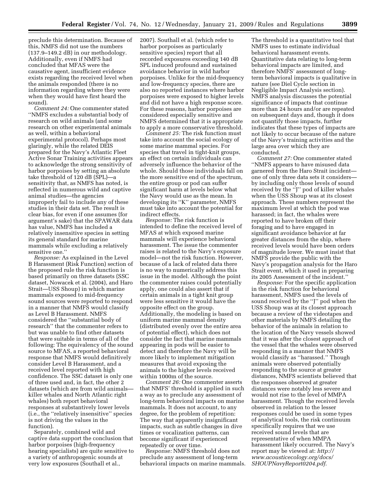preclude this determination. Because of this, NMFS did not use the numbers (137.9–149.2 dB) in our methodology. Additionally, even if NMFS had concluded that MFAS were the causative agent, insufficient evidence exists regarding the received level when the animals responded (there is no information regarding where they were when they would have first heard the sound).

*Comment 24:* One commenter stated ''NMFS excludes a substantial body of research on wild animals (and some research on other experimental animals as well, within a behavioral experimental protocol). Perhaps most glaringly, while the related DEIS prepared for the Navy's Atlantic Fleet Active Sonar Training activities appears to acknowledge the strong sensitivity of harbor porpoises by setting an absolute take threshold of 120 dB (SPL)—a sensitivity that, as NMFS has noted, is reflected in numerous wild and captive animal studies—the agencies improperly fail to include any of these studies in their data set. The result is clear bias, for even if one assumes (for argument's sake) that the SPAWAR data has value, NMFS has included a relatively insensitive species in setting its general standard for marine mammals while excluding a relatively sensitive one.''

*Response:* As explained in the Level B Harassment (Risk Function) section of the proposed rule the risk function is based primarily on three datasets (SSC dataset, Nowacek et al. (2004), and Haro Strait—USS Shoup) in which marine mammals exposed to mid-frequency sound sources were reported to respond in a manner that NMFS would classify as Level B Harassment. NMFS considered the ''substantial body of research'' that the commenter refers to but was unable to find other datasets that were suitable in terms of all of the following: The equivalency of the sound source to MFAS, a reported behavioral response that NMFS would definitively consider Level B Harassment, and a received level reported with high confidence. The SSC dataset is only one of three used and, in fact, the other 2 datasets (which are from wild animals killer whales and North Atlantic right whales) both report behavioral responses at substantively lower levels (i.e., the ''relatively insensitive'' species is not driving the values in the function).

Separately, combined wild and captive data support the conclusion that harbor porpoises (high-frequency hearing specialists) are quite sensitive to a variety of anthropogenic sounds at very low exposures (Southall et al.,

2007). Southall et al. (which refer to harbor porpoises as particularly sensitive species) report that all recorded exposures exceeding 140 dB SPL induced profound and sustained avoidance behavior in wild harbor porpoises. Unlike for the mid-frequency and low-frequency species, there are also no reported instances where harbor porpoises were exposed to higher levels and did not have a high response score. For these reasons, harbor porpoises are considered especially sensitive and NMFS determined that it is appropriate to apply a more conservative threshold.

*Comment 25:* The risk function must take into account the social ecology of some marine mammal species. For species that travel in tight-knit groups, an effect on certain individuals can adversely influence the behavior of the whole. Should those individuals fall on the more sensitive end of the spectrum, the entire group or pod can suffer significant harm at levels below what the Navy would use as the mean. In developing its ''K'' parameter, NMFS must take into account the potential for indirect effects.

*Response:* The risk function is intended to define the received level of MFAS at which exposed marine mammals will experience behavioral harassment. The issue the commenter raises is related to the Navy's exposure model—not the risk function. However, because of a lack of related data there is no way to numerically address this issue in the model. Although the point the commenter raises could potentially apply, one could also assert that if certain animals in a tight knit group were less sensitive it would have the opposite effect on the group. Additionally, the modeling is based on uniform marine mammal density (distributed evenly over the entire area of potential effect), which does not consider the fact that marine mammals appearing in pods will be easier to detect and therefore the Navy will be more likely to implement mitigation measures that avoid exposing the animals to the higher levels received within 1000m of the source.

*Comment 26:* One commenter asserts that NMFS' threshold is applied in such a way as to preclude any assessment of long-term behavioral impacts on marine mammals. It does not account, to any degree, for the problem of repetition: The way that apparently insignificant impacts, such as subtle changes in dive times or vocalization patterns, can become significant if experienced repeatedly or over time.

*Response:* NMFS threshold does not preclude any assessment of long-term behavioral impacts on marine mammals.

The threshold is a quantitative tool that NMFS uses to estimate individual behavioral harassment events. Quantitative data relating to long-term behavioral impacts are limited, and therefore NMFS' assessment of longterm behavioral impacts is qualitative in nature (see Diel Cycle section in Negligible Impact Analysis section). NMFS analysis discusses the potential significance of impacts that continue more than 24 hours and/or are repeated on subsequent days and, though it does not quantify those impacts, further indicates that these types of impacts are not likely to occur because of the nature of the Navy's training activities and the large area over which they are conducted.

*Comment 27:* One commenter stated ''NMFS appears to have misused data garnered from the Haro Strait incident one of only three data sets it considers by including only those levels of sound received by the ''J'' pod of killer whales when the USS Shoup was at its closest approach. These numbers represent the maximum level at which the pod was harassed; in fact, the whales were reported to have broken off their foraging and to have engaged in significant avoidance behavior at far greater distances from the ship, where received levels would have been orders of magnitude lower. We must insist that NMFS provide the public with the Navy's propagation analysis for the Haro Strait event, which it used in preparing its 2005 Assessment of the incident.''

*Response:* For the specific application in the risk function for behavioral harassment, NMFS used the levels of sound received by the ''J'' pod when the USS Shoup was at its closest approach because a review of the videotapes and other materials by NMFS detailing the behavior of the animals in relation to the location of the Navy vessels showed that it was after the closest approach of the vessel that the whales were observed responding in a manner that NMFS would classify as ''harassed.'' Though animals were observed potentially responding to the source at greater distances, NMFS scientists believed that the responses observed at greater distances were notably less severe and would not rise to the level of MMPA harassment. Though the received levels observed in relation to the lesser responses could be used in some types of analytical tools, the risk continuum specifically requires that we use received sound levels that are representative of when MMPA harassment likely occurred. The Navy's report may be viewed at: *http:// www.acousticecology.org/docs/ SHOUPNavyReport0204.pdf*.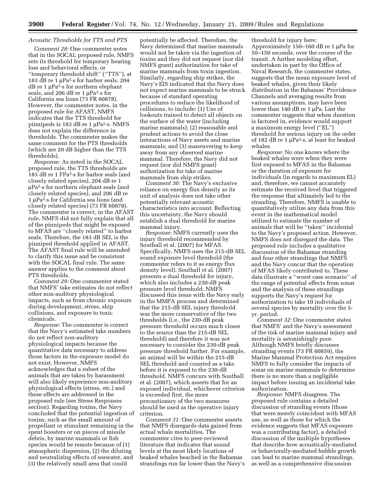# *Acoustic Thresholds for TTS and PTS*

*Comment 28:* One commenter notes that in the SOCAL proposed rule, NMFS sets its threshold for temporary hearing loss and behavioral effects, or ''temporary threshold shift'' (''TTS''), at 183 dB re 1 μPa2·s for harbor seals, 204 dB re 1 μPa2·s for northern elephant seals, and 206 dB re 1 μPa2·s for California sea lions (73 FR 60878). However, the commenter notes, in the proposed rule for AFAST, NMFS indicates that the TTS threshold for pinnipeds is 183 dB re 1 μPa2·s. NMFS does not explain the difference in thresholds. The commenter makes the same comment for the PTS thresholds (which are 20 dB higher than the TTS thresholds).

*Response:* As noted in the SOCAL proposed rule, the TTS thresholds are 183 dB re 1 FPa2·s for harbor seals (and closely related species), 204 dB re 1 μPa2·s for northern elephant seals (and closely related species), and 206 dB re 1 μPa2·s for California sea lions (and closely related species) (73 FR 60878). The commenter is correct, in the AFAST rule, NMFS did not fully explain that all of the pinnipeds that might be exposed to MFAS are ''closely related'' to harbor seals. Therefore, the 183 dB SEL is the pinniped threshold applied in AFAST. The AFAST final rule will be amended to clarify this issue and be consistent with the SOCAL final rule. The same answer applies to the comment about PTS thresholds.

*Comment 29:* One commenter stated that NMFS' take estimates do not reflect other non-auditory physiological impacts, such as from chronic exposure during development, stress, ship collisions, and exposure to toxic chemicals.

*Response:* The commenter is correct that the Navy's estimated take numbers do not reflect non-auditory physiological impacts because the quantitative data necessary to address those factors in the exposure model do not exist. However, NMFS acknowledges that a subset of the animals that are taken by harassment will also likely experience non-auditory physiological effects (stress, etc.) and these effects are addressed in the proposed rule (see Stress Responses section). Regarding toxins, the Navy concluded that the potential ingestion of toxins, such as the small amount of propellant or stimulant remaining in the spent boosters or on pieces of missile debris, by marine mammals or fish species would be remote because of (1) atmospheric dispersion, (2) the diluting and neutralizing effects of seawater, and (3) the relatively small area that could

potentially be affected. Therefore, the Navy determined that marine mammals would not be taken via the ingestion of toxins and they did not request (nor did NMFS grant) authorization for take of marine mammals from toxin ingestion. Similarly, regarding ship strikes, the Navy's EIS indicated that the Navy does not expect marine mammals to be struck because of standard operating procedures to reduce the likelihood of collisions, to include: (1) Use of lookouts trained to detect all objects on the surface of the water (including marine mammals); (2) reasonable and prudent actions to avoid the close interactions of Navy assets and marine mammals; and (3) maneuvering to keep away from any observed marine mammal. Therefore, the Navy did not request (nor did NMFS grant) authorization for take of marine mammals from ship strikes.

*Comment 30:* The Navy's exclusive reliance on energy flux density as its unit of analysis does not take other potentially relevant acoustic characteristics into account. Reflecting this uncertainty, the Navy should establish a dual threshold for marine mammal injury.

*Response:* NMFS currently uses the injury threshold recommended by Southall et al. (2007) for MFAS. Specifically, NMFS uses the 215-dB SEL sound exposure level threshold (the commenter refers to it as energy flux density level). Southall et al. (2007) presents a dual threshold for injury, which also includes a 230-dB peak pressure level threshold. NMFS discussed this issue with the Navy early in the MMPA process and determined that the 215-dB SEL injury threshold was the more conservative of the two thresholds (i.e., the 230-dB peak pressure threshold occurs much closer to the source than the 215-dB SEL threshold) and therefore it was not necessary to consider the 230-dB peak pressure threshold further. For example, an animal will be within the 215-dB SEL threshold and counted as a take before it is exposed to the 230-dB threshold. NMFS concurs with Southall et al. (2007), which asserts that for an exposed individual, whichever criterion is exceeded first, the more precautionary of the two measures should be used as the operative injury criterion.

*Comment 31:* One commenter asserts that NMFS disregards data gained from actual whale mortalities. The commenter cites to peer-reviewed literature that indicates that sound levels at the most likely locations of beaked whales beached in the Bahamas strandings run far lower than the Navy's

threshold for injury here: Approximately 150–160 dB re 1 μPa for 50–150 seconds, over the course of the transit. A further modeling effort, undertaken in part by the Office of Naval Research, the commenter states, suggests that the mean exposure level of beaked whales, given their likely distribution in the Bahamas' Providence Channels and averaging results from various assumptions, may have been lower than 140 dB re 1 μPa. Last the commenter suggests that when duration is factored in, evidence would support a maximum energy level (''EL'') threshold for serious injury on the order of 182 dB re 1 μPa2·s, at least for beaked whales.

*Response:* No one knows where the beaked whales were when they were first exposed to MFAS in the Bahamas or the duration of exposure for individuals (in regards to maximum EL) and, therefore, we cannot accurately estimate the received level that triggered the response that ultimately led to the stranding. Therefore, NMFS is unable to quantitatively utilize any data from this event in the mathematical model utilized to estimate the number of animals that will be ''taken'' incidental to the Navy's proposed action. However, NMFS does not disregard the data. The proposed rule includes a qualitative discussion of the Bahamas stranding and four other strandings that NMFS and the Navy concur that the operation of MFAS likely contributed to. These data illustrate a ''worst case scenario'' of the range of potential effects from sonar and the analysis of these strandings supports the Navy's request for authorization to take 10 individuals of several species by mortality over the 5 yr. period.

*Comment 32:* One commenter states that NMFS' and the Navy's assessment of the risk of marine mammal injury and mortality is astonishingly poor. Although NMFS briefly discusses stranding events (73 FR 60859), the Marine Mammal Protection Act requires NMFS to fully consider the impacts of sonar on marine mammals to determine there is no more than a negligible impact before issuing an incidental take authorization.

*Response:* NMFS disagrees. The proposed rule contains a detailed discussion of stranding events (those that were merely coincident with MFAS use, as well as those for which the evidence suggests that MFAS exposure was a contributing factor), a detailed discussion of the multiple hypotheses that describe how acoustically-mediated or behaviorally-mediated bubble growth can lead to marine mammal strandings, as well as a comprehensive discussion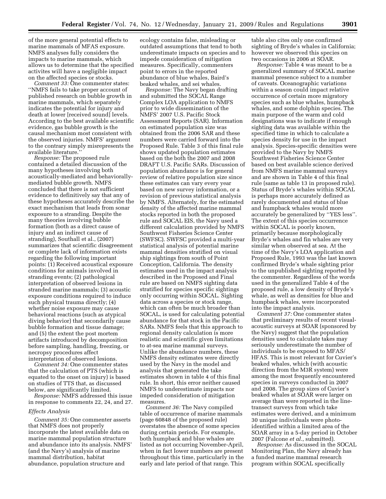of the more general potential effects to marine mammals of MFAS exposure. NMFS analyses fully considers the impacts to marine mammals, which allows us to determine that the specified activites will have a negligible impact on the affected species or stocks.

*Comment 33:* One commenter states: ''NMFS fails to take proper account of published research on bubble growth in marine mammals, which separately indicates the potential for injury and death at lower [received sound] levels. According to the best available scientific evidence, gas bubble growth is the causal mechanism most consistent with the observed injuries. NMFS' argument to the contrary simply misrepresents the available literature.''

*Response:* The proposed rule contained a detailed discussion of the many hypotheses involving both acoustically-mediated and behaviorallymediated bubble growth. NMFS concluded that there is not sufficient evidence to definitively say that any of these hypotheses accurately describe the exact mechanism that leads from sonar exposure to a stranding. Despite the many theories involving bubble formation (both as a direct cause of injury and an indirect cause of stranding), Southall et al., (2007) summarizes that scientific disagreement or complete lack of information exists regarding the following important points: (1) Received acoustical exposure conditions for animals involved in stranding events; (2) pathological interpretation of observed lesions in stranded marine mammals; (3) acoustic exposure conditions required to induce such physical trauma directly; (4) whether noise exposure may cause behavioral reactions (such as atypical diving behavior) that secondarily cause bubble formation and tissue damage; and (5) the extent the post mortem artifacts introduced by decomposition before sampling, handling, freezing, or necropsy procedures affect interpretation of observed lesions.

*Comment 34:* One commenter states that the calculation of PTS (which is equated to the onset on injury) is based on studies of TTS that, as discussed below, are significantly limited.

*Response:* NMFS addressed this issue in response to comments 22, 24, and 27.

#### *Effects Analysis*

*Comment 35:* One commenter asserts that NMFS does not properly incorporate the latest available data on marine mammal population structure and abundance into its analysis. NMFS' (and the Navy's) analysis of marine mammal distribution, habitat abundance, population structure and

ecology contains false, misleading or outdated assumptions that tend to both underestimate impacts on species and to impede consideration of mitigation measures. Specifically, commenters point to errors in the reported abundance of blue whales, Baird's beaked whales, and sei whales.

*Response:* The Navy began drafting and submitted the SOCAL Range Complex LOA application to NMFS prior to wide dissemination of the NMFS' 2007 U.S. Pacific Stock Assessment Reports (SAR). Information on estimated population size was obtained from the 2006 SAR and these numbers were carried forward into the Proposed Rule. Table 3 of this final rule shows updated population estimates based on the both the 2007 and 2008 DRAFT U.S. Pacific SARs. Discussion of population abundance is for general review of relative population size since these estimates can vary every year based on new survey information, or a revision of previous statistical analysis by NMFS. Alternately, for the estimated density of the affected marine mammal stocks reported in both the proposed rule and SOCAL EIS, the Navy used a different calculation provided by NMFS Southwest Fisheries Science Center (SWFSC). SWFSC provided a multi-year statistical analysis of potential marine mammal densities stratified on visual ship sightings from south of Point Conception, California. The density estimates used in the impact analysis described in the Proposed and Final rule are based on NMFS sighting data stratified for species specific sightings only occurring within SOCAL. Sighting data across a species or stock range, which can often be much broader than SOCAL, is used for calculating potential abundance for that stock in the Pacific SARs. NMFS feels that this approach to regional density calculation is more realistic and scientific given limitations to at-sea marine mammal surveys. Unlike the abundance numbers, these NMFS density estimates were directly used by the Navy in the model and analysis that generated the take estimates shown in table 4 of this final rule. In short, this error neither caused NMFS to underestimate impacts nor impeded consideration of mitigation measures.

*Comment 36:* The Navy compiled table of occurrence of marine mammals (page 60848 of the proposed rule) overstates the absence of some species during certain periods. For example, both humpback and blue whales are listed as not occurring November-April, when in fact lower numbers are present throughout this time, particularly in the early and late period of that range. This

table also cites only one confirmed sighting of Bryde's whales in California; however we observed this species on two occasions in 2006 at SOAR.

*Response:* Table 4 was meant to be a generalized summary of SOCAL marine mammal presence subject to a number of caveats. Oceanographic variations within a season could impact relative occurrence of certain more migratory species such as blue whales, humpback whales, and some dolphin species. The main purpose of the warm and cold designations was to indicate if enough sighting data was available within the specified time in which to calculate a species density for use in the impact analysis. Species-specific densities were provided to the Navy by NMFS Southwest Fisheries Science Center based on best available science derived from NMFS marine mammal surveys and are shown in Table 4 of this final rule (same as table 13 in proposed rule). Status of Bryde's whales within SOCAL is perhaps more accurately defined as rarely documented and status of blue and humpback whales would more accurately be generalized by ''YES less''. The extent of this species occurrence within SOCAL is poorly known, primarily because morphologically Bryde's whales and fin whales are very similar when observed at sea. At the time of the Navy's LOA application and Proposed Rule, 1993 was the last known confirmed Bryde's whale sighting prior to the unpublished sighting reported by the commenter. Regardless of the words used in the generalized Table 4 of the proposed rule, a low density of Bryde's whale, as well as densities for blue and humpback whales, were incorporated into the impact analysis.

*Comment 37:* One commenter states that preliminary results of recent visualacoustic surveys at SOAR (sponsored by the Navy) suggest that the population densities used to calculate takes may seriously underestimate the number of individuals to be exposed to MFAS/ HFAS. This is most relevant for Cuvier's beaked whales, which (with acoustic direction from the M3R system) were among the most frequently encountered species in surveys conducted in 2007 and 2008. The group sizes of Cuvier's beaked whales at SOAR were larger on average than were reported in the linetransect surveys from which take estimates were derived, and a minimum 30 unique individuals were photoidentified within a limited area of the SOAR array in a 5-day period in October 2007 (Falcone *et al.*, submitted).

*Response:* As discussed in the SOCAL Monitoring Plan, the Navy already has a funded marine mammal research program within SOCAL specifically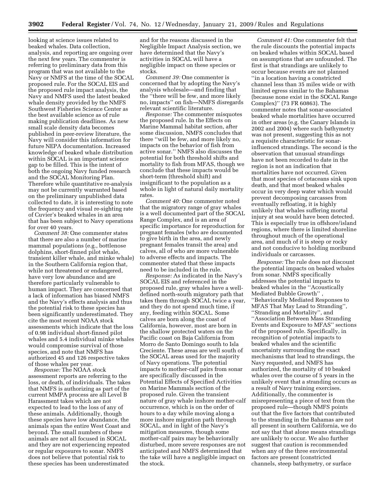looking at science issues related to beaked whales. Data collection, analysis, and reporting are ongoing over the next few years. The commenter is referring to preliminary data from this program that was not available to the Navy or NMFS at the time of the SOCAL proposed rule. For the SOCAL EIS and the proposed rule impact analysis, the Navy and NMFS used the latest beaked whale density provided by the NMFS Southwest Fisheries Science Center as the best available science as of rule making publication deadlines. As new small scale density data becomes published in peer-review literature, the Navy will consider this information for future NEPA documentation. Increased knowledge of beaked whale distribution within SOCAL is an important science gap to be filled. This is the intent of both the ongoing Navy funded research and the SOCAL Monitoring Plan. Therefore while quantitative re-analysis may not be currently warranted based on the preliminary unpublished data collected to date, it is interesting to note the frequency and visual re-sighting rate of Cuvier's beaked whales in an area that has been subject to Navy operations for over 40 years.

*Comment 38:* One commenter states that there are also a number of marine mammal populations (e.g., bottlenose dolphins, short-finned pilot whale, transient killer whale, and minke whale) in the Southern California region that, while not threatened or endangered, have very low abundance and are therefore particularly vulnerable to human impact. They are concerned that a lack of information has biased NMFS and the Navy's effects analysis and thus the potential risk to these species has been significantly underestimated. They cite the most recent NOAA stock assessments which indicate that the loss of 0.98 individual short-finned pilot whales and 5.4 individual minke whales would compromise survival of those species, and note that NMFS has authorized 45 and 126 respective takes of those whales per year.

*Response:* The NOAA stock assessment reports are referring to the loss, or death, of individuals. The takes that NMFS is authorizing as part of the current MMPA process are all Level B Harassment takes which are not expected to lead to the loss of any of these animals. Additionally, though these species have low abundance, the animals span the entire West Coast and beyond. The small numbers of these animals are not all focused in SOCAL and they are not experiencing repeated or regular exposures to sonar. NMFS does not believe that potential risk to these species has been underestimated

and for the reasons discussed in the Negligible Impact Analysis section, we have determined that the Navy's activities in SOCAL will have a negligible impact on these species or stocks.

*Comment 39:* One commenter is concerned that by adopting the Navy's analysis wholesale—and finding that the ''there will be few, and more likely no, impacts'' on fish—NMFS disregards relevant scientific literature.

*Response:* The commenter misquotes the proposed rule. In the Effects on Marine Mammal habitat section, after some discussion, NMFS concludes that there ''will be few, and more likely no, impacts on the behavior of fish from active sonar.'' NMFS also discusses the potential for both threshold shifts and mortality to fish from MFAS, though we conclude that these impacts would be short-term (threshold shift) and insignificant to the population as a whole in light of natural daily mortality rates.

*Comment 40:* One commenter noted that the migratory range of gray whales is a well documented part of the SOCAL Range Complex, and is an area of specific importance for reproduction for pregnant females (who are documented to give birth in the area, and newly pregnant females transit the area) and calves, all of who are more vulnerable to adverse effects and impacts. The commenter stated that these impacts need to be included in the rule.

*Response:* As indicated in the Navy's SOCAL EIS and referenced in the proposed rule, gray whales have a welldefined north-south migratory path that takes them through SOCAL twice a year, and they do not spend much time, if any, feeding within SOCAL. Some calves are born along the coast of California, however, most are born in the shallow protected waters on the Pacific coast on Baja California from Morro de Santo Domingo south to Isla Creciente. These areas are well south of the SOCAL areas used for the majority of Navy operations. The potential impacts to mother-calf pairs from sonar are specifically discussed in the Potential Effects of Specified Activities on Marine Mammals section of the proposed rule. Given the transient nature of gray whale inshore mother-calf occurrence, which is on the order of hours to a day while moving along a more inshore migration path through SOCAL, and in light of the Navy's mitigation measures, though some mother-calf pairs may be behaviorally disturbed, more severe responses are not anticipated and NMFS determined that the take will have a negligible impact on the stock.

*Comment 41:* One commenter felt that the rule discounts the potential impacts on beaked whales within SOCAL based on assumptions that are unfounded. The first is that strandings are unlikely to occur because events are not planned ''in a location having a constricted channel less than 35 miles wide or with limited egress similar to the Bahamas (because none exist in the SOCAL Range Complex)'' (73 FR 60863). The commenter notes that sonar-associated beaked whale mortalities have occurred in other areas (e.g. the Canary Islands in 2002 and 2004) where such bathymetry was not present, suggesting this as not a requisite characteristic for sonarinfluenced strandings. The second is the observation that unusual strandings have not been recorded to date in the region is not an indication that mortalities have not occurred. Given that most species of cetaceans sink upon death, and that most beaked whales occur in very deep water which would prevent decomposing carcasses from eventually refloating, it is highly unlikely that whales suffering mortal injury at sea would have been detected. This is especially true in offshore/island regions, where there is limited shoreline throughout much of the operational area, and much of it is steep or rocky and not conducive to holding moribund individuals or carcasses.

*Response:* The rule does not discount the potential impacts on beaked whales from sonar. NMFS specifically addresses the potential impacts to beaked whales in the ''Acoustically Mediated Bubble Growth'' , ''Behaviorally Mediated Responses to MFAS That May Lead to Stranding'', ''Stranding and Mortality'', and ''Association Between Mass Stranding Events and Exposure to MFAS'' sections of the proposed rule. Specifically, in recognition of potential impacts to beaked whales and the scientific uncertainty surrounding the exact mechanisms that lead to strandings, the Navy requested, and NMFS has authorized, the mortality of 10 beaked whales over the course of 5 years in the unlikely event that a stranding occurs as a result of Navy training exercises. Additionally, the commenter is misrepresenting a piece of text from the proposed rule—though NMFS points out that the five factors that contributed to the stranding in the Bahamas are not all present in southern California, we do not say that that alone means strandings are unlikely to occur. We also further suggest that caution is recommended when any of the three environmental factors are present (constricted channels, steep bathymetry, or surface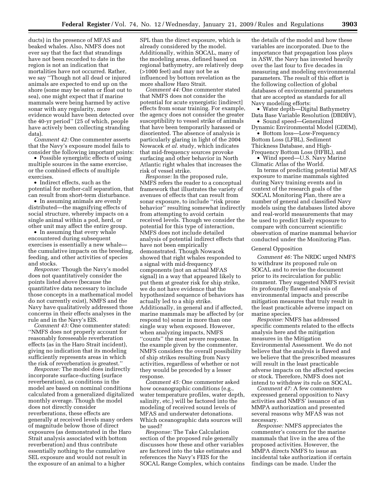ducts) in the presence of MFAS and beaked whales. Also, NMFS does not ever say that the fact that strandings have not been recorded to date in the region is not an indication that mortalities have not occurred. Rather, we say ''Though not all dead or injured animals are expected to end up on the shore (some may be eaten or float out to sea), one might expect that if marine mammals were being harmed by active sonar with any regularity, more evidence would have been detected over the 40-yr period'' (25 of which, people have actively been collecting stranding data).

*Comment 42:* One commenter asserts that the Navy's exposure model fails to consider the following important points:

• Possible synergistic effects of using multiple sources in the same exercise, or the combined effects of multiple exercises.

• Indirect effects, such as the potential for mother-calf separation, that can result from short-term disturbance.

• In assuming animals are evenly distributed—the magnifying effects of social structure, whereby impacts on a single animal within a pod, herd, or other unit may affect the entire group.

• In assuming that every whale encountered during subsequent exercises is essentially a new whale the cumulative impacts on the breeding, feeding, and other activities of species and stocks.

*Response:* Though the Navy's model does not quantitatively consider the points listed above (because the quantitative data necessary to include those concepts in a mathematical model do not currently exist), NMFS and the Navy have qualitatively addressed those concerns in their effects analyses in the rule and in the Navy's EIS.

*Comment 43:* One commenter stated: ''NMFS does not properly account for reasonably foreseeable reverberation effects (as in the Haro Strait incident), giving no indication that its modeling sufficiently represents areas in which the risk of reverberation is greatest.''

*Response:* The model does indirectly incorporate surface-ducting (surface reverberation), as conditions in the model are based on nominal conditions calculated from a generalized digitalized monthly average. Though the model does not directly consider reverberations, these effects are generally at received levels many orders of magnitude below those of direct exposures (as demonstrated in the Haro Strait analysis associated with bottom reverberation) and thus contribute essentially nothing to the cumulative SEL exposure and would not result in the exposure of an animal to a higher

SPL than the direct exposure, which is already considered by the model. Additionally, within SOCAL, many of the modeling areas, defined based on regional bathymetry, are relatively deep (>1000 feet) and may not be as influenced by bottom revelation as the more shallow Haro Strait.

*Comment 44:* One commenter stated that NMFS does not consider the potential for acute synergistic [indirect] effects from sonar training. For example, the agency does not consider the greater susceptibility to vessel strike of animals that have been temporarily harassed or disoriented. The absence of analysis is particularly glaring in light of the 2004 Nowacek *et al.* study, which indicates that mid-frequency sources provoke surfacing and other behavior in North Atlantic right whales that increases the risk of vessel strike.

*Response:* In the proposed rule, NMFS refers the reader to a conceptual framework that illustrates the variety of avenues of effects that can result from sonar exposure, to include ''risk prone behavior'' resulting somewhat indirectly from attempting to avoid certain received levels. Though we consider the potential for this type of interaction, NMFS does not include detailed analysis of potential indirect effects that have not been empirically demonstrated. Though Nowacek showed that right whales responded to a signal with mid-frequency components (not an actual MFAS signal) in a way that appeared likely to put them at greater risk for ship strike, we do not have evidence that the hypothesized sequence of behaviors has actually led to a ship strike. Additionally, in general and if affected, marine mammals may be affected by (or respond to) sonar in more than one single way when exposed. However, when analyzing impacts, NMFS ''counts'' the most severe response. In the example given by the commenter, NMFS considers the overall possibility of ship strikes resulting from Navy activities, regardless of whether or not they would be preceded by a lesser response.

*Comment 45:* One commenter asked how oceanographic conditions (e.g., water temperature profiles, water depth, salinity, etc.) will be factored into the modeling of received sound levels of MFAS and underwater detonations. Which oceanographic data sources will be used?

*Response:* The Take Calculation section of the proposed rule generally discusses how these and other variables are factored into the take estimates and references the Navy's FEIS for the SOCAL Range Complex, which contains

the details of the model and how these variables are incorporated. Due to the importance that propagation loss plays in ASW, the Navy has invested heavily over the last four to five decades in measuring and modeling environmental parameters. The result of this effort is the following collection of global databases of environmental parameters that are accepted as standards for all Navy modeling efforts:

• Water depth—Digital Bathymetry Data Base Variable Resolution (DBDBV),

• Sound speed—Generalized Dynamic Environmental Model (GDEM), • Bottom loss—Low-Frequency

Bottom Loss (LFBL), Sediment Thickness Database, and High-Frequency Bottom Loss (HFBL), and

• Wind speed—U.S. Navy Marine Climatic Atlas of the World.

In terms of predicting potential MFAS exposure to marine mammals sighted during Navy training events and in context of the research goals of the SOCAL Monitoring Plan, there are a number of general and classified Navy models using the databases listed above and real-world measurements that may be used to predict likely exposure to compare with concurrent scientific observation of marine mammal behavior conducted under the Monitoring Plan.

# General Opposition

*Comment 46:* The NRDC urged NMFS to withdraw its proposed rule on SOCAL and to revise the document prior to its recirculation for public comment. They suggested NMFS revisit its profoundly flawed analysis of environmental impacts and prescribe mitigation measures that truly result in the least practicable adverse impact on marine species.

*Response:* NMFS has addressed specific comments related to the effects analysis here and the mitigation measures in the Mitigation Environmental Assessment. We do not believe that the analysis is flawed and we believe that the prescribed measures will result in the least practicable adverse impacts on the affected species or stock. Therefore, NMFS does not intend to withdraw its rule on SOCAL.

*Comment 47:* A few commenters expressed general opposition to Navy activities and NMFS' issuance of an MMPA authorization and presented several reasons why MFAS was not necessary.

*Response:* NMFS appreciates the commenter's concern for the marine mammals that live in the area of the proposed activities. However, the MMPA directs NMFS to issue an incidental take authorization if certain findings can be made. Under the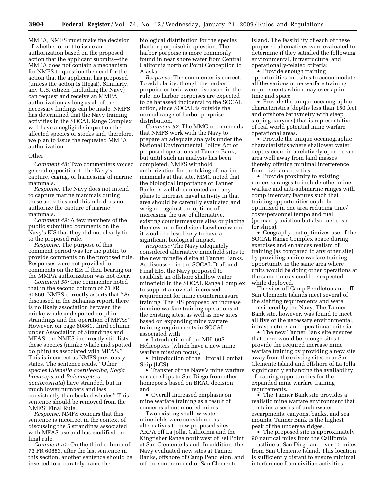MMPA, NMFS must make the decision of whether or not to issue an authorization based on the proposed action that the applicant submits—the MMPA does not contain a mechanism for NMFS to question the need for the action that the applicant has proposed (unless the action is illegal). Similarly, any U.S. citizen (including the Navy) can request and receive an MMPA authorization as long as all of the necessary findings can be made. NMFS has determined that the Navy training activities in the SOCAL Range Complex will have a negligible impact on the affected species or stocks and, therefore, we plan to issue the requested MMPA authorization.

# Other

*Comment 48:* Two commenters voiced general opposition to the Navy's capture, caging, or harnessing of marine mammals.

*Response:* The Navy does not intend to capture marine mammals during these activities and this rule does not authorize the capture of marine mammals.

*Comment 49:* A few members of the public submitted comments on the Navy's EIS that they did not clearly tie to the proposed rule.

*Response:* The purpose of this comment period was for the public to provide comments on the proposed rule. Responses were not provided to comments on the EIS if their bearing on the MMPA authorization was not clear.

*Comment 50:* One commenter noted that in the second column of 73 FR 60860, NMFS correctly asserts that ''As discussed in the Bahamas report, there is no likely association between the minke whale and spotted dolphin strandings and the operation of MFAS'' However, on page 60861, third column under Association of Strandings and MFAS, the NMFS incorrectly still lists these species (minke whale and spotted dolphin) as associated with MFAS.'' This is incorrect as NMFS previously states. The sentence reads, ''Other species (*Stenella coeruleoalba, Kogia breviceps* and *Balaenoptera acutorostrata*) have stranded, but in much lower numbers and less consistently than beaked whales'' This sentence should be removed from the NMFS' Final Rule.

*Response:* NMFS concurs that this sentence is incorrect in the context of discussing the 5 strandings associated with MFAS use and has modified the final rule.

*Comment 51:* On the third column of 73 FR 60883, after the last sentence in this section, another sentence should be inserted to accurately frame the

biological distribution for the species (harbor porpoise) in question. The harbor porpoise is more commonly found in near shore water from Central California north of Point Conception to Alaska.

*Response:* The commenter is correct. To add clarity, though the harbor porpoise criteria were discussed in the rule, no harbor porpoises are expected to be harassed incidental to the SOCAL action, since SOCAL is outside the normal range of harbor porpoise distribution.

*Comment 52:* The MMC recommends that NMFS work with the Navy to prepare an adequate analysis under the National Environmental Policy Act of proposed operations at Tanner Bank, but until such an analysis has been completed, NMFS withhold authorization for the taking of marine mammals at that site. MMC noted that the biological importance of Tanner Banks is well documented and any plans to increase naval activity in that area should be carefully evaluated and weighed against the options of increasing the use of alternative, existing countermeasure sites or placing the new minefield site elsewhere where it would be less likely to have a significant biological impact.

*Response:* The Navy adequately considered alternative minefield sites to the new minefield site at Tanner Banks. As discussed in the SOCAL Draft and Final EIS, the Navy proposed to establish an offshore shallow water minefield in the SOCAL Range Complex to support an overall increased requirement for mine countermeasure training. The EIS proposed an increase in mine warfare training operations at the existing sites, as well as new sites based on expanding mine warfare training requirements in SOCAL associated with:

• Introduction of the MH–60S Helicopters (which have a new mine warfare mission focus),

• Introduction of the Littoral Combat Ship (LCS),

• Transfer of the Navy's mine warfare surface ships to San Diego from other homeports based on BRAC decision, and

• Overall increased emphasis on mine warfare training as a result of concerns about moored mines

Two existing shallow water minefields were considered as alternatives to new proposed sites: ARPA off La Jolla, California and the Kingfisher Range northwest of Eel Point at San Clemente Island. In addition, the Navy evaluated new sites at Tanner Banks, offshore of Camp Pendleton, and off the southern end of San Clemente

Island. The feasibility of each of these proposed alternatives were evaluated to determine if they satisfied the following environmental, infrastructure, and operationally-related criteria:

• Provide enough training opportunities and sites to accommodate all the various mine warfare training requirements which may overlap in time and space.

• Provide the unique oceanographic characteristics (depths less than 150 feet and offshore bathymetry with steep sloping canyons) that is representative of real world potential mine warfare operational areas.

• Provide the unique oceanographic characteristics where shallower water depths occur in a relatively open ocean area well away from land masses thereby offering minimal interference from civilian activities.

• Provide proximity to existing undersea ranges to include other mine warfare and anti-submarine ranges with complimentary features such that training opportunities could be optimized in one area reducing time/ costs/personnel tempo and fuel (primarily aviation but also fuel costs for ships).

• Geography that optimizes use of the SOCAL Range Complex space during exercises and enhances realism of training (as compared to any other site) by providing a mine warfare training opportunity in the same area where units would be doing other operations at the same time as could be expected while deployed.

The sites off Camp Pendleton and off San Clemente Islands meet several of the sighting requirements and were considered by the Navy. The Tanner Bank site, however, was found to meet all five of the necessary environmental, infrastructure, and operational criteria:

• The new Tanner Bank site ensures that there would be enough sites to provide the required increase mine warfare training by providing a new site away from the existing sites near San Clemente Island and offshore of La Jolla significantly enhancing the availability of training opportunities for the expanded mine warfare training requirements.

• The Tanner Bank site provides a realistic mine warfare environment that contains a series of underwater escarpments, canyons, banks, and sea mounts. Tanner Bank is the highest peak of the undersea ridges.

• The proposed site is approximately 90 nautical miles from the California coastline at San Diego and over 10 miles from San Clemente Island. This location is sufficiently distant to ensure minimal interference from civilian activities.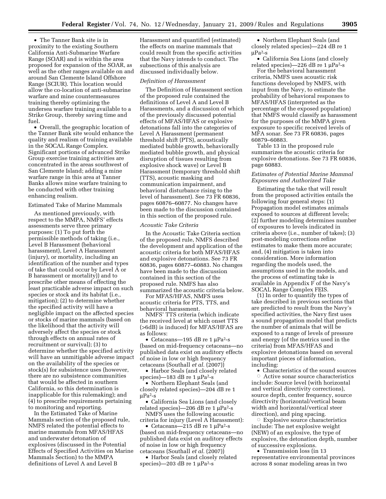• The Tanner Bank site is in proximity to the existing Southern California Anti-Submarine Warfare Range (SOAR) and is within the area proposed for expansion of the SOAR, as well as the other ranges available on and around San Clemente Island Offshore Range (SCIUR). This location would allow the co-location of anti-submarine warfare and mine countermeasures training thereby optimizing the undersea warfare training available to a Strike Group, thereby saving time and fuel

• Overall, the geographic location of the Tanner Bank site would enhance the quality and realism of training available in the SOCAL Range Complex. Significant portions of advanced Strike Group exercise training activities are concentrated in the areas southwest of San Clemente Island; adding a mine warfare range in this area at Tanner Banks allows mine warfare training to be conducted with other training enhancing realism.

#### Estimated Take of Marine Mammals

As mentioned previously, with respect to the MMPA, NMFS' effects assessments serve three primary purposes: (1) To put forth the permissible methods of taking (i.e., Level B Harassment (behavioral harassment), Level A Harassment (injury), or mortality, including an identification of the number and types of take that could occur by Level A or B harassment or mortality)) and to prescribe other means of effecting the least practicable adverse impact on such species or stock and its habitat (i.e., mitigation); (2) to determine whether the specified activity will have a negligible impact on the affected species or stocks of marine mammals (based on the likelihood that the activity will adversely affect the species or stock through effects on annual rates of recruitment or survival); (3) to determine whether the specified activity will have an unmitigable adverse impact on the availability of the species or stock(s) for subsistence uses (however, there are no subsistence communities that would be affected in southern California, so this determination is inapplicable for this rulemaking); and (4) to prescribe requirements pertaining to monitoring and reporting.

In the Estimated Take of Marine Mammals section of the proposed rule, NMFS related the potential effects to marine mammals from MFAS/HFAS and underwater detonation of explosives (discussed in the Potential Effects of Specified Activities on Marine Mammals Section) to the MMPA definitions of Level A and Level B

Harassment and quantified (estimated) the effects on marine mammals that could result from the specific activities that the Navy intends to conduct. The subsections of this analysis are discussed individually below.

#### *Definition of Harassment*

The Definition of Harassment section of the proposed rule contained the definitions of Level A and Level B Harassments, and a discussion of which of the previously discussed potential effects of MFAS/HFAS or explosive detonations fall into the categories of Level A Harassment (permanent threshold shift (PTS), acoustically mediated bubble growth, behaviorally mediated bubble growth, and physical disruption of tissues resulting from explosive shock wave) or Level B Harassment (temporary threshold shift (TTS), acoustic masking and communication impairment, and behavioral disturbance rising to the level of harassment). See 73 FR 60836, pages 60876–60877. No changes have been made to the discussion contained in this section of the proposed rule.

#### *Acoustic Take Criteria*

In the Acoustic Take Criteria section of the proposed rule, NMFS described the development and application of the acoustic criteria for both MFAS/HFAS and explosive detonations. See 73 FR 60836, pages 60877–60883. No changes have been made to the discussion contained in this section of the proposed rule. NMFS has also summarized the acoustic criteria below.

For MFAS/HFAS, NMFS uses acoustic criteria for PTS, TTS, and behavioral harassment.

NMFS' TTS criteria (which indicate the received level at which onset TTS (>6dB) is induced) for MFAS/HFAS are as follows:

• Cetaceans—195 dB re 1 μPa<sup>2</sup>-s (based on mid-frequency cetaceans—no published data exist on auditory effects of noise in low or high frequency cetaceans (Southall *et al.* (2007))

• Harbor Seals (and closely related species)—183 dB re 1 μPa<sup>2</sup>-s

• Northern Elephant Seals (and closely related species)—204 dB re 1 μPa2-s

• California Sea Lions (and closely related species)—206 dB re 1 μPa2-s

NMFS uses the following acoustic criteria for injury (Level A Harassment):

• Cetaceans—215 dB re 1 μPa<sup>2</sup>-s (based on mid-frequency cetaceans—no published data exist on auditory effects of noise in low or high frequency cetaceans (Southall *et al.* (2007))

• Harbor Seals (and closely related species)—203 dB re 1 μPa<sup>2</sup>-s

• Northern Elephant Seals (and closely related species)—224 dB re 1  $\mu$ Pa<sup>2</sup>-s

• California Sea Lions (and closely related species)—226 dB re 1 μPa2-s

For the behavioral harassment criteria, NMFS uses acoustic risk functions developed by NMFS, with input from the Navy, to estimate the probability of behavioral responses to MFAS/HFAS (interpreted as the percentage of the exposed population) that NMFS would classify as harassment for the purposes of the MMPA given exposure to specific received levels of MFA sonar. See 73 FR 60836, pages 60879–60883.

Table 13 in the proposed rule summarizes the acoustic criteria for explosive detonations. See 73 FR 60836, page 60883.

# *Estimates of Potential Marine Mammal Exposures and Authorized Take*

Estimating the take that will result from the proposed activities entails the following four general steps: (1) Propagation model estimates animals exposed to sources at different levels; (2) further modeling determines number of exposures to levels indicated in criteria above (i.e., number of takes); (3) post-modeling corrections refine estimates to make them more accurate; and, (4) mitigation is taken into consideration. More information regarding the models used, the assumptions used in the models, and the process of estimating take is available in Appendix F of the Navy's SOCAL Range Complex FEIS.

(1) In order to quantify the types of take described in previous sections that are predicted to result from the Navy's specified activities, the Navy first uses a sound propagation model that predicts the number of animals that will be exposed to a range of levels of pressure and energy (of the metrics used in the criteria) from MFAS/HFAS and explosive detonations based on several important pieces of information, including:

• Characteristics of the sound sources  $\circ$  Active sonar source characteristics include: Source level (with horizontal and vertical directivity corrections), source depth, center frequency, source directivity (horizontal/vertical beam width and horizontal/vertical steer direction), and ping spacing.

 $\circ$  Explosive source characteristics include: The net explosive weight (NEW) of an explosive, the type of explosive, the detonation depth, number of successive explosions.

• Transmission loss (in 13) representative environmental provinces across 8 sonar modeling areas in two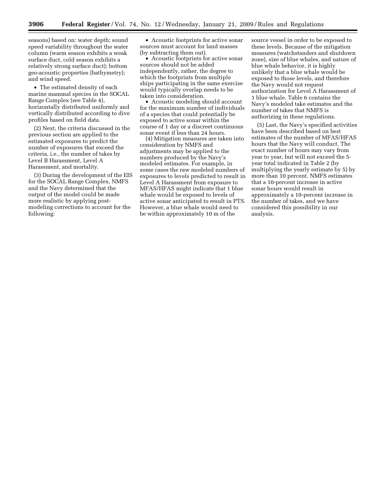seasons) based on: water depth; sound speed variability throughout the water column (warm season exhibits a weak surface duct, cold season exhibits a relatively strong surface duct); bottom geo-acoustic properties (bathymetry); and wind speed.

• The estimated density of each marine mammal species in the SOCAL Range Complex (see Table 4), horizontally distributed uniformly and vertically distributed according to dive profiles based on field data.

(2) Next, the criteria discussed in the previous section are applied to the estimated exposures to predict the number of exposures that exceed the criteria, i.e., the number of takes by Level B Harassment, Level A Harassment, and mortality.

(3) During the development of the EIS for the SOCAL Range Complex, NMFS and the Navy determined that the output of the model could be made more realistic by applying postmodeling corrections to account for the following:

• Acoustic footprints for active sonar sources must account for land masses (by subtracting them out).

• Acoustic footprints for active sonar sources should not be added independently, rather, the degree to which the footprints from multiple ships participating in the same exercise would typically overlap needs to be taken into consideration.

• Acoustic modeling should account for the maximum number of individuals of a species that could potentially be exposed to active sonar within the course of 1 day or a discreet continuous sonar event if less than 24 hours.

(4) Mitigation measures are taken into consideration by NMFS and adjustments may be applied to the numbers produced by the Navy's modeled estimates. For example, in some cases the raw modeled numbers of exposures to levels predicted to result in Level A Harassment from exposure to MFAS/HFAS might indicate that 1 blue whale would be exposed to levels of active sonar anticipated to result in PTS. However, a blue whale would need to be within approximately 10 m of the

source vessel in order to be exposed to these levels. Because of the mitigation measures (watchstanders and shutdown zone), size of blue whales, and nature of blue whale behavior, it is highly unlikely that a blue whale would be exposed to those levels, and therefore the Navy would not request authorization for Level A Harassment of 1 blue whale. Table 6 contains the Navy's modeled take estimates and the number of takes that NMFS is authorizing in these regulations.

(5) Last, the Navy's specified activities have been described based on best estimates of the number of MFAS/HFAS hours that the Navy will conduct. The exact number of hours may vary from year to year, but will not exceed the 5 year total indicated in Table 2 (by multiplying the yearly estimate by 5) by more than 10 percent. NMFS estimates that a 10-percent increase in active sonar hours would result in approximately a 10-percent increase in the number of takes, and we have considered this possibility in our analysis.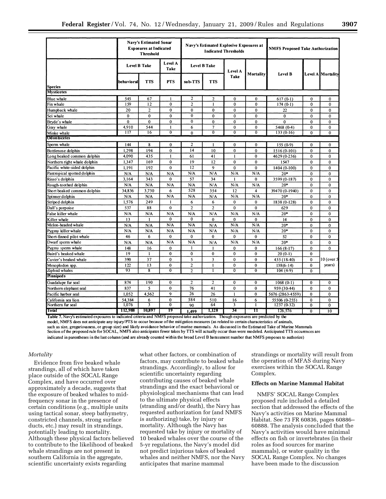|                              |                                                   | <b>Navy's Estimated Sonar</b><br><b>Exposures at Indicated</b><br><b>Threshold</b> |                 |                 |                     | Navy's Estimated Explosive Exposures at<br><b>Indicated Thresholds</b> | <b>NMFS Proposed Take Authorization</b> |                   |                |                 |
|------------------------------|---------------------------------------------------|------------------------------------------------------------------------------------|-----------------|-----------------|---------------------|------------------------------------------------------------------------|-----------------------------------------|-------------------|----------------|-----------------|
|                              | <b>Level B Take</b>                               |                                                                                    | Level A<br>Take |                 | <b>Level B Take</b> | Level A                                                                | Mortality                               | Level B           |                |                 |
| Species                      | <b>TTS</b><br><b>PTS</b><br>sub-TTS<br>behavioral |                                                                                    | <b>TTS</b>      | Take            |                     |                                                                        |                                         | Level A Mortality |                |                 |
| <b>Mysticetes</b>            |                                                   |                                                                                    |                 |                 |                     |                                                                        |                                         |                   |                |                 |
| Blue whale                   | 545                                               | 67                                                                                 | -1              | $\overline{2}$  | $\overline{c}$      | $\mathbf{0}$                                                           | $\mathbf{0}$                            | $617(0-1)$        | $\bf{0}$       | $\mathbf{0}$    |
| Fin whale                    | 159                                               | 12                                                                                 | $\mathbf{0}$    | $\overline{2}$  | ł                   | $\bf{0}$                                                               | $\bf{0}$                                | $174(0-1)$        | $\bf{0}$       | $\bf{0}$        |
| Humpback whale               | 20                                                | $\overline{c}$                                                                     | $\bf{0}$        | $\bf{0}$        | $\mathbf{0}$        | $\bf{0}$                                                               | $\mathbf 0$                             | 22                | $\bf{0}$       | $\mathbf 0$     |
| Sei whale                    | $\mathbf 0$                                       | $\mathbf 0$                                                                        | $\mathbf 0$     | 0               | $\mathbf 0$         | $\mathbf{0}$                                                           | $\bf{0}$                                | $\mathbf{0}$      | $\mathbf{0}$   | $\mathbf{0}$    |
| Bryde's whale                | $\bf{0}$                                          | $\mathbf{0}$                                                                       | $\mathbf 0$     | $\overline{0}$  | $\mathbf 0$         | $\mathbf 0$                                                            | $\bf{0}$                                | $\mathbf{0}$      | $\bf{0}$       | $\mathbf{0}$    |
| Gray whale                   | 4,910                                             | 544                                                                                | $\mathbf{I}$    | 6               | $\overline{7}$      | $\mathbf 0$                                                            | $\bf{0}$                                | 5468 (0-4)        | $\bf{0}$       | $\mathbf 0$     |
| Minke whale                  | 117                                               | 16                                                                                 | $\overline{0}$  | $\mathbf{0}$    | $\overline{0}$      | $\overline{0}$                                                         | $\overline{0}$                          | $133(0-16)$       | $\mathbf 0$    | $\overline{0}$  |
| <b>Od on to cetes</b>        |                                                   |                                                                                    |                 |                 |                     |                                                                        |                                         |                   |                |                 |
| Sperm whale                  | 144                                               | 8                                                                                  | $\mathbf{0}$    | $\overline{c}$  | $\mathbf{I}$        | $\mathbf 0$                                                            | $\mathbf{0}$                            | $155(0-9)$        | $\mathbf{0}$   | $\mathbf{0}$    |
| Bottlenose dolphin           | 1.298                                             | 194                                                                                | $\theta$        | 14              | 10                  | $\mathbf{0}$                                                           | $\mathbf{0}$                            | $1516(0-101)$     | $\theta$       | $\mathbf 0$     |
| Long beaked common dolphin   | 4,090                                             | 435                                                                                | 1               | 61              | 41                  | ŧ                                                                      | $\mathbf{0}$                            | 4629 (0-236)      | $\bf{0}$       | $\mathbf{0}$    |
| Northern right whale dolphin | 1,347                                             | 169                                                                                | $\mathbf 0$     | 19              | 12                  | $\mathbf{0}$                                                           | $\theta$                                | 1547              | $\bf{0}$       | $\Omega$        |
| Pacific white-sided dolphin  | 1.191                                             | 192                                                                                | $\mathbf 0$     | $\overline{12}$ | 9                   | $\bf{0}$                                                               | $\bf{0}$                                | 1404 (0-100)      | $\bf{0}$       | $\bf{0}$        |
| Pantropical spotted dolphin  | N/A                                               | N/A                                                                                | N/A             | N/A             | N/A                 | N/A                                                                    | N/A                                     | $20*$             | $\theta$       | $\bf{0}$        |
| Risso's dolphin              | 3,164                                             | 343                                                                                | $\mathbf 0$     | 57              | 34                  |                                                                        | $\mathbf 0$                             | 3599 (0-187)      | $\mathbf{0}$   | $\mathbf{0}$    |
| Rough-toothed dolphin        | N/A                                               | N/A                                                                                | N/A             | N/A             | N/A                 | N/A                                                                    | N/A                                     | $20*$             | $\mathbf 0$    | $\mathbf 0$     |
| Short beaked common dolphin  | 34,836                                            | 3,730                                                                              | 6               | 528             | 354                 | 12                                                                     | $\overline{\mathbf{4}}$                 | 39470 (0-1940)    | $\bf{0}$       | $\mathbf 0$     |
| Spinner dolphin              | N/A                                               | N/A                                                                                | N/A             | N/A             | N/A                 | N/A                                                                    | N/A                                     | $20*$             | $\bf{0}$       | $\mathbf 0$     |
| Striped dolphin              | 1,576                                             | 249                                                                                | 1               | 6               | 6                   | $\mathbf{0}$                                                           | $\bf{0}$                                | 1838 (0-128)      | $\mathbf{0}$   | $\mathbf{0}$    |
| Dall's porpoise              | 537                                               | 88                                                                                 | $\mathbf 0$     | $\overline{2}$  | $\overline{2}$      | $\mathbf{0}$                                                           | $\bf{0}$                                | 629               | $\mathbf{0}$   | $\mathbf 0$     |
| False killer whale           | N/A                                               | N/A                                                                                | N/A             | N/A             | N/A                 | N/A                                                                    | N/A                                     | $20*$             | $\mathbf{0}$   | $\bf{0}$        |
| Killer whale                 | 13                                                | 1                                                                                  | $\mathbf{0}$    | $\mathbf{0}$    | $\bf{0}$            | $\bf{0}$                                                               | 0                                       | 14                | $\mathbf 0$    | $\mathbf 0$     |
| Melon-headed whale           | N/A                                               | N/A                                                                                | N/A             | N/A             | N/A                 | N/A                                                                    | N/A                                     | $20*$             | $\mathbf{0}$   | $\bf{0}$        |
| Pygmy killer whale           | N/A                                               | N/A                                                                                | N/A             | N/A             | N/A                 | N/A                                                                    | N/A                                     | $20*$             | $\theta$       | $\theta$        |
| Short-finned pilot whale     | 46                                                | 6                                                                                  | $\mathbf{0}$    | $\mathbf{0}$    | $\bf{0}$            | $\mathbf{0}$                                                           | $\mathbf{0}$                            | 52                | $\bf{0}$       | $\mathbf 0$     |
| Dwarf sperm whale            | N/A                                               | N/A                                                                                | N/A             | N/A             | N/A                 | N/A                                                                    | N/A                                     | $20*$             | $\mathbf 0$    | $\mathbf 0$     |
| Pygmy sperm whale            | 148                                               | 16                                                                                 | $\mathbf 0$     |                 |                     | $\bf{0}$                                                               | 0                                       | $166(8-17)$       | $\bf{0}$       | $\bf{0}$        |
| Baird's beaked whale         | 19                                                | $\mathbf{I}$                                                                       | $\bf{0}$        | $\mathbf 0$     | $\bf{0}$            | $\mathbf{0}$                                                           | $\mathbf 0$                             | $20(0-1)$         | $\mathbf 0$    |                 |
| Cuvier's beaked whale        | 390                                               | 37                                                                                 | $\mathbf 0$     | 5               | 3                   | $\mathbf{0}$                                                           | $\mathbf 0$                             | 435 (18-40)       | $\mathbf{0}$   | 10 (over 5      |
| Mesoplodon spp.              | 122                                               | 13                                                                                 | $\theta$        | $\overline{c}$  | $\mathbf{I}$        | $\Omega$                                                               | $\mathbf{0}$                            | $138(6 - 14)$     | $\mathbf{0}$   | years)          |
| Ziphiid whales               | 93                                                | 8                                                                                  | $\overline{0}$  | $\overline{c}$  | 1                   | $\overline{0}$                                                         | $\overline{0}$                          | $104(4-9)$        | 0              |                 |
| <b>Pinnipeds</b>             |                                                   |                                                                                    |                 |                 |                     |                                                                        |                                         |                   |                |                 |
| Guadalupe fur seal           | 874                                               | 190                                                                                | $\mathbf 0$     | 2               | 2                   | 0                                                                      | $\bf{0}$                                | $1068(0-1)$       | $\mathbf 0$    | $\bf{0}$        |
| Northern elephant seal       | 837                                               | 5                                                                                  | $\mathbf 0$     | 76              | 41                  | $\mathbf{0}$                                                           | $\mathbf{0}$                            | 959 (30-44)       | $\theta$       | $\theta$        |
| Pacific harbor seal          | 1,052                                             | 4.562                                                                              | 9               | 26              | 26                  | $\mathbf{I}$                                                           | $\mathbf{0}$                            | 5676 (2863-4559)  | $\mathbf{0}$   | $\mathbf{0}$    |
| Califomia sea lion           | 54,384                                            | 6                                                                                  | $\mathbf{0}$    | 584             | 510                 | 16                                                                     | 6                                       | 55506 (0-255)     | $\bf{0}$       | $\bf{0}$        |
| Northern fur seal            | 1,076                                             | 3                                                                                  | $\overline{0}$  | 90              | 64                  | $\overline{\mathbf{3}}$                                                | ī                                       | $1237(0-32)$      | $\mathbf 0$    | $\overline{0}$  |
| Total                        | 112,988                                           | 10.897                                                                             | 19              | 1.499           | 1,128               | 34                                                                     | п                                       | 126,576           | $\overline{0}$ | $\overline{10}$ |

Table 7. Navy's estimated exposures to indicated criteria and NMFS proposed take authorization. Though exposures are predicted by the model, NMFS does not anticipate any injury/PTS to occur because of the mitigation measures (as related to certain characteristics of animals, such as size, gregariousness, or group size) and likely avoidance behavior of marine mammals. As discussed in the Estimated Take of Marine Mammals Section of the proposed rule for SOCAL, NMFS also anticipates fewer takes by TTS will actually occur than were modeled. Anticipated TTS occurences are indicated in parentheses in the last column (and are already counted within the broad Level B harassment number that NMFS proposes to authorize)

## *Mortality*

Evidence from five beaked whale strandings, all of which have taken place outside of the SOCAL Range Complex, and have occurred over approximately a decade, suggests that the exposure of beaked whales to midfrequency sonar in the presence of certain conditions (e.g., multiple units using tactical sonar, steep bathymetry, constricted channels, strong surface ducts, etc.) may result in strandings, potentially leading to mortality. Although these physical factors believed to contribute to the likelihood of beaked whale strandings are not present in southern California in the aggregate, scientific uncertainty exists regarding

what other factors, or combination of factors, may contribute to beaked whale strandings. Accordingly, to allow for scientific uncertainty regarding contributing causes of beaked whale strandings and the exact behavioral or physiological mechanisms that can lead to the ultimate physical effects (stranding and/or death), the Navy has requested authorization for (and NMFS is authorizing) take, by injury or mortality. Although the Navy has requested take by injury or mortality of 10 beaked whales over the course of the 5-yr regulations, the Navy's model did not predict injurious takes of beaked whales and neither NMFS, nor the Navy anticipates that marine mammal

strandings or mortality will result from the operation of MFAS during Navy exercises within the SOCAL Range Complex.

#### **Effects on Marine Mammal Habitat**

NMFS' SOCAL Range Complex proposed rule included a detailed section that addressed the effects of the Navy's activities on Marine Mammal Habitat. See 73 FR 60836, pages 60886– 60888. The analysis concluded that the Navy's activities would have minimal effects on fish or invertebrates (in their roles as food sources for marine mammals), or water quality in the SOCAL Range Complex. No changes have been made to the discussion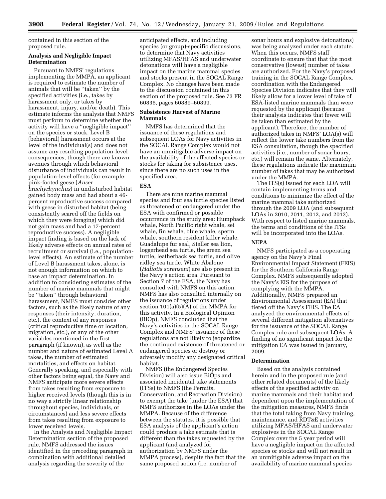contained in this section of the proposed rule.

# **Analysis and Negligible Impact Determination**

Pursuant to NMFS' regulations implementing the MMPA, an applicant is required to estimate the number of animals that will be ''taken'' by the specified activities (i.e., takes by harassment only, or takes by harassment, injury, and/or death). This estimate informs the analysis that NMFS must perform to determine whether the activity will have a ''negligible impact'' on the species or stock. Level B (behavioral) harassment occurs at the level of the individual(s) and does not assume any resulting population-level consequences, though there are known avenues through which behavioral disturbance of individuals can result in population-level effects (for example: pink-footed geese (*Anser brachyrhynchus*) in undisturbed habitat gained body mass and had about a 46 percent reproductive success compared with geese in disturbed habitat (being consistently scared off the fields on which they were foraging) which did not gain mass and had a 17-percent reproductive success). A negligible impact finding is based on the lack of likely adverse effects on annual rates of recruitment or survival (i.e., populationlevel effects). An estimate of the number of Level B harassment takes, alone, is not enough information on which to base an impact determination. In addition to considering estimates of the number of marine mammals that might be ''taken'' through behavioral harassment, NMFS must consider other factors, such as the likely nature of any responses (their intensity, duration, etc.), the context of any responses (critical reproductive time or location, migration, etc.), or any of the other variables mentioned in the first paragraph (if known), as well as the number and nature of estimated Level A takes, the number of estimated mortalities, and effects on habitat. Generally speaking, and especially with other factors being equal, the Navy and NMFS anticipate more severe effects from takes resulting from exposure to higher received levels (though this is in no way a strictly linear relationship throughout species, individuals, or circumstances) and less severe effects from takes resulting from exposure to lower received levels.

In the Analysis and Negligible Impact Determination section of the proposed rule, NMFS addressed the issues identified in the preceding paragraph in combination with additional detailed analysis regarding the severity of the

anticipated effects, and including species (or group)-specific discussions, to determine that Navy activities utilizing MFAS/HFAS and underwater detonations will have a negligible impact on the marine mammal species and stocks present in the SOCAL Range Complex. No changes have been made to the discussion contained in this section of the proposed rule. See 73 FR 60836, pages 60889–60899.

# **Subsistence Harvest of Marine Mammals**

NMFS has determined that the issuance of these regulations and subsequent LOAs for Navy activities in the SOCAL Range Complex would not have an unmitigable adverse impact on the availability of the affected species or stocks for taking for subsistence uses, since there are no such uses in the specified area.

# **ESA**

There are nine marine mammal species and four sea turtle species listed as threatened or endangered under the ESA with confirmed or possible occurrence in the study area: Humpback whale, North Pacific right whale, sei whale, fin whale, blue whale, sperm whale, southern resident killer whale, Guadalupe fur seal, Steller sea lion, loggerhead sea turtle, the green sea turtle, leatherback sea turtle, and olive ridley sea turtle. White Abalone (*Haliotis sorenseni*) are also present in the Navy's action area. Pursuant to Section 7 of the ESA, the Navy has consulted with NMFS on this action. NMFS has also consulted internally on the issuance of regulations under section 101(a)(5)(A) of the MMPA for this activity. In a Biological Opinion (BiOp), NMFS concluded that the Navy's activities in the SOCAL Range Complex and NMFS' issuance of these regulations are not likely to jeopardize the continued existence of threatened or endangered species or destroy or adversely modify any designated critical habitat.

NMFS (the Endangered Species Division) will also issue BiOps and associated incidental take statements (ITSs) to NMFS (the Permits, Conservation, and Recreation Division) to exempt the take (under the ESA) that NMFS authorizes in the LOAs under the MMPA. Because of the difference between the statutes, it is possible that ESA analysis of the applicant's action could produce a take estimate that is different than the takes requested by the applicant (and analyzed for authorization by NMFS under the MMPA process), despite the fact that the same proposed action (i.e. number of

sonar hours and explosive detonations) was being analyzed under each statute. When this occurs, NMFS staff coordinate to ensure that that the most conservative (lowest) number of takes are authorized. For the Navy's proposed training in the SOCAL Range Complex, coordination with the Endangered Species Division indicates that they will likely allow for a lower level of take of ESA-listed marine mammals than were requested by the applicant (because their analysis indicates that fewer will be taken than estimated by the applicant). Therefore, the number of authorized takes in NMFS' LOA(s) will reflect the lower take numbers from the ESA consultation, though the specified activities (i.e., number of sonar hours, etc.) will remain the same. Alternately, these regulations indicate the maximum number of takes that may be authorized under the MMPA.

The ITS(s) issued for each LOA will contain implementing terms and conditions to minimize the effect of the marine mammal take authorized through the 2009 LOA (and subsequent LOAs in 2010, 2011, 2012, and 2013). With respect to listed marine mammals, the terms and conditions of the ITSs will be incorporated into the LOAs.

# **NEPA**

NMFS participated as a cooperating agency on the Navy's Final Environmental Impact Statement (FEIS) for the Southern California Range Complex. NMFS subsequently adopted the Navy's EIS for the purpose of complying with the MMPA. Additionally, NMFS prepared an Environmental Assessment (EA) that tiered off the Navy's FEIS. The EA analyzed the environmental effects of several different mitigation alternatives for the issuance of the SOCAL Range Complex rule and subsequent LOAs. A finding of no significant impact for the mitigation EA was issued in January, 2009.

#### **Determination**

Based on the analysis contained herein and in the proposed rule (and other related documents) of the likely effects of the specified activity on marine mammals and their habitat and dependent upon the implementation of the mitigation measures, NMFS finds that the total taking from Navy training, maintenance, and RDT&E activities utilizing MFAS/HFAS and underwater explosives in the SOCAL Range Complex over the 5 year period will have a negligible impact on the affected species or stocks and will not result in an unmitigable adverse impact on the availability of marine mammal species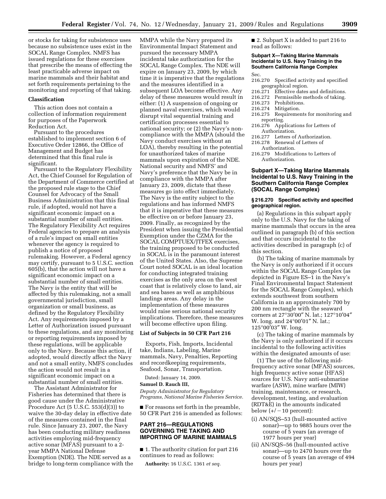or stocks for taking for subsistence uses because no subsistence uses exist in the SOCAL Range Complex. NMFS has issued regulations for these exercises that prescribe the means of effecting the least practicable adverse impact on marine mammals and their habitat and set forth requirements pertaining to the monitoring and reporting of that taking.

#### **Classification**

This action does not contain a collection of information requirement for purposes of the Paperwork Reduction Act.

Pursuant to the procedures established to implement section 6 of Executive Order 12866, the Office of Management and Budget has determined that this final rule is significant.

Pursuant to the Regulatory Flexibility Act, the Chief Counsel for Regulation of the Department of Commerce certified at the proposed rule stage to the Chief Counsel for Advocacy of the Small Business Administration that this final rule, if adopted, would not have a significant economic impact on a substantial number of small entities. The Regulatory Flexibility Act requires Federal agencies to prepare an analysis of a rule's impact on small entities whenever the agency is required to publish a notice of proposed rulemaking. However, a Federal agency may certify, pursuant to 5 U.S.C. section 605(b), that the action will not have a significant economic impact on a substantial number of small entities. The Navy is the entity that will be affected by this rulemaking, not a small governmental jurisdiction, small organization or small business, as defined by the Regulatory Flexibility Act. Any requirements imposed by a Letter of Authorization issued pursuant to these regulations, and any monitoring or reporting requirements imposed by these regulations, will be applicable only to the Navy. Because this action, if adopted, would directly affect the Navy and not a small entity, NMFS concludes the action would not result in a significant economic impact on a substantial number of small entities.

The Assistant Administrator for Fisheries has determined that there is good cause under the Administrative Procedure Act (5 U.S.C. 553(d)(3)) to waive the 30-day delay in effective date of the measures contained in the final rule. Since January 23, 2007, the Navy has been conducting military readiness activities employing mid-frequency active sonar (MFAS) pursuant to a 2 year MMPA National Defense Exemption (NDE). The NDE served as a bridge to long-term compliance with the MMPA while the Navy prepared its Environmental Impact Statement and pursued the necessary MMPA incidental take authorization for the SOCAL Range Complex. The NDE will expire on January 23, 2009, by which time it is imperative that the regulations and the measures identified in a subsequent LOA become effective. Any delay of these measures would result in either: (1) A suspension of ongoing or planned naval exercises, which would disrupt vital sequential training and certification processes essential to national security; or (2) the Navy's noncompliance with the MMPA (should the Navy conduct exercises without an LOA), thereby resulting in the potential for unauthorized takes of marine mammals upon expiration of the NDE. National security and NMFS' and Navy's preference that the Navy be in compliance with the MMPA after January 23, 2009, dictate that these measures go into effect immediately. The Navy is the entity subject to the regulations and has informed NMFS that it is imperative that these measures be effective on or before January 23, 2009. Finally, as recognized by the President when issuing the Presidential Exemption under the CZMA for the SOCAL COMPTUEX/JTFEX exercises, the training proposed to be conducted in SOCAL is in the paramount interest of the United States. Also, the Supreme Court noted SOCAL is an ideal location for conducting integrated training exercises as the only area on the west coast that is relatively close to land, air and sea bases as well as amphibious landings areas. Any delay in the implementation of these measures would raise serious national security implications. Therefore, these measures will become effective upon filing.

# **List of Subjects in 50 CFR Part 216**

Exports, Fish, Imports, Incidental take, Indians, Labeling, Marine mammals, Navy, Penalties, Reporting and recordkeeping requirements, Seafood, Sonar, Transportation.

Dated: January 14, 2009.

#### **Samuel D. Rauch III,**

*Deputy Administrator for Regulatory Programs, National Marine Fisheries Service.* 

■ For reasons set forth in the preamble, 50 CFR Part 216 is amended as follows:

# **PART 216—REGULATIONS GOVERNING THE TAKING AND IMPORTING OF MARINE MAMMALS**

■ 1. The authority citation for part 216 continues to read as follows:

**Authority:** 16 U.S.C. 1361 *et seq.* 

■ 2. Subpart X is added to part 216 to read as follows:

# **Subpart X—Taking Marine Mammals Incidental to U.S. Navy Training in the Southern California Range Complex**  Sec.

- 216.270 Specified activity and specified geographical region.
- $216.271$  Effective dates and definitions.<br>216.272 Permissible methods of taking.
- 216.272 Permissible methods of taking.
- 216.273 Prohibitions.<br>216.274 Mitigation.
- Mitigation.
- 216.275 Requirements for monitoring and reporting.
- 216.276 Applications for Letters of Authorization.<br>216.277 Letters of
- 216.277 Letters of Authorization.<br>216.278 Renewal of Letters of
- Renewal of Letters of
- Authorization.
- 216.279 Modifications to Letters of Authorization.

# **Subpart X—Taking Marine Mammals Incidental to U.S. Navy Training in the Southern California Range Complex (SOCAL Range Complex)**

# **§ 216.270 Specified activity and specified geographical region.**

(a) Regulations in this subpart apply only to the U.S. Navy for the taking of marine mammals that occurs in the area outlined in paragraph (b) of this section and that occurs incidental to the activities described in paragraph (c) of this section.

(b) The taking of marine mammals by the Navy is only authorized if it occurs within the SOCAL Range Complex (as depicted in Figure ES–1 in the Navy's Final Environmental Impact Statement for the SOCAL Range Complex), which extends southwest from southern California in an approximately 700 by 200 nm rectangle with the seaward corners at 27°30′00″ N. lat.; 127°10′04″ W. long. and 24°00′01″ N. lat.; 125°00′03″ W. long.

(c) The taking of marine mammals by the Navy is only authorized if it occurs incidental to the following activities within the designated amounts of use:

(1) The use of the following midfrequency active sonar (MFAS) sources, high frequency active sonar (HFAS) sources for U.S. Navy anti-submarine warfare (ASW), mine warfare (MIW) training, maintenance, or research, development, testing, and evaluation (RDT&E) in the amounts indicated below  $(+/-10$  percent):

- (i) AN/SQS–53 (hull-mounted active sonar)—up to 9885 hours over the course of 5 years (an average of 1977 hours per year)
- (ii) AN/SQS–56 (hull-mounted active sonar)—up to 2470 hours over the course of 5 years (an average of 494 hours per year)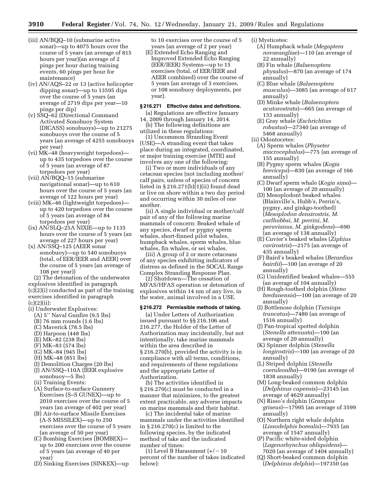- (iii) AN/BQQ–10 (submarine active sonar)—up to 4075 hours over the course of 5 years (an average of 815 hours per year)(an average of 2 pings per hour during training events, 60 pings per hour for maintenance)
- (iv) AN/AQS–22 or 13 (active helicopter dipping sonar)—up to 13595 dips over the course of 5 years (an average of 2719 dips per year—10 pings per dip)
- (v) SSQ–62 (Directional Command Activated Sonobuoy System (DICASS) sonobuoys)—up to 21275 sonobuoys over the course of 5 years (an average of 4255 sonobuoys per year)
- (vi) MK–48 (heavyweight torpedoes) up to 435 torpedoes over the course of 5 years (an average of 87 torpedoes per year)
- (vii) AN/BQQ–15 (submarine navigational sonar)—up to 610 hours over the course of 5 years (an average of 122 hours per year)
- (viii) MK–46 (lightweight torpedoes) up to 420 torpedoes over the course of 5 years (an average of 84 torpedoes per year)
- $(ix)$  AN/SLQ–25A NIXIE—up to 1135 hours over the course of 5 years (an average of 227 hours per year)
- (x) AN/SSQ–125 (AEER sonar sonobuoy)—up to 540 sonobuoys (total, of EER/IEER and AEER) over the course of 5 years (an average of 108 per year))

(2) The detonation of the underwater explosives identified in paragraph (c)(2)(i) conducted as part of the training exercises identified in paragraph  $(c)(2)(ii)$ :

- (i) Underwater Explosives:
- (A) 5'' Naval Gunfire (9.5 lbs)
- (B) 76 mm rounds (1.6 lbs)
- (C) Maverick (78.5 lbs)
- (D) Harpoon (448 lbs)
- (E) MK–82 (238 lbs)
- (F) MK–83 (574 lbs)
- (G) MK–84 (945 lbs)
- (H) MK–48 (851 lbs)
- (I) Demolition Charges (20 lbs)
- (J) AN/SSQ–110A (IEER explosive sonobuoy—5 lbs)
- (ii) Training Events:
- (A) Surface-to-surface Gunnery Exercises (S–S GUNEX)—up to 2010 exercises over the course of 5 years (an average of 402 per year)
- (B) Air-to-surface Missile Exercises (A-S MISSILEX)—up to 250 exercises over the course of 5 years (an average of 50 per year)
- (C) Bombing Exercises (BOMBEX) up to 200 exercises over the course of 5 years (an average of 40 per year)
- (D) Sinking Exercises (SINKEX)—up

to 10 exercises over the course of 5 years (an average of 2 per year)

(E) Extended Echo Ranging and Improved Extended Echo Ranging (EER/IEER) Systems—up to 15 exercises (total, of EER/IEER and AEER combined) over the course of 5 years (an average of 3 exercises, or 108 sonobuoy deployments, per year).

# **§ 216.271 Effective dates and definitions.**

(a) Regulations are effective January 14, 2009 through January 14, 2014.

(b) The following definitions are utilized in these regulations:

(1) Uncommon Stranding Event (USE)—A stranding event that takes place during an integrated, coordinated, or major training exercise (MTE) and involves any one of the following:

(i) Two or more individuals of any cetacean species (not including mother/ calf pairs, unless of species of concern listed in  $\S 216.271(b)(i)$  found dead or live on shore within a two day period and occurring within 30 miles of one another.

(ii) A single individual or mother/calf pair of any of the following marine mammals of concern: Beaked whale of any species, dwarf or pygmy sperm whales, short-finned pilot whales, humpback whales, sperm whales, blue whales, fin whales, or sei whales.

(iii) A group of 2 or more cetaceans of any species exhibiting indicators of distress as defined in the SOCAL Range Complex Stranding Response Plan.

(2) Shutdown—The cessation of MFAS/HFAS operation or detonation of explosives within 14 nm of any live, in the water, animal involved in a USE.

# **§ 216.272 Permissible methods of taking.**

(a) Under Letters of Authorization issued pursuant to §§ 216.106 and 216.277, the Holder of the Letter of Authorization may incidentally, but not intentionally, take marine mammals within the area described in § 216.270(b), provided the activity is in compliance with all terms, conditions, and requirements of these regulations and the appropriate Letter of Authorization.

(b) The activities identified in § 216.270(c) must be conducted in a manner that minimizes, to the greatest extent practicable, any adverse impacts on marine mammals and their habitat.

(c) The incidental take of marine mammals under the activities identified in § 216.270(c) is limited to the following species, by the indicated method of take and the indicated number of times:

(1) Level B Harassment  $(+/-10$ percent of the number of takes indicated below):

(i) Mysticetes:

- (A) Humpback whale (*Megaptera novaeangliae*)—110 (an average of 22 annually)
- (B) Fin whale (*Balaenoptera physalus*)—870 (an average of 174 annually)
- (C) Blue whale (*Balaenoptera musculus*)—3085 (an average of 617 annually)
- (D) Minke whale (*Balaenoptera acutorostrata*)—665 (an average of 133 annually)
- (E) Gray whale (*Eschrichtius robustus*)—27340 (an average of 5468 annually)

(ii) Odontocetes:

- (A) Sperm whales (*Physeter macrocephalus*)—775 (an average of 155 annually)
- (B) Pygmy sperm whales (*Kogia breviceps*)—830 (an average of 166 annually)
- (C) Dwarf sperm whale (*Kogia sima*)— 100 (an average of 20 annually)
- (D) Mesoplodont beaked whales (Blainville's, Hubb's, Perrin's, pygmy, and ginkgo-toothed) (*Mesoplodon densirostris, M. carlhubbsi, M. perrini, M. peruvianus, M. ginkgodens*)—690 (an average of 138 annually)
- (E) Cuvier's beaked whales (*Ziphius cavirostris*)—2175 (an average of 435 annually)
- (F) Baird's beaked whales (*Berardius bairdii*)—100 (an average of 20 annually)
- (G) Unidentified beaked whales—555 (an average of 104 annually)
- (H) Rough-toothed dolphin (*Steno bredanensis*)—100 (an average of 20 annually)
- (I) Bottlenose dolphin (*Tursiops truncatus*)—7480 (an average of 1516 annually)
- (J) Pan-tropical spotted dolphin (*Stenella attenuata*)—100 (an average of 20 annually)
- (K) Spinner dolphin (*Stenella longirostris*)—100 (an average of 20 annually)
- (L) Striped dolphin (*Stenella coeruleoalba*)—9190 (an average of 1838 annually)
- (M) Long-beaked common dolphin (*Delphinus capensis*)—23145 (an average of 4629 annually)
- (N) Risso's dolphin (*Grampus griseus*)—17995 (an average of 3599 annually)
- (O) Northern right whale dolphin (*Lissodelphis borealis*)—7935 (an average of 1547 annually)
- (P) Pacific white-sided dolphin (*Lagenorhynchus obliquidens*)— 7020 (an average of 1404 annually)
- (Q) Short-beaked common dolphin (*Delphinus delphis*)—197350 (an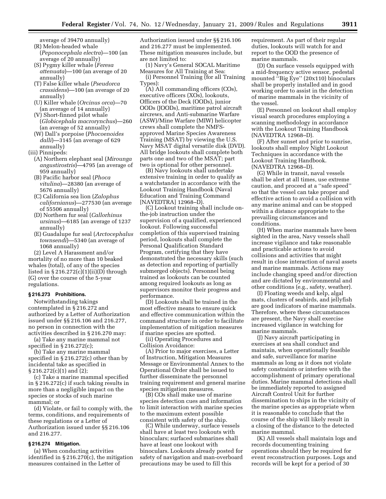- average of 39470 annually) (R) Melon-headed whale
- (*Peponocephala electra*)—100 (an average of 20 annually)
- (S) Pygmy killer whale (*Feresa attenuata*)—100 (an average of 20 annually)
- (T) False killer whale (*Pseudorca crassidens*)—100 (an average of 20 annually)
- (U) Killer whale (*Orcinus orca*)—70 (an average of 14 annually)
- (V) Short-finned pilot whale (*Globicephala macrorynchus*)—260 (an average of 52 annually)
- (W) Dall's porpoise (*Phocoenoides dalli*)—3145 (an average of 629 annually)
- (iii) Pinnipeds:
	- (A) Northern elephant seal (*Mirounga angustirostris*)—4795 (an average of 959 annually)
	- (B) Pacific harbor seal (*Phoca vitulina*)—28380 (an average of 5676 annually)
	- (C) California sea lion (*Zalophus californianus*)—277530 (an average of 55506 annually)
	- (D) Northern fur seal (*Callorhinus ursinus*)—6185 (an average of 1237 annually)
	- (E) Guadalupe fur seal (*Arctocephalus townsendi*)—5340 (an average of 1068 annually)

(2) Level A Harassment and/or mortality of no more than 10 beaked whales (total), of any of the species listed in  $\S 216.272(c)(1)(ii)(D)$  through (G) over the course of the 5-year regulations.

# **§ 216.273 Prohibitions.**

Notwithstanding takings contemplated in § 216.272 and authorized by a Letter of Authorization issued under §§ 216.106 and 216.277, no person in connection with the activities described in § 216.270 may:

(a) Take any marine mammal not specified in § 216.272(c);

(b) Take any marine mammal specified in § 216.272(c) other than by incidental take as specified in § 216.272(c)(1) and (2);

(c) Take a marine mammal specified in § 216.272(c) if such taking results in more than a negligible impact on the species or stocks of such marine mammal; or

(d) Violate, or fail to comply with, the terms, conditions, and requirements of these regulations or a Letter of Authorization issued under §§ 216.106 and 216.277.

# **§ 216.274 Mitigation.**

(a) When conducting activities identified in  $\S 216.270(c)$ , the mitigation measures contained in the Letter of

Authorization issued under §§ 216.106 and 216.277 must be implemented. These mitigation measures include, but are not limited to:

(1) Navy's General SOCAL Maritime Measures for All Training at Sea:

(i) Personnel Training (for all Training Types):

(A) All commanding officers (COs), executive officers (XOs), lookouts, Officers of the Deck (OODs), junior OODs (JOODs), maritime patrol aircraft aircrews, and Anti-submarine Warfare (ASW)/Mine Warfare (MIW) helicopter crews shall complete the NMFSapproved Marine Species Awareness Training (MSAT) by viewing the U.S. Navy MSAT digital versatile disk (DVD). All bridge lookouts shall complete both parts one and two of the MSAT; part two is optional for other personnel.

(B) Navy lookouts shall undertake extensive training in order to qualify as a watchstander in accordance with the Lookout Training Handbook (Naval Education and Training Command [NAVEDTRA] 12968–D).

(C) Lookout training shall include onthe-job instruction under the supervision of a qualified, experienced lookout. Following successful completion of this supervised training period, lookouts shall complete the Personal Qualification Standard Program, certifying that they have demonstrated the necessary skills (such as detection and reporting of partially submerged objects). Personnel being trained as lookouts can be counted among required lookouts as long as supervisors monitor their progress and performance.

(D) Lookouts shall be trained in the most effective means to ensure quick and effective communication within the command structure in order to facilitate implementation of mitigation measures if marine species are spotted.

(ii) Operating Procedures and Collision Avoidance:

(A) Prior to major exercises, a Letter of Instruction, Mitigation Measures Message or Environmental Annex to the Operational Order shall be issued to further disseminate the personnel training requirement and general marine species mitigation measures.

(B) COs shall make use of marine species detection cues and information to limit interaction with marine species to the maximum extent possible consistent with safety of the ship.

(C) While underway, surface vessels shall have at least two lookouts with binoculars; surfaced submarines shall have at least one lookout with binoculars. Lookouts already posted for safety of navigation and man-overboard precautions may be used to fill this

requirement. As part of their regular duties, lookouts will watch for and report to the OOD the presence of marine mammals.

(D) On surface vessels equipped with a mid-frequency active sensor, pedestal mounted ''Big Eye'' (20x110) binoculars shall be properly installed and in good working order to assist in the detection of marine mammals in the vicinity of the vessel.

(E) Personnel on lookout shall employ visual search procedures employing a scanning methodology in accordance with the Lookout Training Handbook (NAVEDTRA 12968–D).

(F) After sunset and prior to sunrise, lookouts shall employ Night Lookout Techniques in accordance with the Lookout Training Handbook. (NAVEDTRA 12968–D).

(G) While in transit, naval vessels shall be alert at all times, use extreme caution, and proceed at a ''safe speed'' so that the vessel can take proper and effective action to avoid a collision with any marine animal and can be stopped within a distance appropriate to the prevailing circumstances and conditions.

(H) When marine mammals have been sighted in the area, Navy vessels shall increase vigilance and take reasonable and practicable actions to avoid collisions and activities that might result in close interaction of naval assets and marine mammals. Actions may include changing speed and/or direction and are dictated by environmental and other conditions (e.g., safety, weather).

(I) Floating weeds and kelp, algal mats, clusters of seabirds, and jellyfish are good indicators of marine mammals. Therefore, where these circumstances are present, the Navy shall exercise increased vigilance in watching for marine mammals.

(J) Navy aircraft participating in exercises at sea shall conduct and maintain, when operationally feasible and safe, surveillance for marine mammals as long as it does not violate safety constraints or interfere with the accomplishment of primary operational duties. Marine mammal detections shall be immediately reported to assigned Aircraft Control Unit for further dissemination to ships in the vicinity of the marine species as appropriate when it is reasonable to conclude that the course of the ship will likely result in a closing of the distance to the detected marine mammal.

(K) All vessels shall maintain logs and records documenting training operations should they be required for event reconstruction purposes. Logs and records will be kept for a period of 30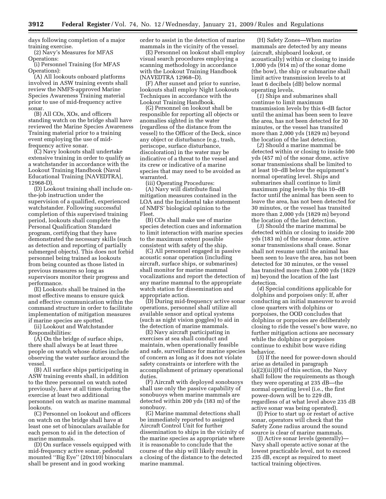days following completion of a major training exercise.

(2) Navy's Measures for MFAS Operations:

(i) Personnel Training (for MFAS Operations):

(A) All lookouts onboard platforms involved in ASW training events shall review the NMFS-approved Marine Species Awareness Training material prior to use of mid-frequency active sonar.

(B) All COs, XOs, and officers standing watch on the bridge shall have reviewed the Marine Species Awareness Training material prior to a training event employing the use of midfrequency active sonar.

(C) Navy lookouts shall undertake extensive training in order to qualify as a watchstander in accordance with the Lookout Training Handbook (Naval Educational Training [NAVEDTRA], 12968-D).

(D) Lookout training shall include onthe-job instruction under the supervision of a qualified, experienced watchstander. Following successful completion of this supervised training period, lookouts shall complete the Personal Qualification Standard program, certifying that they have demonstrated the necessary skills (such as detection and reporting of partially submerged objects). This does not forbid personnel being trained as lookouts from being counted as those listed in previous measures so long as supervisors monitor their progress and performance.

(E) Lookouts shall be trained in the most effective means to ensure quick and effective communication within the command structure in order to facilitate implementation of mitigation measures if marine species are spotted.

(ii) Lookout and Watchstander Responsibilities:

(A) On the bridge of surface ships, there shall always be at least three people on watch whose duties include observing the water surface around the vessel.

(B) All surface ships participating in ASW training events shall, in addition to the three personnel on watch noted previously, have at all times during the exercise at least two additional personnel on watch as marine mammal lookouts.

(C) Personnel on lookout and officers on watch on the bridge shall have at least one set of binoculars available for each person to aid in the detection of marine mammals.

(D) On surface vessels equipped with mid-frequency active sonar, pedestal mounted ''Big Eye'' (20x110) binoculars shall be present and in good working

order to assist in the detection of marine mammals in the vicinity of the vessel.

(E) Personnel on lookout shall employ visual search procedures employing a scanning methodology in accordance with the Lookout Training Handbook (NAVEDTRA 12968–D).

(F) After sunset and prior to sunrise, lookouts shall employ Night Lookouts Techniques in accordance with the Lookout Training Handbook.

(G) Personnel on lookout shall be responsible for reporting all objects or anomalies sighted in the water (regardless of the distance from the vessel) to the Officer of the Deck, since any object or disturbance (e.g., trash, periscope, surface disturbance, discoloration) in the water may be indicative of a threat to the vessel and its crew or indicative of a marine species that may need to be avoided as warranted.

(iii) Operating Procedures: (A) Navy will distribute final mitigation measures contained in the LOA and the Incidental take statement of NMFS' biological opinion to the Fleet.

(B) COs shall make use of marine species detection cues and information to limit interaction with marine species to the maximum extent possible consistent with safety of the ship.

(C) All personnel engaged in passive acoustic sonar operation (including aircraft, surface ships, or submarines) shall monitor for marine mammal vocalizations and report the detection of any marine mammal to the appropriate watch station for dissemination and appropriate action.

(D) During mid-frequency active sonar operations, personnel shall utilize all available sensor and optical systems (such as night vision goggles) to aid in the detection of marine mammals.

(E) Navy aircraft participating in exercises at sea shall conduct and maintain, when operationally feasible and safe, surveillance for marine species of concern as long as it does not violate safety constraints or interfere with the accomplishment of primary operational duties.

(F) Aircraft with deployed sonobuoys shall use only the passive capability of sonobuoys when marine mammals are detected within 200 yds (183 m) of the sonobuoy.

(G) Marine mammal detections shall be immediately reported to assigned Aircraft Control Unit for further dissemination to ships in the vicinity of the marine species as appropriate where it is reasonable to conclude that the course of the ship will likely result in a closing of the distance to the detected marine mammal.

(H) Safety Zones—When marine mammals are detected by any means (aircraft, shipboard lookout, or acoustically) within or closing to inside 1,000 yds (914 m) of the sonar dome (the bow), the ship or submarine shall limit active transmission levels to at least 6 decibels (dB) below normal operating levels.

(*1*) Ships and submarines shall continue to limit maximum transmission levels by this 6-dB factor until the animal has been seen to leave the area, has not been detected for 30 minutes, or the vessel has transited more than 2,000 yds (1829 m) beyond the location of the last detection.

(*2*) Should a marine mammal be detected within or closing to inside 500 yds (457 m) of the sonar dome, active sonar transmissions shall be limited to at least 10–dB below the equipment's normal operating level. Ships and submarines shall continue to limit maximum ping levels by this 10–dB factor until the animal has been seen to leave the area, has not been detected for 30 minutes, or the vessel has transited more than 2,000 yds (1829 m) beyond the location of the last detection.

(*3*) Should the marine mammal be detected within or closing to inside 200 yds (183 m) of the sonar dome, active sonar transmissions shall cease. Sonar shall not resume until the animal has been seen to leave the area, has not been detected for 30 minutes, or the vessel has transited more than 2,000 yds (1829 m) beyond the location of the last detection.

(*4*) Special conditions applicable for dolphins and porpoises only: If, after conducting an initial maneuver to avoid close quarters with dolphins or porpoises, the OOD concludes that dolphins or porpoises are deliberately closing to ride the vessel's bow wave, no further mitigation actions are necessary while the dolphins or porpoises continue to exhibit bow wave riding behavior.

(*5*) If the need for power-down should arise as detailed in paragraph  $(a)(2)(iii)(H)$  of this section, the Navy shall follow the requirements as though they were operating at 235 dB—the normal operating level (i.e., the first power-down will be to 229 dB, regardless of at what level above 235 dB active sonar was being operated).

(I) Prior to start up or restart of active sonar, operators will check that the Safety Zone radius around the sound source is clear of marine mammals.

(J) Active sonar levels (generally)— Navy shall operate active sonar at the lowest practicable level, not to exceed 235 dB, except as required to meet tactical training objectives.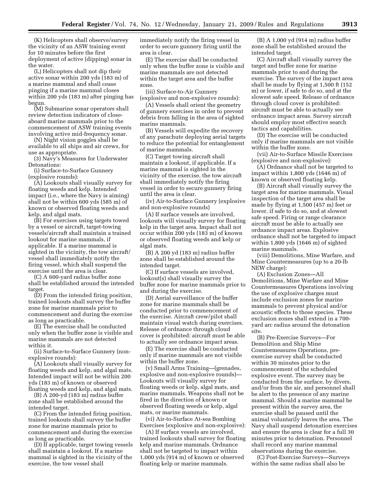(K) Helicopters shall observe/survey the vicinity of an ASW training event for 10 minutes before the first deployment of active (dipping) sonar in the water.

(L) Helicopters shall not dip their active sonar within 200 yds (183 m) of a marine mammal and shall cease pinging if a marine mammal closes within 200 yds (183 m) after pinging has begun.

(M) Submarine sonar operators shall review detection indicators of closeaboard marine mammals prior to the commencement of ASW training events involving active mid-frequency sonar.

(N) Night vision goggles shall be available to all ships and air crews, for use as appropriate.

(3) Navy's Measures for Underwater Detonations:

(i) Surface-to-Surface Gunnery (explosive rounds):

(A) Lookouts shall visually survey for floating weeds and kelp. Intended impact (i.e., where the Navy is aiming) shall not be within 600 yds (585 m) of known or observed floating weeds and kelp, and algal mats.

(B) For exercises using targets towed by a vessel or aircraft, target-towing vessels/aircraft shall maintain a trained lookout for marine mammals, if applicable. If a marine mammal is sighted in the vicinity, the tow aircraft/ vessel shall immediately notify the firing vessel, which shall suspend the exercise until the area is clear.

(C) A 600-yard radius buffer zone shall be established around the intended target.

(D) From the intended firing position, trained lookouts shall survey the buffer zone for marine mammals prior to commencement and during the exercise as long as practicable.

(E) The exercise shall be conducted only when the buffer zone is visible and marine mammals are not detected within it.

(ii) Surface-to-Surface Gunnery (nonexplosive rounds):

(A) Lookouts shall visually survey for floating weeds and kelp, and algal mats. Intended impact will not be within 200 yds (183 m) of known or observed floating weeds and kelp, and algal mats.

(B) A 200-yd (183 m) radius buffer zone shall be established around the intended target.

(C) From the intended firing position, trained lookouts shall survey the buffer zone for marine mammals prior to commencement and during the exercise as long as practicable.

(D) If applicable, target towing vessels shall maintain a lookout. If a marine mammal is sighted in the vicinity of the exercise, the tow vessel shall

immediately notify the firing vessel in order to secure gunnery firing until the area is clear.

(E) The exercise shall be conducted only when the buffer zone is visible and marine mammals are not detected within the target area and the buffer zone.

(iii) Surface-to-Air Gunnery (explosive and non-explosive rounds):

(A) Vessels shall orient the geometry of gunnery exercises in order to prevent debris from falling in the area of sighted marine mammals.

(B) Vessels will expedite the recovery of any parachute deploying aerial targets to reduce the potential for entanglement of marine mammals.

(C) Target towing aircraft shall maintain a lookout, if applicable. If a marine mammal is sighted in the vicinity of the exercise, the tow aircraft shall immediately notify the firing vessel in order to secure gunnery firing until the area is clear.

(iv) Air-to-Surface Gunnery (explosive and non-explosive rounds)

(A) If surface vessels are involved, lookouts will visually survey for floating kelp in the target area. Impact shall not occur within 200 yds (183 m) of known or observed floating weeds and kelp or algal mats.

(B) A 200 yd (183 m) radius buffer zone shall be established around the intended target.

(C) If surface vessels are involved, lookout(s) shall visually survey the buffer zone for marine mammals prior to and during the exercise.

(D) Aerial surveillance of the buffer zone for marine mammals shall be conducted prior to commencement of the exercise. Aircraft crew/pilot shall maintain visual watch during exercises. Release of ordnance through cloud cover is prohibited: aircraft must be able to actually see ordnance impact areas.

(E) The exercise shall be conducted only if marine mammals are not visible within the buffer zone.

(v) Small Arms Training—(grenades, explosive and non-explosive rounds)— Lookouts will visually survey for floating weeds or kelp, algal mats, and marine mammals. Weapons shall not be fired in the direction of known or observed floating weeds or kelp, algal mats, or marine mammals.

(vi) Air-to-Surface At-sea Bombing Exercises (explosive and non-explosive):

(A) If surface vessels are involved, trained lookouts shall survey for floating kelp and marine mammals. Ordnance shall not be targeted to impact within 1,000 yds (914 m) of known or observed floating kelp or marine mammals.

(B) A 1,000 yd (914 m) radius buffer zone shall be established around the intended target.

(C) Aircraft shall visually survey the target and buffer zone for marine mammals prior to and during the exercise. The survey of the impact area shall be made by flying at 1,500 ft (152 m) or lower, if safe to do so, and at the slowest safe speed. Release of ordnance through cloud cover is prohibited: aircraft must be able to actually see ordnance impact areas. Survey aircraft should employ most effective search tactics and capabilities.

(D) The exercise will be conducted only if marine mammals are not visible within the buffer zone.

(vii) Air-to-Surface Missile Exercises (explosive and non-explosive):

(A) Ordnance shall not be targeted to impact within 1,800 yds (1646 m) of known or observed floating kelp.

(B) Aircraft shall visually survey the target area for marine mammals. Visual inspection of the target area shall be made by flying at 1,500 (457 m) feet or lower, if safe to do so, and at slowest safe speed. Firing or range clearance aircraft must be able to actually see ordnance impact areas. Explosive ordnance shall not be targeted to impact within 1,800 yds (1646 m) of sighted marine mammals.

(viii) Demolitions, Mine Warfare, and Mine Countermeasures (up to a 20-lb NEW charge):

(A) Exclusion Zones—All Demolitions, Mine Warfare and Mine Countermeasures Operations involving the use of explosive charges must include exclusion zones for marine mammals to prevent physical and/or acoustic effects to those species. These exclusion zones shall extend in a 700 yard arc radius around the detonation site.

(B) Pre-Exercise Surveys—For Demolition and Ship Mine Countermeasures Operations, preexercise survey shall be conducted within 30 minutes prior to the commencement of the scheduled explosive event. The survey may be conducted from the surface, by divers, and/or from the air, and personnel shall be alert to the presence of any marine mammal. Should a marine mammal be present within the survey area, the exercise shall be paused until the animal voluntarily leaves the area. The Navy shall suspend detonation exercises and ensure the area is clear for a full 30 minutes prior to detonation. Personnel shall record any marine mammal observations during the exercise.

(C) Post-Exercise Surveys—Surveys within the same radius shall also be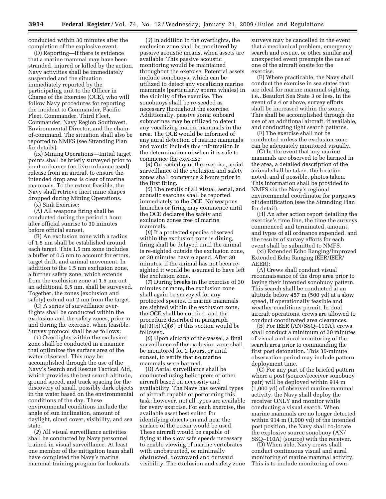conducted within 30 minutes after the completion of the explosive event.

(D) Reporting—If there is evidence that a marine mammal may have been stranded, injured or killed by the action, Navy activities shall be immediately suspended and the situation immediately reported by the participating unit to the Officer in Charge of the Exercise (OCE), who will follow Navy procedures for reporting the incident to Commander, Pacific Fleet, Commander, Third Fleet, Commander, Navy Region Southwest, Environmental Director, and the chainof-command. The situation shall also be reported to NMFS (see Stranding Plan for details).

(ix) Mining Operations—Initial target points shall be briefly surveyed prior to inert ordnance (no live ordnance used) release from an aircraft to ensure the intended drop area is clear of marine mammals. To the extent feasible, the Navy shall retrieve inert mine shapes dropped during Mining Operations.

(x) Sink Exercise:

(A) All weapons firing shall be conducted during the period 1 hour after official sunrise to 30 minutes before official sunset.

(B) An exclusion zone with a radius of 1.5 nm shall be established around each target. This 1.5 nm zone includes a buffer of 0.5 nm to account for errors, target drift, and animal movement. In addition to the 1.5 nm exclusion zone, a further safety zone, which extends from the exclusion zone at 1.5 nm out an additional 0.5 nm, shall be surveyed. Together, the zones (exclusion and safety) extend out 2 nm from the target.

(C) A series of surveillance overflights shall be conducted within the exclusion and the safety zones, prior to and during the exercise, when feasible. Survey protocol shall be as follows:

(*1*) Overflights within the exclusion zone shall be conducted in a manner that optimizes the surface area of the water observed. This may be accomplished through the use of the Navy's Search and Rescue Tactical Aid, which provides the best search altitude, ground speed, and track spacing for the discovery of small, possibly dark objects in the water based on the environmental conditions of the day. These environmental conditions include the angle of sun inclination, amount of daylight, cloud cover, visibility, and sea state.

(*2*) All visual surveillance activities shall be conducted by Navy personnel trained in visual surveillance. At least one member of the mitigation team shall have completed the Navy's marine mammal training program for lookouts.

(*3*) In addition to the overflights, the exclusion zone shall be monitored by passive acoustic means, when assets are available. This passive acoustic monitoring would be maintained throughout the exercise. Potential assets include sonobuoys, which can be utilized to detect any vocalizing marine mammals (particularly sperm whales) in the vicinity of the exercise. The sonobuoys shall be re-seeded as necessary throughout the exercise. Additionally, passive sonar onboard submarines may be utilized to detect any vocalizing marine mammals in the area. The OCE would be informed of any aural detection of marine mammals and would include this information in the determination of when it is safe to commence the exercise.

(*4*) On each day of the exercise, aerial surveillance of the exclusion and safety zones shall commence 2 hours prior to the first firing.

(*5*) The results of all visual, aerial, and acoustic searches shall be reported immediately to the OCE. No weapons launches or firing may commence until the OCE declares the safety and exclusion zones free of marine mammals.

(*6*) If a protected species observed within the exclusion zone is diving, firing shall be delayed until the animal is re-sighted outside the exclusion zone, or 30 minutes have elapsed. After 30 minutes, if the animal has not been resighted it would be assumed to have left the exclusion zone.

(*7*) During breaks in the exercise of 30 minutes or more, the exclusion zone shall again be surveyed for any protected species. If marine mammals are sighted within the exclusion zone, the OCE shall be notified, and the procedure described in paragraph  $(a)(3)(x)(C)(6)$  of this section would be followed.

(*8*) Upon sinking of the vessel, a final surveillance of the exclusion zone shall be monitored for 2 hours, or until sunset, to verify that no marine mammals were harmed.

(D) Aerial surveillance shall be conducted using helicopters or other aircraft based on necessity and availability. The Navy has several types of aircraft capable of performing this task; however, not all types are available for every exercise. For each exercise, the available asset best suited for identifying objects on and near the surface of the ocean would be used. These aircraft would be capable of flying at the slow safe speeds necessary to enable viewing of marine vertebrates with unobstructed, or minimally obstructed, downward and outward visibility. The exclusion and safety zone

surveys may be cancelled in the event that a mechanical problem, emergency search and rescue, or other similar and unexpected event preempts the use of one of the aircraft onsite for the exercise.

(E) Where practicable, the Navy shall conduct the exercise in sea states that are ideal for marine mammal sighting, i.e., Beaufort Sea State 3 or less. In the event of a 4 or above, survey efforts shall be increased within the zones. This shall be accomplished through the use of an additional aircraft, if available, and conducting tight search patterns.

(F) The exercise shall not be conducted unless the exclusion zone can be adequately monitored visually.

(G) In the event that any marine mammals are observed to be harmed in the area, a detailed description of the animal shall be taken, the location noted, and if possible, photos taken. This information shall be provided to NMFS via the Navy's regional environmental coordinator for purposes of identification (see the Stranding Plan for detail).

(H) An after action report detailing the exercise's time line, the time the surveys commenced and terminated, amount, and types of all ordnance expended, and the results of survey efforts for each event shall be submitted to NMFS.

(xi) Extended Echo Ranging/Improved Extended Echo Ranging (EER/IEER/ AEER):

(A) Crews shall conduct visual reconnaissance of the drop area prior to laying their intended sonobuoy pattern. This search shall be conducted at an altitude below 457 m (500 yd) at a slow speed, if operationally feasible and weather conditions permit. In dual aircraft operations, crews are allowed to conduct coordinated area clearances.

(B) For IEER (AN/SSQ–110A), crews shall conduct a minimum of 30 minutes of visual and aural monitoring of the search area prior to commanding the first post detonation. This 30-minute observation period may include pattern deployment time.

(C) For any part of the briefed pattern where a post (source/receiver sonobuoy pair) will be deployed within 914 m (1,000 yd) of observed marine mammal activity, the Navy shall deploy the receiver ONLY and monitor while conducting a visual search. When marine mammals are no longer detected within 914 m (1,000 yd) of the intended post position, the Navy shall co-locate the explosive source sonobuoy (AN/ SSQ–110A) (source) with the receiver.

(D) When able, Navy crews shall conduct continuous visual and aural monitoring of marine mammal activity. This is to include monitoring of own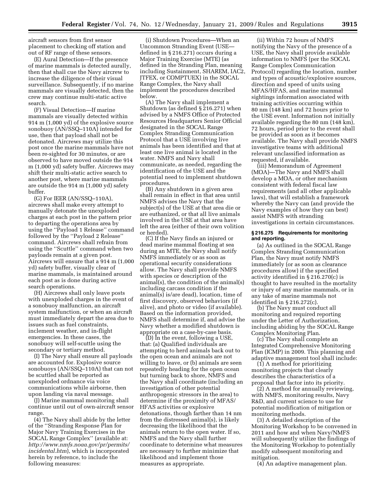aircraft sensors from first sensor placement to checking off station and out of RF range of these sensors.

(E) Aural Detection—If the presence of marine mammals is detected aurally, then that shall cue the Navy aircrew to increase the diligence of their visual surveillance. Subsequently, if no marine mammals are visually detected, then the crew may continue multi-static active search.

(F) Visual Detection—If marine mammals are visually detected within 914 m (1,000 yd) of the explosive source sonobuoy (AN/SSQ–110A) intended for use, then that payload shall not be detonated. Aircrews may utilize this post once the marine mammals have not been re-sighted for 30 minutes, or are observed to have moved outside the 914 m (1,000 yd) safety buffer. Aircrews may shift their multi-static active search to another post, where marine mammals are outside the 914 m (1,000 yd) safety buffer.

(G) For IEER (AN/SSQ–110A), aircrews shall make every attempt to manually detonate the unexploded charges at each post in the pattern prior to departing the operations area by using the ''Payload 1 Release'' command followed by the ''Payload 2 Release'' command. Aircrews shall refrain from using the ''Scuttle'' command when two payloads remain at a given post. Aircrews will ensure that a 914 m (1,000 yd) safety buffer, visually clear of marine mammals, is maintained around each post as is done during active search operations.

(H) Aircrews shall only leave posts with unexploded charges in the event of a sonobuoy malfunction, an aircraft system malfunction, or when an aircraft must immediately depart the area due to issues such as fuel constraints, inclement weather, and in-flight emergencies. In these cases, the sonobuoy will self-scuttle using the secondary or tertiary method.

(I) The Navy shall ensure all payloads are accounted for. Explosive source sonobuoys (AN/SSQ–110A) that can not be scuttled shall be reported as unexploded ordnance via voice communications while airborne, then upon landing via naval message.

(J) Marine mammal monitoring shall continue until out of own-aircraft sensor range.

(4) The Navy shall abide by the letter of the ''Stranding Response Plan for Major Navy Training Exercises in the SOCAL Range Complex'' (available at: *http://www.nmfs.noaa.gov/pr/permits/ incidental.htm*), which is incorporated herein by reference, to include the following measures:

(i) Shutdown Procedures—When an Uncommon Stranding Event (USE defined in § 216.271) occurs during a Major Training Exercise (MTE) (as defined in the Stranding Plan, meaning including Sustainment, SHAREM, IAC2, JTFEX, or COMPTUEX) in the SOCAL Range Complex, the Navy shall implement the procedures described below.

(A) The Navy shall implement a Shutdown (as defined § 216.271) when advised by a NMFS Office of Protected Resources Headquarters Senior Official designated in the SOCAL Range Complex Stranding Communication Protocol that a USE involving live animals has been identified and that at least one live animal is located in the water. NMFS and Navy shall communicate, as needed, regarding the identification of the USE and the potential need to implement shutdown procedures.

(B) Any shutdown in a given area shall remain in effect in that area until NMFS advises the Navy that the subject(s) of the USE at that area die or are euthanized, or that all live animals involved in the USE at that area have left the area (either of their own volition or herded).

(C) If the Navy finds an injured or dead marine mammal floating at sea during an MTE, the Navy shall notify NMFS immediately or as soon as operational security considerations allow. The Navy shall provide NMFS with species or description of the animal(s), the condition of the animal(s) including carcass condition if the animal(s) is/are dead), location, time of first discovery, observed behaviors (if alive), and photo or video (if available). Based on the information provided, NMFS shall determine if, and advise the Navy whether a modified shutdown is appropriate on a case-by-case basis.

(D) In the event, following a USE, that: (a) Qualified individuals are attempting to herd animals back out to the open ocean and animals are not willing to leave, or (b) animals are seen repeatedly heading for the open ocean but turning back to shore, NMFS and the Navy shall coordinate (including an investigation of other potential anthropogenic stressors in the area) to determine if the proximity of MFAS/ HFAS activities or explosive detonations, though farther than 14 nm from the distressed animal(s), is likely decreasing the likelihood that the animals return to the open water. If so, NMFS and the Navy shall further coordinate to determine what measures are necessary to further minimize that likelihood and implement those measures as appropriate.

(ii) Within 72 hours of NMFS notifying the Navy of the presence of a USE, the Navy shall provide available information to NMFS (per the SOCAL Range Complex Communication Protocol) regarding the location, number and types of acoustic/explosive sources, direction and speed of units using MFAS/HFAS, and marine mammal sightings information associated with training activities occurring within 80 nm (148 km) and 72 hours prior to the USE event. Information not initially available regarding the 80 nm (148 km), 72 hours, period prior to the event shall be provided as soon as it becomes available. The Navy shall provide NMFS investigative teams with additional relevant unclassified information as requested, if available.

(iii) Memorandum of Agreement (MOA)—The Navy and NMFS shall develop a MOA, or other mechanism consistent with federal fiscal law requirements (and all other applicable laws), that will establish a framework whereby the Navy can (and provide the Navy examples of how they can best) assist NMFS with stranding investigations in certain circumstances.

#### **§ 216.275 Requirements for monitoring and reporting.**

(a) As outlined in the SOCAL Range Complex Stranding Communication Plan, the Navy must notify NMFS immediately (or as soon as clearance procedures allow) if the specified activity identified in § 216.270(c) is thought to have resulted in the mortality or injury of any marine mammals, or in any take of marine mammals not identified in § 216.272(c).

(b) The Navy must conduct all monitoring and required reporting under the Letter of Authorization, including abiding by the SOCAL Range Complex Monitoring Plan.

(c) The Navy shall complete an Integrated Comprehensive Monitoring Plan (ICMP) in 2009. This planning and adaptive management tool shall include:

 $(1)$  A method for prioritizing monitoring projects that clearly describes the characteristics of a proposal that factor into its priority.

(2) A method for annually reviewing, with NMFS, monitoring results, Navy R&D, and current science to use for potential modification of mitigation or monitoring methods.

(3) A detailed description of the Monitoring Workshop to be convened in 2011 and how and when Navy/NMFS will subsequently utilize the findings of the Monitoring Workshop to potentially modify subsequent monitoring and mitigation.

(4) An adaptive management plan.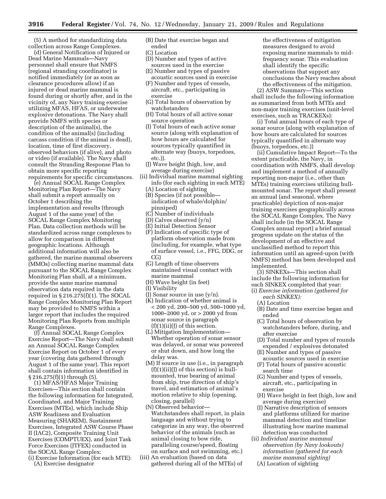(5) A method for standardizing data collection across Range Complexes.

(d) General Notification of Injured or Dead Marine Mammals—Navy personnel shall ensure that NMFS (regional stranding coordinator) is notified immediately (or as soon as clearance procedures allow) if an injured or dead marine mammal is found during or shortly after, and in the vicinity of, any Navy training exercise utilizing MFAS, HFAS, or underwater explosive detonations. The Navy shall provide NMFS with species or description of the animal(s), the condition of the animal(s) (including carcass condition if the animal is dead), location, time of first discovery, observed behaviors (if alive), and photo or video (if available). The Navy shall consult the Stranding Response Plan to obtain more specific reporting requirements for specific circumstances.

(e) Annual SOCAL Range Complex Monitoring Plan Report—The Navy shall submit a report annually on October 1 describing the implementation and results (through August 1 of the same year) of the SOCAL Range Complex Monitoring Plan. Data collection methods will be standardized across range complexes to allow for comparison in different geographic locations. Although additional information will also be gathered, the marine mammal observers (MMOs) collecting marine mammal data pursuant to the SOCAL Range Complex Monitoring Plan shall, at a minimum, provide the same marine mammal observation data required in the data required in  $\S 216.275(f)(1)$ . The SOCAL Range Complex Monitoring Plan Report may be provided to NMFS within a larger report that includes the required Monitoring Plan Reports from multiple Range Complexes.

(f) Annual SOCAL Range Complex Exercise Report—The Navy shall submit an Annual SOCAL Range Complex Exercise Report on October 1 of every year (covering data gathered through August 1 of the same year). This report shall contain information identified in § 216.275(f)(1) through (5).

(1) MFAS/HFAS Major Training Exercises—This section shall contain the following information for Integrated, Coordinated, and Major Training Exercises (MTEs), which include Ship ASW Readiness and Evaluation Measuring (SHAREM), Sustainment Exercises, Integrated ASW Course Phase II (IAC2), Composite Training Unit Exercises (COMPTUEX), and Joint Task Force Exercises (JTFEX) conducted in the SOCAL Range Complex:

(i) Exercise Information (for each MTE): (A) Exercise designator

- (B) Date that exercise began and ended
- (C) Location
- (D) Number and types of active sources used in the exercise
- (E) Number and types of passive acoustic sources used in exercise
- (F) Number and types of vessels, aircraft, etc., participating in exercise
- (G) Total hours of observation by watchstanders
- (H) Total hours of all active sonar source operation
- (I) Total hours of each active sonar source (along with explanation of how hours are calculated for sources typically quantified in alternate way (buoys, torpedoes, etc.)).
- (J) Wave height (high, low, and average during exercise)
- (ii) Individual marine mammal sighting info (for each sighting in each MTE)
	- (A) Location of sighting
	- (B) Species (if not possible indication of whale/dolphin/ pinniped)
	- (C) Number of individuals
	- (D) Calves observed (y/n)
	- (E) Initial Detection Sensor
	- (F) Indication of specific type of platform observation made from (including, for example, what type of surface vessel, i.e., FFG, DDG, or CG)
	- (G) Length of time observers maintained visual contact with marine mammal
	- (H) Wave height (in feet)
	- (I) Visibility
	- (I) Sonar source in use  $(v/n)$ .
	- (K) Indication of whether animal is < 200 yd, 200–500 yd, 500–1000 yd, 1000–2000 yd, or > 2000 yd from sonar source in paragraph  $(f)(1)(ii)(J)$  of this section.
	- (L) Mitigation Implementation— Whether operation of sonar sensor was delayed, or sonar was powered or shut down, and how long the delay was.
	- (M) If source in use (i.e., in paragraph  $(f)(1)(ii)(J)$  of this section) is hullmounted, true bearing of animal from ship, true direction of ship's travel, and estimation of animal's motion relative to ship (opening, closing, parallel)
	- (N) Observed behavior— Watchstanders shall report, in plain language and without trying to categorize in any way, the observed behavior of the animals (such as animal closing to bow ride, paralleling course/speed, floating on surface and not swimming, etc.)
- (iii) An evaluation (based on data gathered during all of the MTEs) of

the effectiveness of mitigation measures designed to avoid exposing marine mammals to midfrequency sonar. This evaluation shall identify the specific observations that support any conclusions the Navy reaches about the effectiveness of the mitigation.

(2) ASW Summary—This section shall include the following information as summarized from both MTEs and non-major training exercises (unit-level exercises, such as TRACKEXs):

(i) Total annual hours of each type of sonar source (along with explanation of how hours are calculated for sources typically quantified in alternate way (buoys, torpedoes, etc.))

(ii) Cumulative Impact Report—To the extent practicable, the Navy, in coordination with NMFS, shall develop and implement a method of annually reporting non-major (i.e., other than MTEs) training exercises utilizing hullmounted sonar. The report shall present an annual (and seasonal, where practicable) depiction of non-major training exercises geographically across the SOCAL Range Complex. The Navy shall include (in the SOCAL Range Complex annual report) a brief annual progress update on the status of the development of an effective and unclassified method to report this information until an agreed-upon (with NMFS) method has been developed and implemented.

(3) SINKEXs—This section shall include the following information for each SINKEX completed that year:

- (i) *Exercise information (gathered for each SINKEX):* 
	- (A) Location
	- (B) Date and time exercise began and ended
	- (C) Total hours of observation by watchstanders before, during, and after exercise
	- (D) Total number and types of rounds expended / explosives detonated
	- (E) Number and types of passive acoustic sources used in exercise
	- (F) Total hours of passive acoustic search time
	- (G) Number and types of vessels, aircraft, etc., participating in exercise
	- (H) Wave height in feet (high, low and average during exercise)
	- (I) Narrative description of sensors and platforms utilized for marine mammal detection and timeline illustrating how marine mammal detection was conducted
- (ii) *Individual marine mammal observation (by Navy lookouts) information (gathered for each marine mammal sighting)* 
	- (A) Location of sighting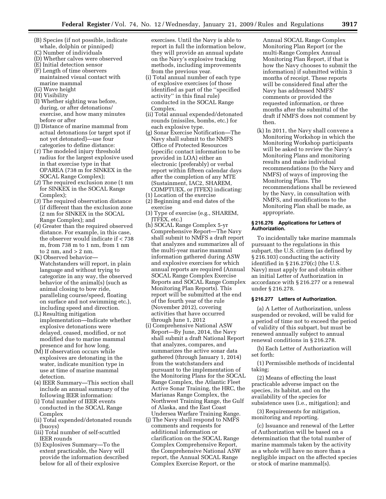- (B) Species (if not possible, indicate whale, dolphin or pinniped)
- (C) Number of individuals
- (D) Whether calves were observed (E) Initial detection sensor
- 
- (F) Length of time observers maintained visual contact with marine mammal (G) Wave height
- 
- (H) Visibility
- (I) Whether sighting was before, during, or after detonations/ exercise, and how many minutes before or after
- (J) Distance of marine mammal from actual detonations (or target spot if not yet detonated)—use four categories to define distance:
- (*1*) The modeled injury threshold radius for the largest explosive used in that exercise type in that OPAREA (738 m for SINKEX in the SOCAL Range Complex);
- (*2*) The required exclusion zone (1 nm for SINKEX in the SOCAL Range Complex);
- (*3*) The required observation distance (if different than the exclusion zone (2 nm for SINKEX in the SOCAL Range Complex); and
- (*4*) Greater than the required observed distance. For example, in this case, the observer would indicate if < 738 m, from 738 m to 1 nm, from 1 nm to 2 nm, and  $>$  2 nm.
- (K) Observed behavior— Watchstanders will report, in plain language and without trying to categorize in any way, the observed behavior of the animal(s) (such as animal closing to bow ride, paralleling course/speed, floating on surface and not swimming etc.), including speed and direction.
- (L) Resulting mitigation implementation—Indicate whether explosive detonations were delayed, ceased, modified, or not modified due to marine mammal presence and for how long.
- (M) If observation occurs while explosives are detonating in the water, indicate munition type in use at time of marine mammal detection.
- (4) IEER Summary—This section shall include an annual summary of the following IEER information:
- (i) Total number of IEER events conducted in the SOCAL Range Complex
- (ii) Total expended/detonated rounds (buoys)
- (iii) Total number of self-scuttled IEER rounds
- (5) Explosives Summary—To the extent practicable, the Navy will provide the information described below for all of their explosive

exercises. Until the Navy is able to report in full the information below, they will provide an annual update on the Navy's explosive tracking methods, including improvements from the previous year.

- (i) Total annual number of each type of explosive exercises (of those identified as part of the ''specified activity'' in this final rule) conducted in the SOCAL Range Complex.
- (ii) Total annual expended/detonated rounds (missiles, bombs, etc.) for each explosive type.
- (g) Sonar Exercise Notification—The Navy shall submit to the NMFS Office of Protected Resources (specific contact information to be provided in LOA) either an electronic (preferably) or verbal report within fifteen calendar days after the completion of any MTE (Sustainment, IAC2, SHAREM, COMPTUEX, or JTFEX) indicating:
- (1) Location of the exercise
- (2) Beginning and end dates of the
- exercise
- (3) Type of exercise (e.g., SHAREM, JTFEX, etc.)
- (h) SOCAL Range Complex 5-yr Comprehensive Report—The Navy shall submit to NMFS a draft report that analyzes and summarizes all of the multi-year marine mammal information gathered during ASW and explosive exercises for which annual reports are required (Annual SOCAL Range Complex Exercise Reports and SOCAL Range Complex Monitoring Plan Reports). This report will be submitted at the end of the fourth year of the rule (November 2012), covering activities that have occurred through June 1, 2012
- (i) Comprehensive National ASW Report—By June, 2014, the Navy shall submit a draft National Report that analyzes, compares, and summarizes the active sonar data gathered (through January 1, 2014) from the watchstanders and pursuant to the implementation of the Monitoring Plans for the SOCAL Range Complex, the Atlantic Fleet Active Sonar Training, the HRC, the Marianas Range Complex, the Northwest Training Range, the Gulf of Alaska, and the East Coast Undersea Warfare Training Range.
- (j) The Navy shall respond to NMFS comments and requests for additional information or clarification on the SOCAL Range Complex Comprehensive Report, the Comprehensive National ASW report, the Annual SOCAL Range Complex Exercise Report, or the

Annual SOCAL Range Complex Monitoring Plan Report (or the multi-Range Complex Annual Monitoring Plan Report, if that is how the Navy chooses to submit the information) if submitted within 3 months of receipt. These reports will be considered final after the Navy has addressed NMFS' comments or provided the requested information, or three months after the submittal of the draft if NMFS does not comment by then.

(k) In 2011, the Navy shall convene a Monitoring Workshop in which the Monitoring Workshop participants will be asked to review the Navy's Monitoring Plans and monitoring results and make individual recommendations (to the Navy and NMFS) of ways of improving the Monitoring Plans. The recommendations shall be reviewed by the Navy, in consultation with NMFS, and modifications to the Monitoring Plan shall be made, as appropriate.

# **§ 216.276 Applications for Letters of Authorization.**

To incidentally take marine mammals pursuant to the regulations in this subpart, the U.S. citizen (as defined by § 216.103) conducting the activity identified in § 216.270(c) (the U.S. Navy) must apply for and obtain either an initial Letter of Authorization in accordance with § 216.277 or a renewal under § 216.278.

# **§ 216.277 Letters of Authorization.**

(a) A Letter of Authorization, unless suspended or revoked, will be valid for a period of time not to exceed the period of validity of this subpart, but must be renewed annually subject to annual renewal conditions in § 216.278.

(b) Each Letter of Authorization will set forth:

(1) Permissible methods of incidental taking;

(2) Means of effecting the least practicable adverse impact on the species, its habitat, and on the availability of the species for subsistence uses (i.e., mitigation); and

(3) Requirements for mitigation, monitoring and reporting.

(c) Issuance and renewal of the Letter of Authorization will be based on a determination that the total number of marine mammals taken by the activity as a whole will have no more than a negligible impact on the affected species or stock of marine mammal(s).